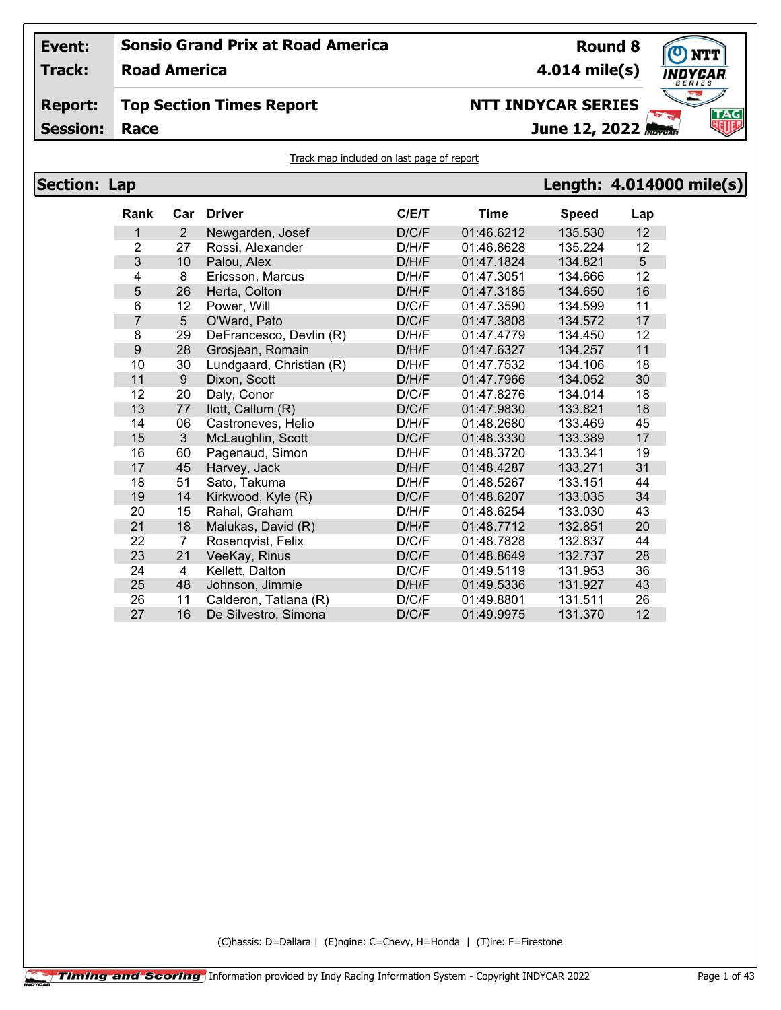**Track: Road America**

## **Report: Top Section Times Report**

**Session:**

```
4.014 mile(s)
```
# **NTT INDYCAR SERIES**

**Race June 12, 2022**



| <b>Section: Lap</b> |                  |                |                          |       |             |              | Length: 4.014000 mile(s) |
|---------------------|------------------|----------------|--------------------------|-------|-------------|--------------|--------------------------|
|                     | Rank             | Car            | Driver                   | C/E/T | <b>Time</b> | <b>Speed</b> | Lap                      |
|                     | $\mathbf{1}$     | $\overline{2}$ | Newgarden, Josef         | D/C/F | 01:46.6212  | 135.530      | 12                       |
|                     | 2                | 27             | Rossi, Alexander         | D/H/F | 01:46.8628  | 135.224      | 12                       |
|                     | 3                | 10             | Palou, Alex              | D/H/F | 01:47.1824  | 134.821      | 5                        |
|                     | 4                | 8              | Ericsson, Marcus         | D/H/F | 01:47.3051  | 134.666      | 12                       |
|                     | 5                | 26             | Herta, Colton            | D/H/F | 01:47.3185  | 134.650      | 16                       |
|                     | 6                | 12             | Power, Will              | D/C/F | 01:47.3590  | 134.599      | 11                       |
|                     | $\overline{7}$   | 5 <sup>5</sup> | O'Ward, Pato             | D/C/F | 01:47.3808  | 134.572      | 17                       |
|                     | 8                | 29             | DeFrancesco, Devlin (R)  | D/H/F | 01:47.4779  | 134.450      | 12                       |
|                     | $\boldsymbol{9}$ | 28             | Grosjean, Romain         | D/H/F | 01:47.6327  | 134.257      | 11                       |
|                     | 10               | 30             | Lundgaard, Christian (R) | D/H/F | 01:47.7532  | 134.106      | 18                       |
|                     | 11               | 9              | Dixon, Scott             | D/H/F | 01:47.7966  | 134.052      | 30                       |
|                     | 12               | 20             | Daly, Conor              | D/C/F | 01:47.8276  | 134.014      | 18                       |
|                     | 13               | 77             | llott, Callum (R)        | D/C/F | 01:47.9830  | 133.821      | 18                       |
|                     | 14               | 06             | Castroneves, Helio       | D/H/F | 01:48.2680  | 133.469      | 45                       |
|                     | 15               | $\overline{3}$ | McLaughlin, Scott        | D/C/F | 01:48.3330  | 133.389      | 17                       |
|                     | 16               | 60             | Pagenaud, Simon          | D/H/F | 01:48.3720  | 133.341      | 19                       |
|                     | 17               | 45             | Harvey, Jack             | D/H/F | 01:48.4287  | 133.271      | 31                       |
|                     | 18               | 51             | Sato, Takuma             | D/H/F | 01:48.5267  | 133.151      | 44                       |
|                     | 19               | 14             | Kirkwood, Kyle (R)       | D/C/F | 01:48.6207  | 133.035      | 34                       |
|                     | 20               | 15             | Rahal, Graham            | D/H/F | 01:48.6254  | 133.030      | 43                       |
|                     | 21               | 18             | Malukas, David (R)       | D/H/F | 01:48.7712  | 132.851      | 20                       |
|                     | 22               | $\overline{7}$ | Rosenqvist, Felix        | D/C/F | 01:48.7828  | 132.837      | 44                       |
|                     | 23               | 21             | VeeKay, Rinus            | D/C/F | 01:48.8649  | 132.737      | 28                       |
|                     | 24               | $\overline{4}$ | Kellett, Dalton          | D/C/F | 01:49.5119  | 131.953      | 36                       |
|                     | 25               | 48             | Johnson, Jimmie          | D/H/F | 01:49.5336  | 131.927      | 43                       |
|                     | 26               | 11             | Calderon, Tatiana (R)    | D/C/F | 01:49.8801  | 131.511      | 26                       |
|                     | 27               | 16             | De Silvestro, Simona     | D/C/F | 01:49.9975  | 131.370      | 12                       |

(C)hassis: D=Dallara | (E)ngine: C=Chevy, H=Honda | (T)ire: F=Firestone



**Round 8**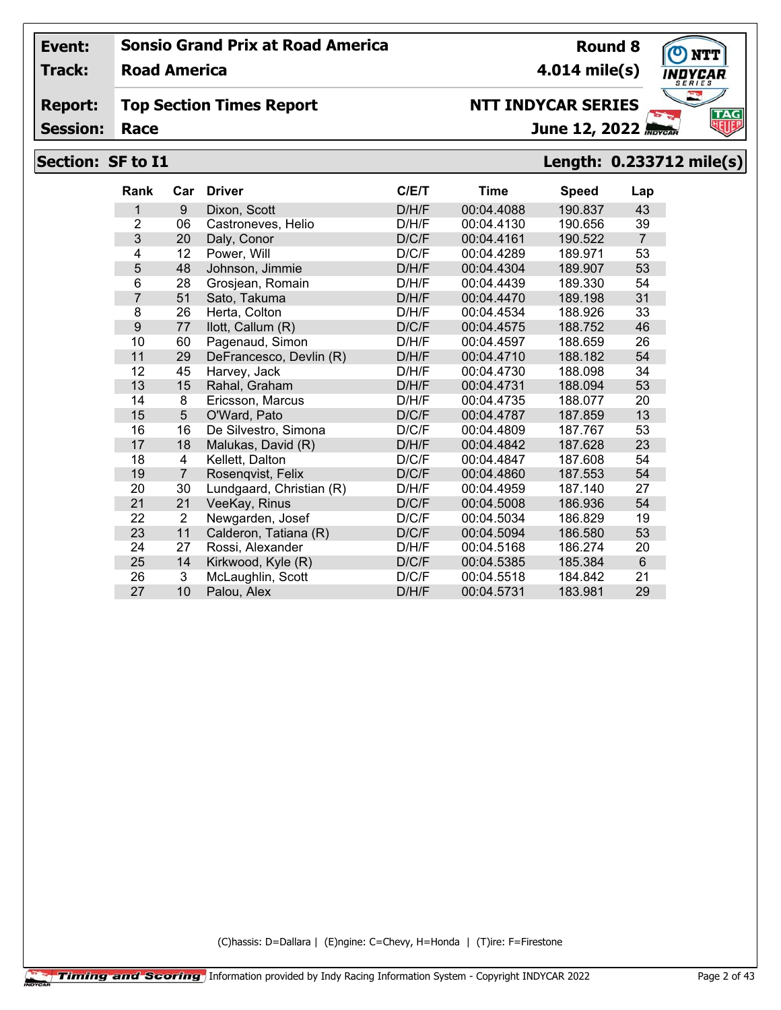**Track: Road America**

#### **Report: Top Section Times Report**

**Session:**

# June 12, 2022

## **Section: SF to I1 Length: 0.233712 mile(s)**

| <b>Rank</b>    | Car            | <b>Driver</b>            | C/E/T | Time       | <b>Speed</b> | Lap            |
|----------------|----------------|--------------------------|-------|------------|--------------|----------------|
| 1              | 9              | Dixon, Scott             | D/H/F | 00:04.4088 | 190.837      | 43             |
| $\overline{2}$ | 06             | Castroneves, Helio       | D/H/F | 00:04.4130 | 190.656      | 39             |
| 3              | 20             | Daly, Conor              | D/C/F | 00:04.4161 | 190.522      | $\overline{7}$ |
| 4              | 12             | Power, Will              | D/C/F | 00:04.4289 | 189.971      | 53             |
| 5              | 48             | Johnson, Jimmie          | D/H/F | 00:04.4304 | 189.907      | 53             |
| 6              | 28             | Grosjean, Romain         | D/H/F | 00:04.4439 | 189.330      | 54             |
| $\overline{7}$ | 51             | Sato, Takuma             | D/H/F | 00:04.4470 | 189.198      | 31             |
| 8              | 26             | Herta, Colton            | D/H/F | 00:04.4534 | 188.926      | 33             |
| 9              | 77             | llott, Callum (R)        | D/C/F | 00:04.4575 | 188.752      | 46             |
| 10             | 60             | Pagenaud, Simon          | D/H/F | 00:04.4597 | 188.659      | 26             |
| 11             | 29             | DeFrancesco, Devlin (R)  | D/H/F | 00:04.4710 | 188.182      | 54             |
| 12             | 45             | Harvey, Jack             | D/H/F | 00:04.4730 | 188.098      | 34             |
| 13             | 15             | Rahal, Graham            | D/H/F | 00:04.4731 | 188.094      | 53             |
| 14             | 8              | Ericsson, Marcus         | D/H/F | 00:04.4735 | 188.077      | 20             |
| 15             | 5              | O'Ward, Pato             | D/C/F | 00:04.4787 | 187.859      | 13             |
| 16             | 16             | De Silvestro, Simona     | D/C/F | 00:04.4809 | 187.767      | 53             |
| 17             | 18             | Malukas, David (R)       | D/H/F | 00:04.4842 | 187.628      | 23             |
| 18             | 4              | Kellett, Dalton          | D/C/F | 00:04.4847 | 187.608      | 54             |
| 19             | $\overline{7}$ | Rosenqvist, Felix        | D/C/F | 00:04.4860 | 187.553      | 54             |
| 20             | 30             | Lundgaard, Christian (R) | D/H/F | 00:04.4959 | 187.140      | 27             |
| 21             | 21             | VeeKay, Rinus            | D/C/F | 00:04.5008 | 186.936      | 54             |
| 22             | $\overline{2}$ | Newgarden, Josef         | D/C/F | 00:04.5034 | 186.829      | 19             |
| 23             | 11             | Calderon, Tatiana (R)    | D/C/F | 00:04.5094 | 186.580      | 53             |
| 24             | 27             | Rossi, Alexander         | D/H/F | 00:04.5168 | 186.274      | 20             |
| 25             | 14             | Kirkwood, Kyle (R)       | D/C/F | 00:04.5385 | 185.384      | 6              |
| 26             | 3              | McLaughlin, Scott        | D/C/F | 00:04.5518 | 184.842      | 21             |
| 27             | 10             | Palou, Alex              | D/H/F | 00:04.5731 | 183.981      | 29             |

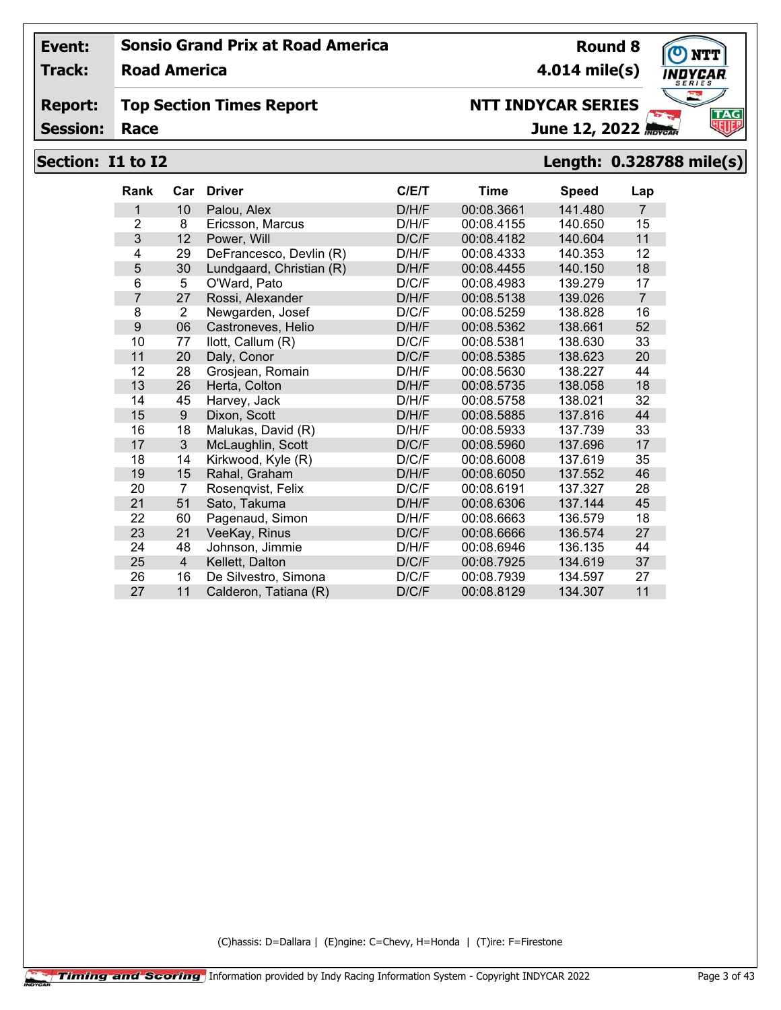**Track: Road America**

#### **Report: Top Section Times Report**

**Session:**

# June 12, 2022 **NTT INDYCAR SERIES**

# **Section: I1 to I2 Length: 0.328788 mile(s)**

| <b>Rank</b>    | Car            | <b>Driver</b>            | C/E/T | Time       | <b>Speed</b> | Lap            |
|----------------|----------------|--------------------------|-------|------------|--------------|----------------|
| 1              | 10             | Palou, Alex              | D/H/F | 00:08.3661 | 141.480      | $\overline{7}$ |
| $\overline{2}$ | 8              | Ericsson, Marcus         | D/H/F | 00:08.4155 | 140.650      | 15             |
| 3              | 12             | Power, Will              | D/C/F | 00:08.4182 | 140.604      | 11             |
| 4              | 29             | DeFrancesco, Devlin (R)  | D/H/F | 00:08.4333 | 140.353      | 12             |
| 5              | 30             | Lundgaard, Christian (R) | D/H/F | 00:08.4455 | 140.150      | 18             |
| 6              | 5              | O'Ward, Pato             | D/C/F | 00:08.4983 | 139.279      | 17             |
| $\overline{7}$ | 27             | Rossi, Alexander         | D/H/F | 00:08.5138 | 139.026      | $\overline{7}$ |
| 8              | 2              | Newgarden, Josef         | D/C/F | 00:08.5259 | 138.828      | 16             |
| 9              | 06             | Castroneves, Helio       | D/H/F | 00:08.5362 | 138.661      | 52             |
| 10             | 77             | llott, Callum (R)        | D/C/F | 00:08.5381 | 138.630      | 33             |
| 11             | 20             | Daly, Conor              | D/C/F | 00:08.5385 | 138.623      | 20             |
| 12             | 28             | Grosjean, Romain         | D/H/F | 00:08.5630 | 138.227      | 44             |
| 13             | 26             | Herta, Colton            | D/H/F | 00:08.5735 | 138.058      | 18             |
| 14             | 45             | Harvey, Jack             | D/H/F | 00:08.5758 | 138.021      | 32             |
| 15             | 9              | Dixon, Scott             | D/H/F | 00:08.5885 | 137.816      | 44             |
| 16             | 18             | Malukas, David (R)       | D/H/F | 00:08.5933 | 137.739      | 33             |
| 17             | $\mathfrak{S}$ | McLaughlin, Scott        | D/C/F | 00:08.5960 | 137.696      | 17             |
| 18             | 14             | Kirkwood, Kyle (R)       | D/C/F | 00:08.6008 | 137.619      | 35             |
| 19             | 15             | Rahal, Graham            | D/H/F | 00:08.6050 | 137.552      | 46             |
| 20             | 7              | Rosenqvist, Felix        | D/C/F | 00:08.6191 | 137.327      | 28             |
| 21             | 51             | Sato, Takuma             | D/H/F | 00:08.6306 | 137.144      | 45             |
| 22             | 60             | Pagenaud, Simon          | D/H/F | 00:08.6663 | 136.579      | 18             |
| 23             | 21             | VeeKay, Rinus            | D/C/F | 00:08.6666 | 136.574      | 27             |
| 24             | 48             | Johnson, Jimmie          | D/H/F | 00:08.6946 | 136.135      | 44             |
| 25             | $\overline{4}$ | Kellett, Dalton          | D/C/F | 00:08.7925 | 134.619      | 37             |
| 26             | 16             | De Silvestro, Simona     | D/C/F | 00:08.7939 | 134.597      | 27             |
| 27             | 11             | Calderon, Tatiana (R)    | D/C/F | 00:08.8129 | 134.307      | 11             |

(C)hassis: D=Dallara | (E)ngine: C=Chevy, H=Honda | (T)ire: F=Firestone

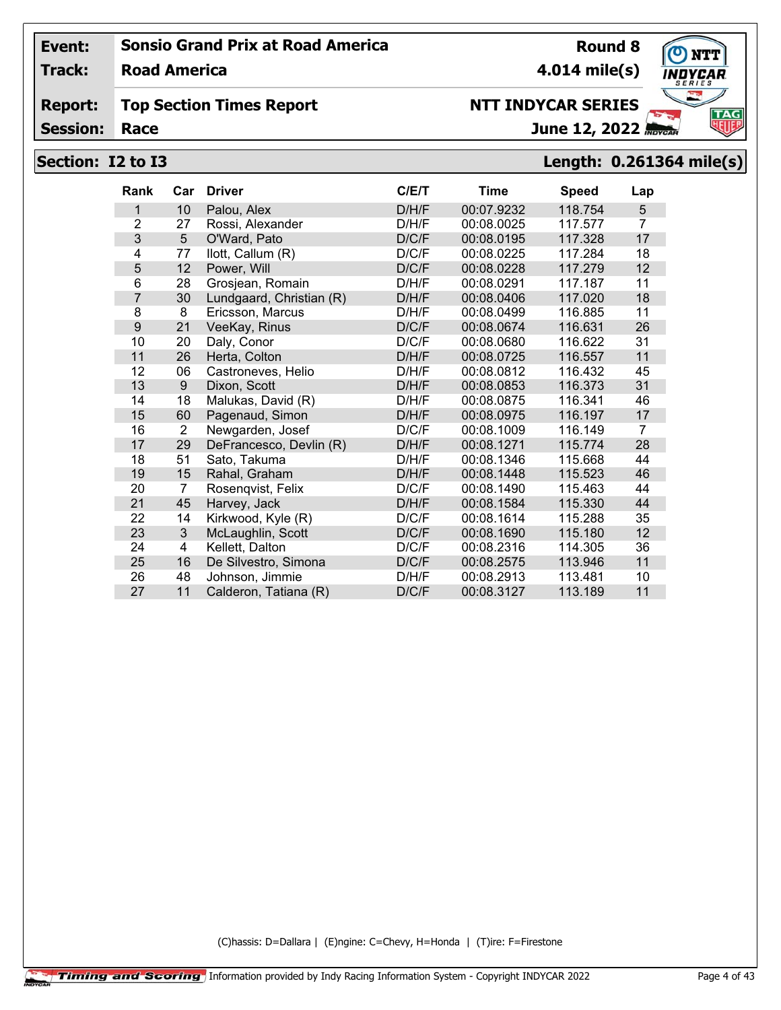**Track: Road America**

#### **Report: Top Section Times Report**

**Session:**

# **NTT INDYCAR SERIES**

June 12, 2022

# **Section: I2 to I3 Length: 0.261364 mile(s)**

| <b>Rank</b>    | Car            | <b>Driver</b>            | C/E/T | <b>Time</b> | <b>Speed</b> | Lap            |
|----------------|----------------|--------------------------|-------|-------------|--------------|----------------|
| 1              | 10             | Palou, Alex              | D/H/F | 00:07.9232  | 118.754      | 5              |
| $\overline{2}$ | 27             | Rossi, Alexander         | D/H/F | 00:08.0025  | 117.577      | $\overline{7}$ |
| 3              | 5              | O'Ward, Pato             | D/C/F | 00:08.0195  | 117.328      | 17             |
| 4              | 77             | llott, Callum (R)        | D/C/F | 00:08.0225  | 117.284      | 18             |
| 5              | 12             | Power, Will              | D/C/F | 00:08.0228  | 117.279      | 12             |
| 6              | 28             | Grosjean, Romain         | D/H/F | 00:08.0291  | 117.187      | 11             |
| 7              | 30             | Lundgaard, Christian (R) | D/H/F | 00:08.0406  | 117.020      | 18             |
| 8              | 8              | Ericsson, Marcus         | D/H/F | 00:08.0499  | 116.885      | 11             |
| 9              | 21             | VeeKay, Rinus            | D/C/F | 00:08.0674  | 116.631      | 26             |
| 10             | 20             | Daly, Conor              | D/C/F | 00:08.0680  | 116.622      | 31             |
| 11             | 26             | Herta, Colton            | D/H/F | 00:08.0725  | 116.557      | 11             |
| 12             | 06             | Castroneves, Helio       | D/H/F | 00:08.0812  | 116.432      | 45             |
| 13             | 9              | Dixon, Scott             | D/H/F | 00:08.0853  | 116.373      | 31             |
| 14             | 18             | Malukas, David (R)       | D/H/F | 00:08.0875  | 116.341      | 46             |
| 15             | 60             | Pagenaud, Simon          | D/H/F | 00:08.0975  | 116.197      | 17             |
| 16             | 2              | Newgarden, Josef         | D/C/F | 00:08.1009  | 116.149      | 7              |
| 17             | 29             | DeFrancesco, Devlin (R)  | D/H/F | 00:08.1271  | 115.774      | 28             |
| 18             | 51             | Sato, Takuma             | D/H/F | 00:08.1346  | 115.668      | 44             |
| 19             | 15             | Rahal, Graham            | D/H/F | 00:08.1448  | 115.523      | 46             |
| 20             | $\overline{7}$ | Rosenqvist, Felix        | D/C/F | 00:08.1490  | 115.463      | 44             |
| 21             | 45             | Harvey, Jack             | D/H/F | 00:08.1584  | 115.330      | 44             |
| 22             | 14             | Kirkwood, Kyle (R)       | D/C/F | 00:08.1614  | 115.288      | 35             |
| 23             | 3              | McLaughlin, Scott        | D/C/F | 00:08.1690  | 115.180      | 12             |
| 24             | 4              | Kellett, Dalton          | D/C/F | 00:08.2316  | 114.305      | 36             |
| 25             | 16             | De Silvestro, Simona     | D/C/F | 00:08.2575  | 113.946      | 11             |
| 26             | 48             | Johnson, Jimmie          | D/H/F | 00:08.2913  | 113.481      | 10             |
| 27             | 11             | Calderon, Tatiana (R)    | D/C/F | 00:08.3127  | 113.189      | 11             |

(C)hassis: D=Dallara | (E)ngine: C=Chevy, H=Honda | (T)ire: F=Firestone



**Round 8**

**4.014 mile(s)**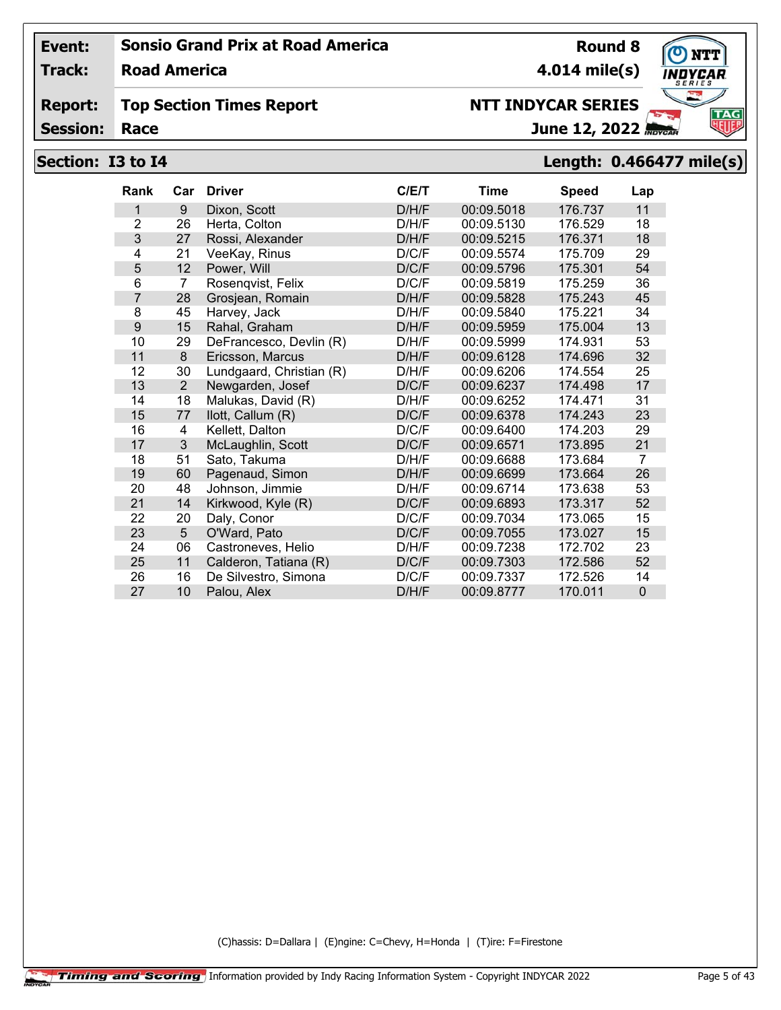**Track: Road America**

#### **Report: Top Section Times Report**

**Session:**

# **NTT INDYCAR SERIES**

June 12, 2022

# **Section: I3 to I4 Length: 0.466477 mile(s)**

| Rank           | Car            | <b>Driver</b>            | C/E/T | <b>Time</b> | <b>Speed</b> | Lap            |
|----------------|----------------|--------------------------|-------|-------------|--------------|----------------|
| 1              | 9              | Dixon, Scott             | D/H/F | 00:09.5018  | 176.737      | 11             |
| $\overline{2}$ | 26             | Herta, Colton            | D/H/F | 00:09.5130  | 176.529      | 18             |
| 3              | 27             | Rossi, Alexander         | D/H/F | 00:09.5215  | 176.371      | 18             |
| 4              | 21             | VeeKay, Rinus            | D/C/F | 00:09.5574  | 175.709      | 29             |
| 5              | 12             | Power, Will              | D/C/F | 00:09.5796  | 175.301      | 54             |
| 6              | 7              | Rosenqvist, Felix        | D/C/F | 00:09.5819  | 175.259      | 36             |
| 7              | 28             | Grosjean, Romain         | D/H/F | 00:09.5828  | 175.243      | 45             |
| 8              | 45             | Harvey, Jack             | D/H/F | 00:09.5840  | 175.221      | 34             |
| 9              | 15             | Rahal, Graham            | D/H/F | 00:09.5959  | 175.004      | 13             |
| 10             | 29             | DeFrancesco, Devlin (R)  | D/H/F | 00:09.5999  | 174.931      | 53             |
| 11             | 8              | Ericsson, Marcus         | D/H/F | 00:09.6128  | 174.696      | 32             |
| 12             | 30             | Lundgaard, Christian (R) | D/H/F | 00:09.6206  | 174.554      | 25             |
| 13             | $\overline{2}$ | Newgarden, Josef         | D/C/F | 00:09.6237  | 174.498      | 17             |
| 14             | 18             | Malukas, David (R)       | D/H/F | 00:09.6252  | 174.471      | 31             |
| 15             | 77             | llott, Callum (R)        | D/C/F | 00:09.6378  | 174.243      | 23             |
| 16             | 4              | Kellett, Dalton          | D/C/F | 00:09.6400  | 174.203      | 29             |
| 17             | 3              | McLaughlin, Scott        | D/C/F | 00:09.6571  | 173.895      | 21             |
| 18             | 51             | Sato, Takuma             | D/H/F | 00:09.6688  | 173.684      | $\overline{7}$ |
| 19             | 60             | Pagenaud, Simon          | D/H/F | 00:09.6699  | 173.664      | 26             |
| 20             | 48             | Johnson, Jimmie          | D/H/F | 00:09.6714  | 173.638      | 53             |
| 21             | 14             | Kirkwood, Kyle (R)       | D/C/F | 00:09.6893  | 173.317      | 52             |
| 22             | 20             | Daly, Conor              | D/C/F | 00:09.7034  | 173.065      | 15             |
| 23             | 5              | O'Ward, Pato             | D/C/F | 00:09.7055  | 173.027      | 15             |
| 24             | 06             | Castroneves, Helio       | D/H/F | 00:09.7238  | 172.702      | 23             |
| 25             | 11             | Calderon, Tatiana (R)    | D/C/F | 00:09.7303  | 172.586      | 52             |
| 26             | 16             | De Silvestro, Simona     | D/C/F | 00:09.7337  | 172.526      | 14             |
| 27             | 10             | Palou, Alex              | D/H/F | 00:09.8777  | 170.011      | $\overline{0}$ |

(C)hassis: D=Dallara | (E)ngine: C=Chevy, H=Honda | (T)ire: F=Firestone



**Round 8**

**4.014 mile(s)**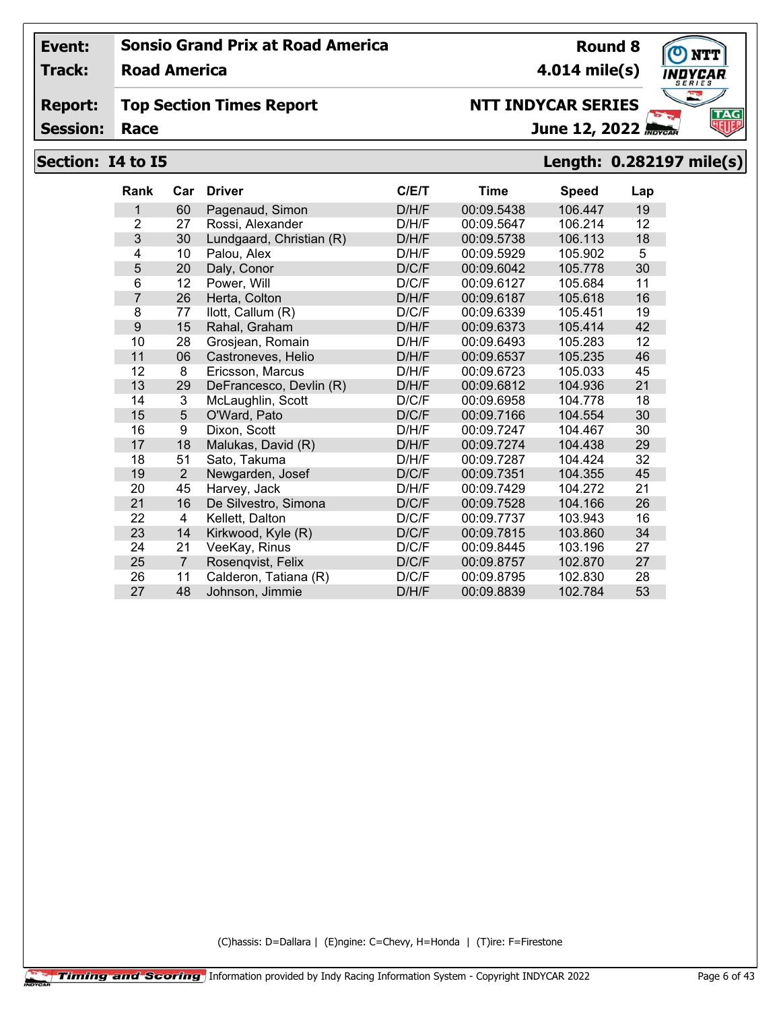**Track: Road America**

#### **Report: Top Section Times Report**

**Session:**

# **NTT INDYCAR SERIES**

June 12, 2022

# **Section: I4 to I5 Length: 0.282197 mile(s)**

| <b>Rank</b>    | Car            | <b>Driver</b>            | C/ET  | <b>Time</b> | <b>Speed</b> | Lap |
|----------------|----------------|--------------------------|-------|-------------|--------------|-----|
| 1              | 60             | Pagenaud, Simon          | D/H/F | 00:09.5438  | 106.447      | 19  |
| $\overline{2}$ | 27             | Rossi, Alexander         | D/H/F | 00:09.5647  | 106.214      | 12  |
| 3              | 30             | Lundgaard, Christian (R) | D/H/F | 00:09.5738  | 106.113      | 18  |
| 4              | 10             | Palou, Alex              | D/H/F | 00:09.5929  | 105.902      | 5   |
| 5              | 20             | Daly, Conor              | D/C/F | 00:09.6042  | 105.778      | 30  |
| 6              | 12             | Power, Will              | D/C/F | 00:09.6127  | 105.684      | 11  |
| $\overline{7}$ | 26             | Herta, Colton            | D/H/F | 00:09.6187  | 105.618      | 16  |
| 8              | 77             | llott, Callum (R)        | D/C/F | 00:09.6339  | 105.451      | 19  |
| 9              | 15             | Rahal, Graham            | D/H/F | 00:09.6373  | 105.414      | 42  |
| 10             | 28             | Grosjean, Romain         | D/H/F | 00:09.6493  | 105.283      | 12  |
| 11             | 06             | Castroneves, Helio       | D/H/F | 00:09.6537  | 105.235      | 46  |
| 12             | 8              | Ericsson, Marcus         | D/H/F | 00:09.6723  | 105.033      | 45  |
| 13             | 29             | DeFrancesco, Devlin (R)  | D/H/F | 00:09.6812  | 104.936      | 21  |
| 14             | 3              | McLaughlin, Scott        | D/C/F | 00:09.6958  | 104.778      | 18  |
| 15             | 5              | O'Ward, Pato             | D/C/F | 00:09.7166  | 104.554      | 30  |
| 16             | 9              | Dixon, Scott             | D/H/F | 00:09.7247  | 104.467      | 30  |
| 17             | 18             | Malukas, David (R)       | D/H/F | 00:09.7274  | 104.438      | 29  |
| 18             | 51             | Sato, Takuma             | D/H/F | 00:09.7287  | 104.424      | 32  |
| 19             | $\overline{2}$ | Newgarden, Josef         | D/C/F | 00:09.7351  | 104.355      | 45  |
| 20             | 45             | Harvey, Jack             | D/H/F | 00:09.7429  | 104.272      | 21  |
| 21             | 16             | De Silvestro, Simona     | D/C/F | 00:09.7528  | 104.166      | 26  |
| 22             | 4              | Kellett, Dalton          | D/C/F | 00:09.7737  | 103.943      | 16  |
| 23             | 14             | Kirkwood, Kyle (R)       | D/C/F | 00:09.7815  | 103.860      | 34  |
| 24             | 21             | VeeKay, Rinus            | D/C/F | 00:09.8445  | 103.196      | 27  |
| 25             | $\overline{7}$ | Rosenqvist, Felix        | D/C/F | 00:09.8757  | 102.870      | 27  |
| 26             | 11             | Calderon, Tatiana (R)    | D/C/F | 00:09.8795  | 102.830      | 28  |
| 27             | 48             | Johnson, Jimmie          | D/H/F | 00:09.8839  | 102.784      | 53  |

(C)hassis: D=Dallara | (E)ngine: C=Chevy, H=Honda | (T)ire: F=Firestone

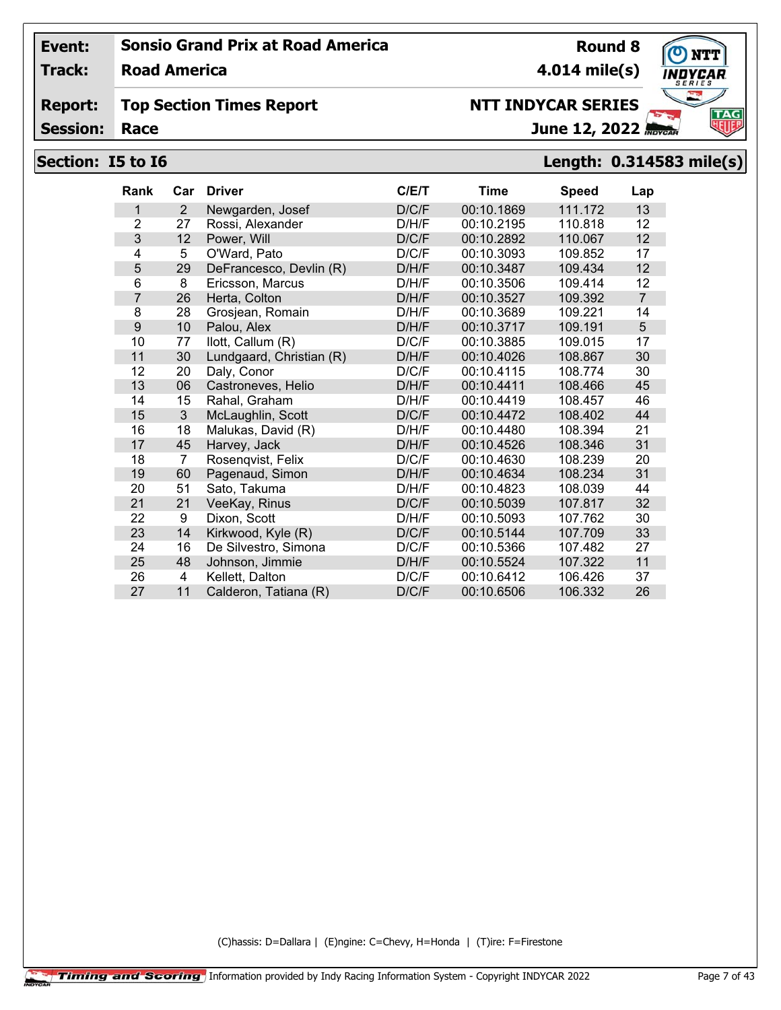**Track: Road America**

#### **Report: Top Section Times Report**

**Session:**

# **NTT INDYCAR SERIES**

June 12, 2022

**4.014 mile(s)**

**Round 8**

## **Section: I5 to I6 Length: 0.314583 mile(s)**

| <b>Rank</b>    | Car | <b>Driver</b>            | C/E/T | <b>Time</b> | <b>Speed</b> | Lap            |
|----------------|-----|--------------------------|-------|-------------|--------------|----------------|
| 1              | 2   | Newgarden, Josef         | D/C/F | 00:10.1869  | 111.172      | 13             |
| $\overline{2}$ | 27  | Rossi, Alexander         | D/H/F | 00:10.2195  | 110.818      | 12             |
| 3              | 12  | Power, Will              | D/C/F | 00:10.2892  | 110.067      | 12             |
| 4              | 5   | O'Ward, Pato             | D/C/F | 00:10.3093  | 109.852      | 17             |
| 5              | 29  | DeFrancesco, Devlin (R)  | D/H/F | 00:10.3487  | 109.434      | 12             |
| 6              | 8   | Ericsson, Marcus         | D/H/F | 00:10.3506  | 109.414      | 12             |
| $\overline{7}$ | 26  | Herta, Colton            | D/H/F | 00:10.3527  | 109.392      | $\overline{7}$ |
| 8              | 28  | Grosjean, Romain         | D/H/F | 00:10.3689  | 109.221      | 14             |
| 9              | 10  | Palou, Alex              | D/H/F | 00:10.3717  | 109.191      | 5              |
| 10             | 77  | llott, Callum (R)        | D/C/F | 00:10.3885  | 109.015      | 17             |
| 11             | 30  | Lundgaard, Christian (R) | D/H/F | 00:10.4026  | 108.867      | 30             |
| 12             | 20  | Daly, Conor              | D/C/F | 00:10.4115  | 108.774      | 30             |
| 13             | 06  | Castroneves, Helio       | D/H/F | 00:10.4411  | 108.466      | 45             |
| 14             | 15  | Rahal, Graham            | D/H/F | 00:10.4419  | 108.457      | 46             |
| 15             | 3   | McLaughlin, Scott        | D/C/F | 00:10.4472  | 108.402      | 44             |
| 16             | 18  | Malukas, David (R)       | D/H/F | 00:10.4480  | 108.394      | 21             |
| 17             | 45  | Harvey, Jack             | D/H/F | 00:10.4526  | 108.346      | 31             |
| 18             | 7   | Rosenqvist, Felix        | D/C/F | 00:10.4630  | 108.239      | 20             |
| 19             | 60  | Pagenaud, Simon          | D/H/F | 00:10.4634  | 108.234      | 31             |
| 20             | 51  | Sato, Takuma             | D/H/F | 00:10.4823  | 108.039      | 44             |
| 21             | 21  | VeeKay, Rinus            | D/C/F | 00:10.5039  | 107.817      | 32             |
| 22             | 9   | Dixon, Scott             | D/H/F | 00:10.5093  | 107.762      | 30             |
| 23             | 14  | Kirkwood, Kyle (R)       | D/C/F | 00:10.5144  | 107.709      | 33             |
| 24             | 16  | De Silvestro, Simona     | D/C/F | 00:10.5366  | 107.482      | 27             |
| 25             | 48  | Johnson, Jimmie          | D/H/F | 00:10.5524  | 107.322      | 11             |
| 26             | 4   | Kellett. Dalton          | D/C/F | 00:10.6412  | 106.426      | 37             |
| 27             | 11  | Calderon, Tatiana (R)    | D/C/F | 00:10.6506  | 106.332      | 26             |

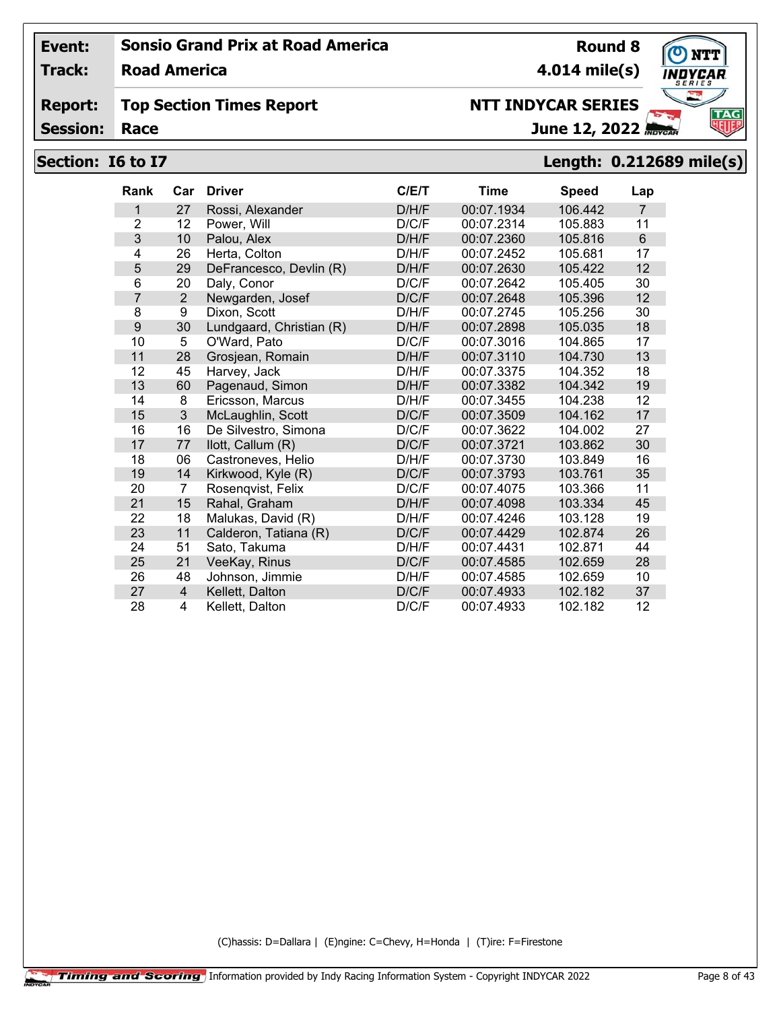**Track: Road America**

#### **Report: Top Section Times Report**

**Session:**

# **NTT INDYCAR SERIES**

June 12, 2022

# **Section: I6 to I7 Length: 0.212689 mile(s)**

| <b>Rank</b>    | Car            | <b>Driver</b>            | C/ET  | <b>Time</b> | <b>Speed</b> | Lap            |
|----------------|----------------|--------------------------|-------|-------------|--------------|----------------|
| 1              | 27             | Rossi, Alexander         | D/H/F | 00:07.1934  | 106.442      | $\overline{7}$ |
| $\overline{2}$ | 12             | Power, Will              | D/C/F | 00:07.2314  | 105.883      | 11             |
| 3              | 10             | Palou, Alex              | D/H/F | 00:07.2360  | 105.816      | $6\phantom{1}$ |
| 4              | 26             | Herta, Colton            | D/H/F | 00:07.2452  | 105.681      | 17             |
| 5              | 29             | DeFrancesco, Devlin (R)  | D/H/F | 00:07.2630  | 105.422      | 12             |
| 6              | 20             | Daly, Conor              | D/C/F | 00:07.2642  | 105.405      | 30             |
| 7              | $\overline{2}$ | Newgarden, Josef         | D/C/F | 00:07.2648  | 105.396      | 12             |
| 8              | 9              | Dixon, Scott             | D/H/F | 00:07.2745  | 105.256      | 30             |
| 9              | 30             | Lundgaard, Christian (R) | D/H/F | 00:07.2898  | 105.035      | 18             |
| 10             | 5              | O'Ward, Pato             | D/C/F | 00:07.3016  | 104.865      | 17             |
| 11             | 28             | Grosjean, Romain         | D/H/F | 00:07.3110  | 104.730      | 13             |
| 12             | 45             | Harvey, Jack             | D/H/F | 00:07.3375  | 104.352      | 18             |
| 13             | 60             | Pagenaud, Simon          | D/H/F | 00:07.3382  | 104.342      | 19             |
| 14             | 8              | Ericsson, Marcus         | D/H/F | 00:07.3455  | 104.238      | 12             |
| 15             | 3              | McLaughlin, Scott        | D/C/F | 00:07.3509  | 104.162      | 17             |
| 16             | 16             | De Silvestro, Simona     | D/C/F | 00:07.3622  | 104.002      | 27             |
| 17             | 77             | llott, Callum (R)        | D/C/F | 00:07.3721  | 103.862      | 30             |
| 18             | 06             | Castroneves, Helio       | D/H/F | 00:07.3730  | 103.849      | 16             |
| 19             | 14             | Kirkwood, Kyle (R)       | D/C/F | 00:07.3793  | 103.761      | 35             |
| 20             | $\overline{7}$ | Rosenqvist, Felix        | D/C/F | 00:07.4075  | 103.366      | 11             |
| 21             | 15             | Rahal, Graham            | D/H/F | 00:07.4098  | 103.334      | 45             |
| 22             | 18             | Malukas, David (R)       | D/H/F | 00:07.4246  | 103.128      | 19             |
| 23             | 11             | Calderon, Tatiana (R)    | D/C/F | 00:07.4429  | 102.874      | 26             |
| 24             | 51             | Sato, Takuma             | D/H/F | 00:07.4431  | 102.871      | 44             |
| 25             | 21             | VeeKay, Rinus            | D/C/F | 00:07.4585  | 102.659      | 28             |
| 26             | 48             | Johnson, Jimmie          | D/H/F | 00:07.4585  | 102.659      | 10             |
| 27             | $\overline{4}$ | Kellett, Dalton          | D/C/F | 00:07.4933  | 102.182      | 37             |
| 28             | $\overline{4}$ | Kellett, Dalton          | D/C/F | 00:07.4933  | 102.182      | 12             |

(C)hassis: D=Dallara | (E)ngine: C=Chevy, H=Honda | (T)ire: F=Firestone

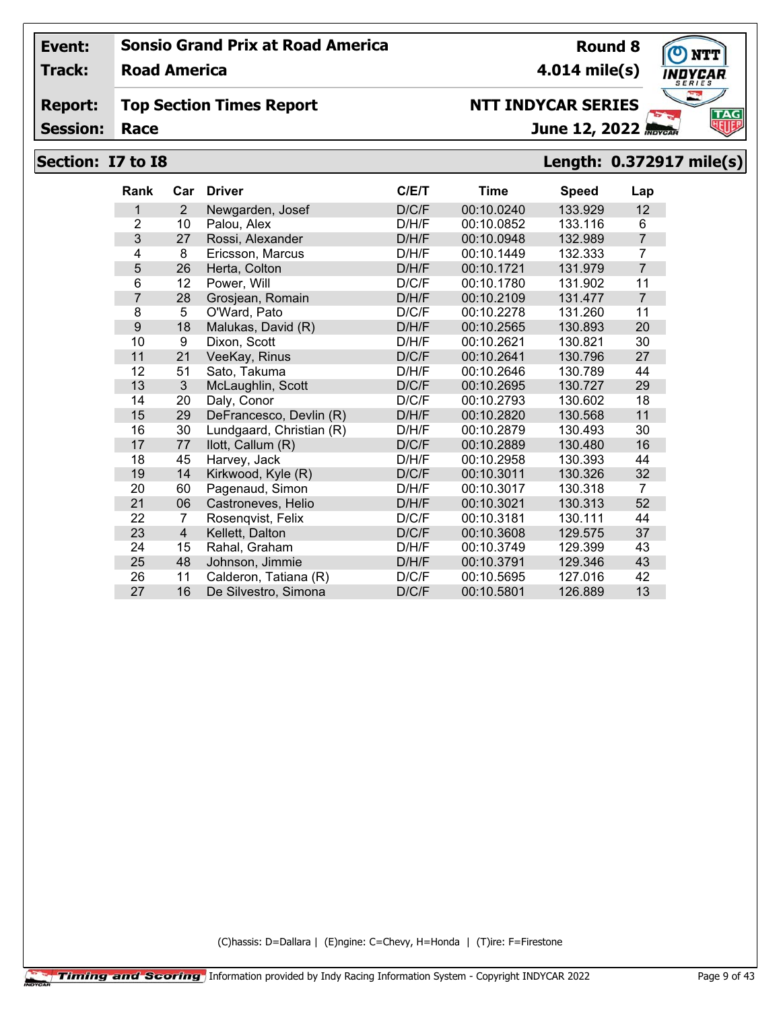**Track: Road America**

#### **Report: Top Section Times Report**

**Session:**

# **NTT INDYCAR SERIES**

June 12, 2022

# **Section: I7 to I8 Length: 0.372917 mile(s)**

| Rank           | Car | <b>Driver</b>            | C/ET  | Time       | Speed   | Lap            |
|----------------|-----|--------------------------|-------|------------|---------|----------------|
| 1              | 2   | Newgarden, Josef         | D/C/F | 00:10.0240 | 133.929 | 12             |
| $\overline{2}$ | 10  | Palou, Alex              | D/H/F | 00:10.0852 | 133.116 | 6              |
| 3              | 27  | Rossi, Alexander         | D/H/F | 00:10.0948 | 132.989 | $\overline{7}$ |
| 4              | 8   | Ericsson, Marcus         | D/H/F | 00:10.1449 | 132.333 | $\overline{7}$ |
| 5              | 26  | Herta, Colton            | D/H/F | 00:10.1721 | 131.979 | $\overline{7}$ |
| 6              | 12  | Power, Will              | D/C/F | 00:10.1780 | 131.902 | 11             |
| 7              | 28  | Grosjean, Romain         | D/H/F | 00:10.2109 | 131.477 | $\overline{7}$ |
| 8              | 5   | O'Ward, Pato             | D/C/F | 00:10.2278 | 131.260 | 11             |
| 9              | 18  | Malukas, David (R)       | D/H/F | 00:10.2565 | 130.893 | 20             |
| 10             | 9   | Dixon, Scott             | D/H/F | 00:10.2621 | 130.821 | 30             |
| 11             | 21  | VeeKay, Rinus            | D/C/F | 00:10.2641 | 130.796 | 27             |
| 12             | 51  | Sato, Takuma             | D/H/F | 00:10.2646 | 130.789 | 44             |
| 13             | 3   | McLaughlin, Scott        | D/C/F | 00:10.2695 | 130.727 | 29             |
| 14             | 20  | Daly, Conor              | D/C/F | 00:10.2793 | 130.602 | 18             |
| 15             | 29  | DeFrancesco, Devlin (R)  | D/H/F | 00:10.2820 | 130.568 | 11             |
| 16             | 30  | Lundgaard, Christian (R) | D/H/F | 00:10.2879 | 130.493 | 30             |
| 17             | 77  | llott, Callum (R)        | D/C/F | 00:10.2889 | 130.480 | 16             |
| 18             | 45  | Harvey, Jack             | D/H/F | 00:10.2958 | 130.393 | 44             |
| 19             | 14  | Kirkwood, Kyle (R)       | D/C/F | 00:10.3011 | 130.326 | 32             |
| 20             | 60  | Pagenaud, Simon          | D/H/F | 00:10.3017 | 130.318 | $\overline{7}$ |
| 21             | 06  | Castroneves, Helio       | D/H/F | 00:10.3021 | 130.313 | 52             |
| 22             | 7   | Rosenqvist, Felix        | D/C/F | 00:10.3181 | 130.111 | 44             |
| 23             | 4   | Kellett, Dalton          | D/C/F | 00:10.3608 | 129.575 | 37             |
| 24             | 15  | Rahal, Graham            | D/H/F | 00:10.3749 | 129.399 | 43             |
| 25             | 48  | Johnson, Jimmie          | D/H/F | 00:10.3791 | 129.346 | 43             |
| 26             | 11  | Calderon, Tatiana (R)    | D/C/F | 00:10.5695 | 127.016 | 42             |
| 27             | 16  | De Silvestro, Simona     | D/C/F | 00:10.5801 | 126.889 | 13             |

(C)hassis: D=Dallara | (E)ngine: C=Chevy, H=Honda | (T)ire: F=Firestone

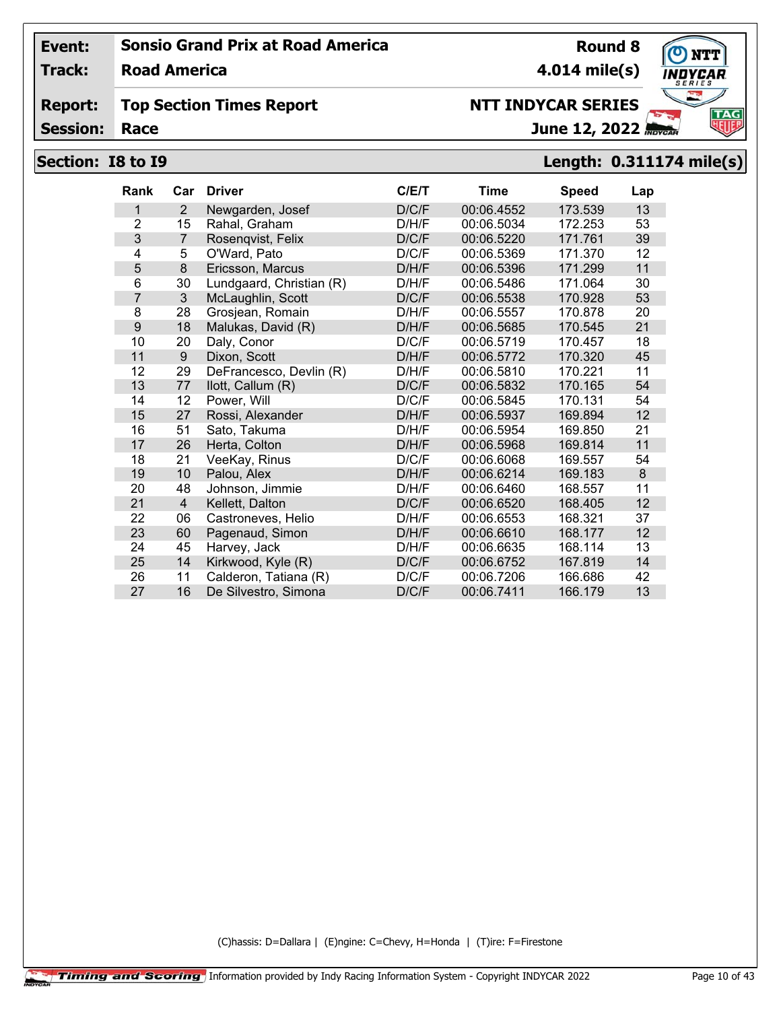**Road America**

#### **Report: Top Section Times Report**

**Session:**

# **NTT INDYCAR SERIES**

**4.014 mile(s)**

**Round 8**

**TAG** June 12, 2022

## **Section: I8 to I9 Length: 0.311174 mile(s)**

| <b>Rank</b>    | Car            | <b>Driver</b>            | C/ET  | Time       | <b>Speed</b> | Lap |
|----------------|----------------|--------------------------|-------|------------|--------------|-----|
| 1              | 2              | Newgarden, Josef         | D/C/F | 00:06.4552 | 173.539      | 13  |
| $\overline{2}$ | 15             | Rahal, Graham            | D/H/F | 00:06.5034 | 172.253      | 53  |
| 3              | 7              | Rosenqvist, Felix        | D/C/F | 00:06.5220 | 171.761      | 39  |
| 4              | 5              | O'Ward, Pato             | D/C/F | 00:06.5369 | 171.370      | 12  |
| 5              | 8              | Ericsson, Marcus         | D/H/F | 00:06.5396 | 171.299      | 11  |
| 6              | 30             | Lundgaard, Christian (R) | D/H/F | 00:06.5486 | 171.064      | 30  |
| 7              | 3              | McLaughlin, Scott        | D/C/F | 00:06.5538 | 170.928      | 53  |
| 8              | 28             | Grosjean, Romain         | D/H/F | 00:06.5557 | 170.878      | 20  |
| 9              | 18             | Malukas, David (R)       | D/H/F | 00:06.5685 | 170.545      | 21  |
| 10             | 20             | Daly, Conor              | D/C/F | 00:06.5719 | 170.457      | 18  |
| 11             | 9              | Dixon, Scott             | D/H/F | 00:06.5772 | 170.320      | 45  |
| 12             | 29             | DeFrancesco, Devlin (R)  | D/H/F | 00:06.5810 | 170.221      | 11  |
| 13             | 77             | llott, Callum (R)        | D/C/F | 00:06.5832 | 170.165      | 54  |
| 14             | 12             | Power, Will              | D/C/F | 00:06.5845 | 170.131      | 54  |
| 15             | 27             | Rossi, Alexander         | D/H/F | 00:06.5937 | 169.894      | 12  |
| 16             | 51             | Sato, Takuma             | D/H/F | 00:06.5954 | 169.850      | 21  |
| 17             | 26             | Herta, Colton            | D/H/F | 00:06.5968 | 169.814      | 11  |
| 18             | 21             | VeeKay, Rinus            | D/C/F | 00:06.6068 | 169.557      | 54  |
| 19             | 10             | Palou, Alex              | D/H/F | 00:06.6214 | 169.183      | 8   |
| 20             | 48             | Johnson, Jimmie          | D/H/F | 00:06.6460 | 168.557      | 11  |
| 21             | $\overline{4}$ | Kellett, Dalton          | D/C/F | 00:06.6520 | 168.405      | 12  |
| 22             | 06             | Castroneves, Helio       | D/H/F | 00:06.6553 | 168.321      | 37  |
| 23             | 60             | Pagenaud, Simon          | D/H/F | 00:06.6610 | 168.177      | 12  |
| 24             | 45             | Harvey, Jack             | D/H/F | 00:06.6635 | 168.114      | 13  |
| 25             | 14             | Kirkwood, Kyle (R)       | D/C/F | 00:06.6752 | 167.819      | 14  |
| 26             | 11             | Calderon, Tatiana (R)    | D/C/F | 00:06.7206 | 166.686      | 42  |
| 27             | 16             | De Silvestro, Simona     | D/C/F | 00:06.7411 | 166.179      | 13  |

(C)hassis: D=Dallara | (E)ngine: C=Chevy, H=Honda | (T)ire: F=Firestone



**Track:**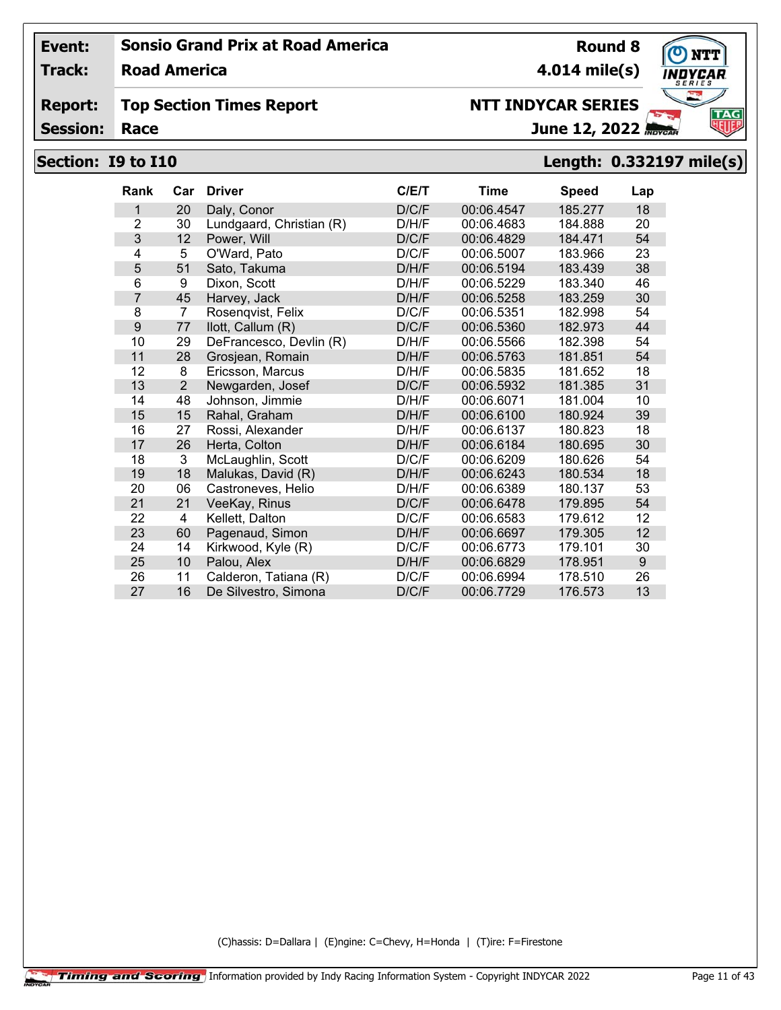**Track: Road America**

#### **Report: Top Section Times Report**

**Session:**

# **4.014 mile(s)**

**Round 8**

# **NTT INDYCAR SERIES**

June 12, 2022

# **Section: I9 to I10 Length: 0.332197 mile(s)**

| <b>Rank</b>    | Car            | <b>Driver</b>            | C/E/T | Time       | <b>Speed</b> | Lap |
|----------------|----------------|--------------------------|-------|------------|--------------|-----|
| 1              | 20             | Daly, Conor              | D/C/F | 00:06.4547 | 185.277      | 18  |
| $\overline{2}$ | 30             | Lundgaard, Christian (R) | D/H/F | 00:06.4683 | 184.888      | 20  |
| 3              | 12             | Power, Will              | D/C/F | 00:06.4829 | 184.471      | 54  |
| 4              | 5              | O'Ward, Pato             | D/C/F | 00:06.5007 | 183.966      | 23  |
| 5              | 51             | Sato, Takuma             | D/H/F | 00:06.5194 | 183.439      | 38  |
| 6              | 9              | Dixon, Scott             | D/H/F | 00:06.5229 | 183.340      | 46  |
| 7              | 45             | Harvey, Jack             | D/H/F | 00:06.5258 | 183.259      | 30  |
| 8              | $\overline{7}$ | Rosenqvist, Felix        | D/C/F | 00:06.5351 | 182.998      | 54  |
| 9              | 77             | llott, Callum (R)        | D/C/F | 00:06.5360 | 182.973      | 44  |
| 10             | 29             | DeFrancesco, Devlin (R)  | D/H/F | 00:06.5566 | 182.398      | 54  |
| 11             | 28             | Grosjean, Romain         | D/H/F | 00:06.5763 | 181.851      | 54  |
| 12             | 8              | Ericsson, Marcus         | D/H/F | 00:06.5835 | 181.652      | 18  |
| 13             | $\overline{2}$ | Newgarden, Josef         | D/C/F | 00:06.5932 | 181.385      | 31  |
| 14             | 48             | Johnson, Jimmie          | D/H/F | 00:06.6071 | 181.004      | 10  |
| 15             | 15             | Rahal, Graham            | D/H/F | 00:06.6100 | 180.924      | 39  |
| 16             | 27             | Rossi, Alexander         | D/H/F | 00:06.6137 | 180.823      | 18  |
| 17             | 26             | Herta, Colton            | D/H/F | 00:06.6184 | 180.695      | 30  |
| 18             | 3              | McLaughlin, Scott        | D/C/F | 00:06.6209 | 180.626      | 54  |
| 19             | 18             | Malukas, David (R)       | D/H/F | 00:06.6243 | 180.534      | 18  |
| 20             | 06             | Castroneves, Helio       | D/H/F | 00:06.6389 | 180.137      | 53  |
| 21             | 21             | VeeKay, Rinus            | D/C/F | 00:06.6478 | 179.895      | 54  |
| 22             | 4              | Kellett, Dalton          | D/C/F | 00:06.6583 | 179.612      | 12  |
| 23             | 60             | Pagenaud, Simon          | D/H/F | 00:06.6697 | 179.305      | 12  |
| 24             | 14             | Kirkwood, Kyle (R)       | D/C/F | 00:06.6773 | 179.101      | 30  |
| 25             | 10             | Palou, Alex              | D/H/F | 00:06.6829 | 178.951      | 9   |
| 26             | 11             | Calderon, Tatiana (R)    | D/C/F | 00:06.6994 | 178.510      | 26  |
| 27             | 16             | De Silvestro, Simona     | D/C/F | 00:06.7729 | 176.573      | 13  |

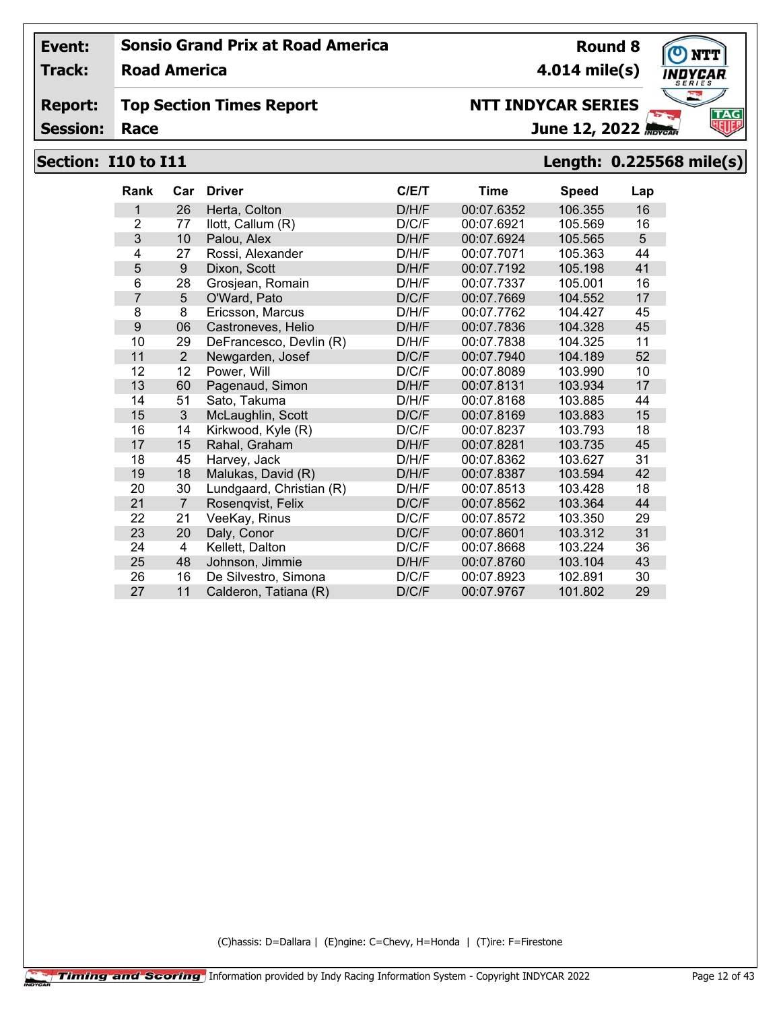**Track: Road America**

#### **Report: Top Section Times Report**

**Session:**

# **4.014 mile(s)**

# **NTT INDYCAR SERIES**

June 12, 2022

## **Section: I10 to I11 Length: 0.225568 mile(s)**

| <b>Rank</b>    | Car            | <b>Driver</b>            | C/E/T | <b>Time</b> | <b>Speed</b> | Lap |
|----------------|----------------|--------------------------|-------|-------------|--------------|-----|
| 1              | 26             | Herta, Colton            | D/H/F | 00:07.6352  | 106.355      | 16  |
| $\overline{2}$ | 77             | llott, Callum (R)        | D/C/F | 00:07.6921  | 105.569      | 16  |
| 3              | 10             | Palou, Alex              | D/H/F | 00:07.6924  | 105.565      | 5   |
| 4              | 27             | Rossi, Alexander         | D/H/F | 00:07.7071  | 105.363      | 44  |
| 5              | 9              | Dixon, Scott             | D/H/F | 00:07.7192  | 105.198      | 41  |
| 6              | 28             | Grosjean, Romain         | D/H/F | 00:07.7337  | 105.001      | 16  |
| 7              | 5              | O'Ward, Pato             | D/C/F | 00:07.7669  | 104.552      | 17  |
| 8              | 8              | Ericsson, Marcus         | D/H/F | 00:07.7762  | 104.427      | 45  |
| 9              | 06             | Castroneves, Helio       | D/H/F | 00:07.7836  | 104.328      | 45  |
| 10             | 29             | DeFrancesco, Devlin (R)  | D/H/F | 00:07.7838  | 104.325      | 11  |
| 11             | $\overline{2}$ | Newgarden, Josef         | D/C/F | 00:07.7940  | 104.189      | 52  |
| 12             | 12             | Power, Will              | D/C/F | 00:07.8089  | 103.990      | 10  |
| 13             | 60             | Pagenaud, Simon          | D/H/F | 00:07.8131  | 103.934      | 17  |
| 14             | 51             | Sato, Takuma             | D/H/F | 00:07.8168  | 103.885      | 44  |
| 15             | 3              | McLaughlin, Scott        | D/C/F | 00:07.8169  | 103.883      | 15  |
| 16             | 14             | Kirkwood, Kyle (R)       | D/C/F | 00:07.8237  | 103.793      | 18  |
| 17             | 15             | Rahal, Graham            | D/H/F | 00:07.8281  | 103.735      | 45  |
| 18             | 45             | Harvey, Jack             | D/H/F | 00:07.8362  | 103.627      | 31  |
| 19             | 18             | Malukas, David (R)       | D/H/F | 00:07.8387  | 103.594      | 42  |
| 20             | 30             | Lundgaard, Christian (R) | D/H/F | 00:07.8513  | 103.428      | 18  |
| 21             | $\overline{7}$ | Rosenqvist, Felix        | D/C/F | 00:07.8562  | 103.364      | 44  |
| 22             | 21             | VeeKay, Rinus            | D/C/F | 00:07.8572  | 103.350      | 29  |
| 23             | 20             | Daly, Conor              | D/C/F | 00:07.8601  | 103.312      | 31  |
| 24             | 4              | Kellett, Dalton          | D/C/F | 00:07.8668  | 103.224      | 36  |
| 25             | 48             | Johnson, Jimmie          | D/H/F | 00:07.8760  | 103.104      | 43  |
| 26             | 16             | De Silvestro, Simona     | D/C/F | 00:07.8923  | 102.891      | 30  |
| 27             | 11             | Calderon, Tatiana (R)    | D/C/F | 00:07.9767  | 101.802      | 29  |

(C)hassis: D=Dallara | (E)ngine: C=Chevy, H=Honda | (T)ire: F=Firestone



**Round 8**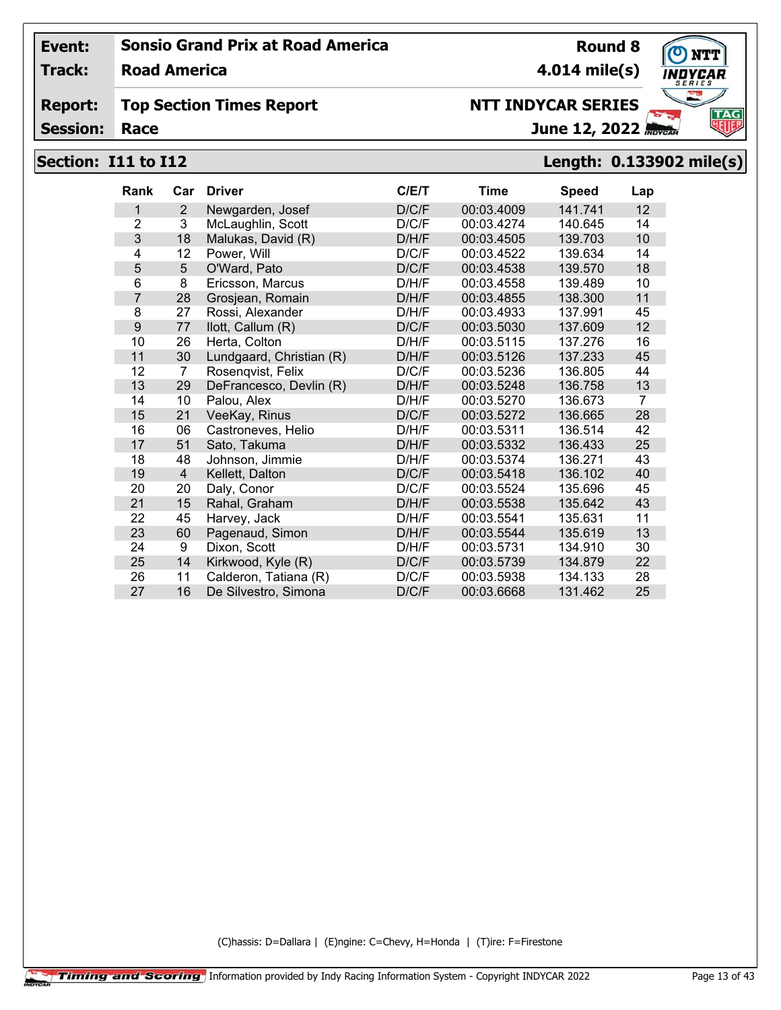**Track: Road America**

#### **Report: Top Section Times Report**

**Session:**

# **4.014 mile(s)**

**Round 8**



# **NTT INDYCAR SERIES**

June 12, 2022

## **Section: I11 to I12 Length: 0.133902 mile(s)**

| <b>Rank</b>    | Car | <b>Driver</b>            | C/ET  | Time       | <b>Speed</b> | Lap |
|----------------|-----|--------------------------|-------|------------|--------------|-----|
| 1              | 2   | Newgarden, Josef         | D/C/F | 00:03.4009 | 141.741      | 12  |
| $\overline{2}$ | 3   | McLaughlin, Scott        | D/C/F | 00:03.4274 | 140.645      | 14  |
| 3              | 18  | Malukas, David (R)       | D/H/F | 00:03.4505 | 139.703      | 10  |
| 4              | 12  | Power, Will              | D/C/F | 00:03.4522 | 139.634      | 14  |
| 5              | 5   | O'Ward, Pato             | D/C/F | 00:03.4538 | 139.570      | 18  |
| 6              | 8   | Ericsson, Marcus         | D/H/F | 00:03.4558 | 139.489      | 10  |
| 7              | 28  | Grosjean, Romain         | D/H/F | 00:03.4855 | 138.300      | 11  |
| 8              | 27  | Rossi, Alexander         | D/H/F | 00:03.4933 | 137.991      | 45  |
| 9              | 77  | llott, Callum (R)        | D/C/F | 00:03.5030 | 137.609      | 12  |
| 10             | 26  | Herta, Colton            | D/H/F | 00:03.5115 | 137.276      | 16  |
| 11             | 30  | Lundgaard, Christian (R) | D/H/F | 00:03.5126 | 137.233      | 45  |
| 12             | 7   | Rosenqvist, Felix        | D/C/F | 00:03.5236 | 136.805      | 44  |
| 13             | 29  | DeFrancesco, Devlin (R)  | D/H/F | 00:03.5248 | 136.758      | 13  |
| 14             | 10  | Palou, Alex              | D/H/F | 00:03.5270 | 136.673      | 7   |
| 15             | 21  | VeeKay, Rinus            | D/C/F | 00:03.5272 | 136.665      | 28  |
| 16             | 06  | Castroneves, Helio       | D/H/F | 00:03.5311 | 136.514      | 42  |
| 17             | 51  | Sato, Takuma             | D/H/F | 00:03.5332 | 136.433      | 25  |
| 18             | 48  | Johnson, Jimmie          | D/H/F | 00:03.5374 | 136.271      | 43  |
| 19             | 4   | Kellett, Dalton          | D/C/F | 00:03.5418 | 136.102      | 40  |
| 20             | 20  | Daly, Conor              | D/C/F | 00:03.5524 | 135.696      | 45  |
| 21             | 15  | Rahal, Graham            | D/H/F | 00:03.5538 | 135.642      | 43  |
| 22             | 45  | Harvey, Jack             | D/H/F | 00:03.5541 | 135.631      | 11  |
| 23             | 60  | Pagenaud, Simon          | D/H/F | 00:03.5544 | 135.619      | 13  |
| 24             | 9   | Dixon, Scott             | D/H/F | 00:03.5731 | 134.910      | 30  |
| 25             | 14  | Kirkwood, Kyle (R)       | D/C/F | 00:03.5739 | 134.879      | 22  |
| 26             | 11  | Calderon, Tatiana (R)    | D/C/F | 00:03.5938 | 134.133      | 28  |
| 27             | 16  | De Silvestro, Simona     | D/C/F | 00:03.6668 | 131.462      | 25  |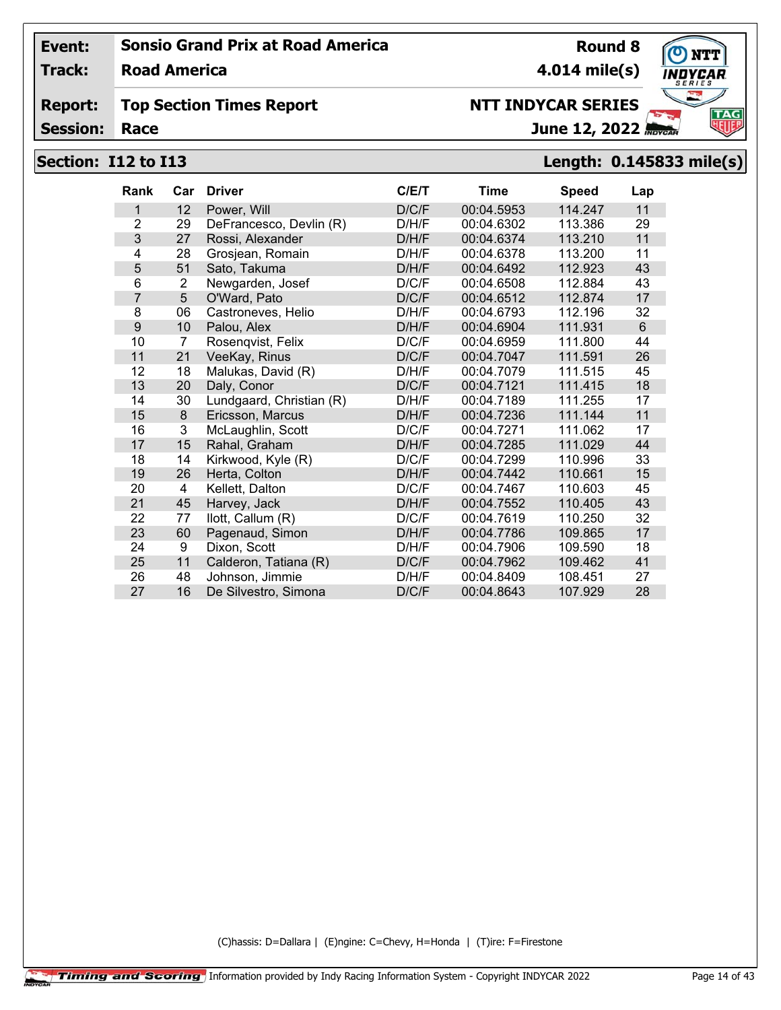**Track: Road America**

#### **Report: Top Section Times Report**

**Session:**

# **NTT INDYCAR SERIES**

June 12, 2022

**4.014 mile(s)**

**Round 8**

# **Section: I12 to I13 Length: 0.145833 mile(s)**

| Rank | Car            | <b>Driver</b>            | C/E/T | Time       | <b>Speed</b> | Lap |
|------|----------------|--------------------------|-------|------------|--------------|-----|
| 1    | 12             | Power, Will              | D/C/F | 00:04.5953 | 114.247      | 11  |
| 2    | 29             | DeFrancesco, Devlin (R)  | D/H/F | 00:04.6302 | 113.386      | 29  |
| 3    | 27             | Rossi, Alexander         | D/H/F | 00:04.6374 | 113.210      | 11  |
| 4    | 28             | Grosjean, Romain         | D/H/F | 00:04.6378 | 113.200      | 11  |
| 5    | 51             | Sato, Takuma             | D/H/F | 00:04.6492 | 112.923      | 43  |
| 6    | 2              | Newgarden, Josef         | D/C/F | 00:04.6508 | 112.884      | 43  |
| 7    | 5              | O'Ward, Pato             | D/C/F | 00:04.6512 | 112.874      | 17  |
| 8    | 06             | Castroneves, Helio       | D/H/F | 00:04.6793 | 112.196      | 32  |
| 9    | 10             | Palou, Alex              | D/H/F | 00:04.6904 | 111.931      | 6   |
| 10   | $\overline{7}$ | Rosenqvist, Felix        | D/C/F | 00:04.6959 | 111.800      | 44  |
| 11   | 21             | VeeKay, Rinus            | D/C/F | 00:04.7047 | 111.591      | 26  |
| 12   | 18             | Malukas, David (R)       | D/H/F | 00:04.7079 | 111.515      | 45  |
| 13   | 20             | Daly, Conor              | D/C/F | 00:04.7121 | 111.415      | 18  |
| 14   | 30             | Lundgaard, Christian (R) | D/H/F | 00:04.7189 | 111.255      | 17  |
| 15   | 8              | Ericsson, Marcus         | D/H/F | 00:04.7236 | 111.144      | 11  |
| 16   | 3              | McLaughlin, Scott        | D/C/F | 00:04.7271 | 111.062      | 17  |
| 17   | 15             | Rahal, Graham            | D/H/F | 00:04.7285 | 111.029      | 44  |
| 18   | 14             | Kirkwood, Kyle (R)       | D/C/F | 00:04.7299 | 110.996      | 33  |
| 19   | 26             | Herta, Colton            | D/H/F | 00:04.7442 | 110.661      | 15  |
| 20   | 4              | Kellett, Dalton          | D/C/F | 00:04.7467 | 110.603      | 45  |
| 21   | 45             | Harvey, Jack             | D/H/F | 00:04.7552 | 110.405      | 43  |
| 22   | 77             | llott, Callum (R)        | D/C/F | 00:04.7619 | 110.250      | 32  |
| 23   | 60             | Pagenaud, Simon          | D/H/F | 00:04.7786 | 109.865      | 17  |
| 24   | 9              | Dixon, Scott             | D/H/F | 00:04.7906 | 109.590      | 18  |
| 25   | 11             | Calderon, Tatiana (R)    | D/C/F | 00:04.7962 | 109.462      | 41  |
| 26   | 48             | Johnson, Jimmie          | D/H/F | 00:04.8409 | 108.451      | 27  |
| 27   | 16             | De Silvestro, Simona     | D/C/F | 00:04.8643 | 107.929      | 28  |

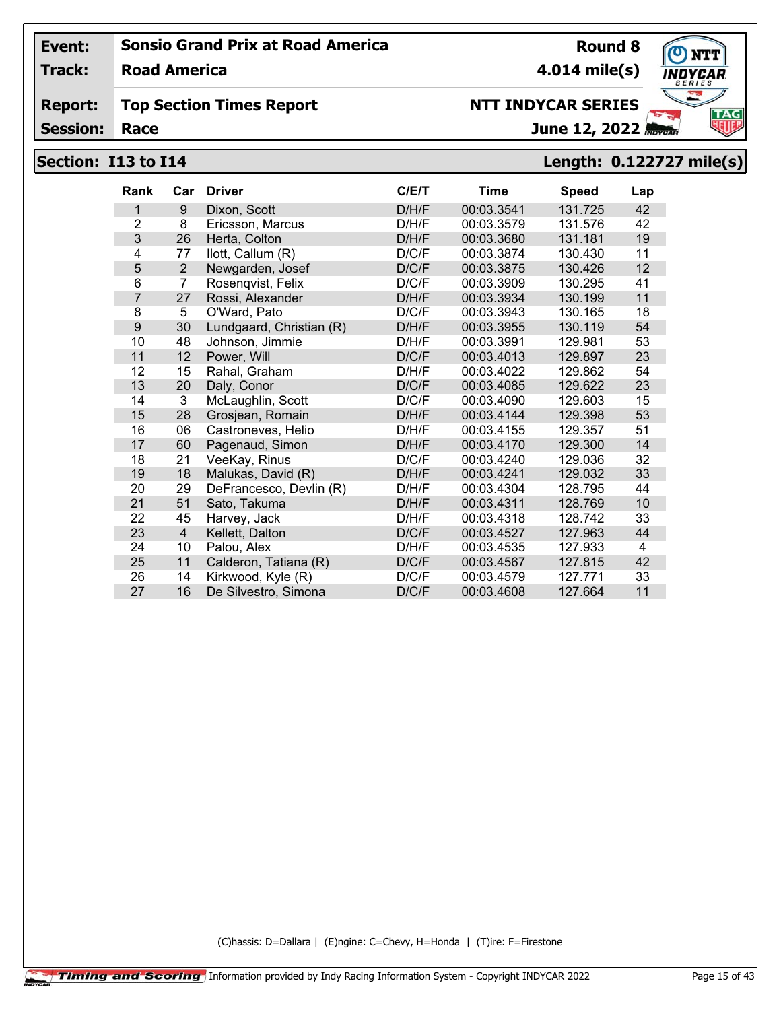**Track: Road America**

#### **Report: Top Section Times Report**

**Session:**

# **NTT INDYCAR SERIES**

**4.014 mile(s)**

**Round 8**

June 12, 2022

# **Section: I13 to I14 Length: 0.122727 mile(s)**

| <b>Rank</b>    | Car            | <b>Driver</b>            | C/E/T | Time       | <b>Speed</b> | Lap |
|----------------|----------------|--------------------------|-------|------------|--------------|-----|
| 1              | 9              | Dixon, Scott             | D/H/F | 00:03.3541 | 131.725      | 42  |
| $\overline{2}$ | 8              | Ericsson, Marcus         | D/H/F | 00:03.3579 | 131.576      | 42  |
| 3              | 26             | Herta, Colton            | D/H/F | 00:03.3680 | 131.181      | 19  |
| 4              | 77             | llott, Callum (R)        | D/C/F | 00:03.3874 | 130.430      | 11  |
| 5              | $\overline{2}$ | Newgarden, Josef         | D/C/F | 00:03.3875 | 130.426      | 12  |
| 6              | $\overline{7}$ | Rosengvist, Felix        | D/C/F | 00:03.3909 | 130.295      | 41  |
| 7              | 27             | Rossi, Alexander         | D/H/F | 00:03.3934 | 130.199      | 11  |
| 8              | 5              | O'Ward, Pato             | D/C/F | 00:03.3943 | 130.165      | 18  |
| 9              | 30             | Lundgaard, Christian (R) | D/H/F | 00:03.3955 | 130.119      | 54  |
| 10             | 48             | Johnson, Jimmie          | D/H/F | 00:03.3991 | 129.981      | 53  |
| 11             | 12             | Power, Will              | D/C/F | 00:03.4013 | 129.897      | 23  |
| 12             | 15             | Rahal, Graham            | D/H/F | 00:03.4022 | 129.862      | 54  |
| 13             | 20             | Daly, Conor              | D/C/F | 00:03.4085 | 129.622      | 23  |
| 14             | 3              | McLaughlin, Scott        | D/C/F | 00:03.4090 | 129.603      | 15  |
| 15             | 28             | Grosjean, Romain         | D/H/F | 00:03.4144 | 129.398      | 53  |
| 16             | 06             | Castroneves, Helio       | D/H/F | 00:03.4155 | 129.357      | 51  |
| 17             | 60             | Pagenaud, Simon          | D/H/F | 00:03.4170 | 129.300      | 14  |
| 18             | 21             | VeeKay, Rinus            | D/C/F | 00:03.4240 | 129.036      | 32  |
| 19             | 18             | Malukas, David (R)       | D/H/F | 00:03.4241 | 129.032      | 33  |
| 20             | 29             | DeFrancesco, Devlin (R)  | D/H/F | 00:03.4304 | 128.795      | 44  |
| 21             | 51             | Sato, Takuma             | D/H/F | 00:03.4311 | 128.769      | 10  |
| 22             | 45             | Harvey, Jack             | D/H/F | 00:03.4318 | 128.742      | 33  |
| 23             | $\overline{4}$ | Kellett, Dalton          | D/C/F | 00:03.4527 | 127.963      | 44  |
| 24             | 10             | Palou, Alex              | D/H/F | 00:03.4535 | 127.933      | 4   |
| 25             | 11             | Calderon, Tatiana (R)    | D/C/F | 00:03.4567 | 127.815      | 42  |
| 26             | 14             | Kirkwood, Kyle (R)       | D/C/F | 00:03.4579 | 127.771      | 33  |
| 27             | 16             | De Silvestro, Simona     | D/C/F | 00:03.4608 | 127.664      | 11  |

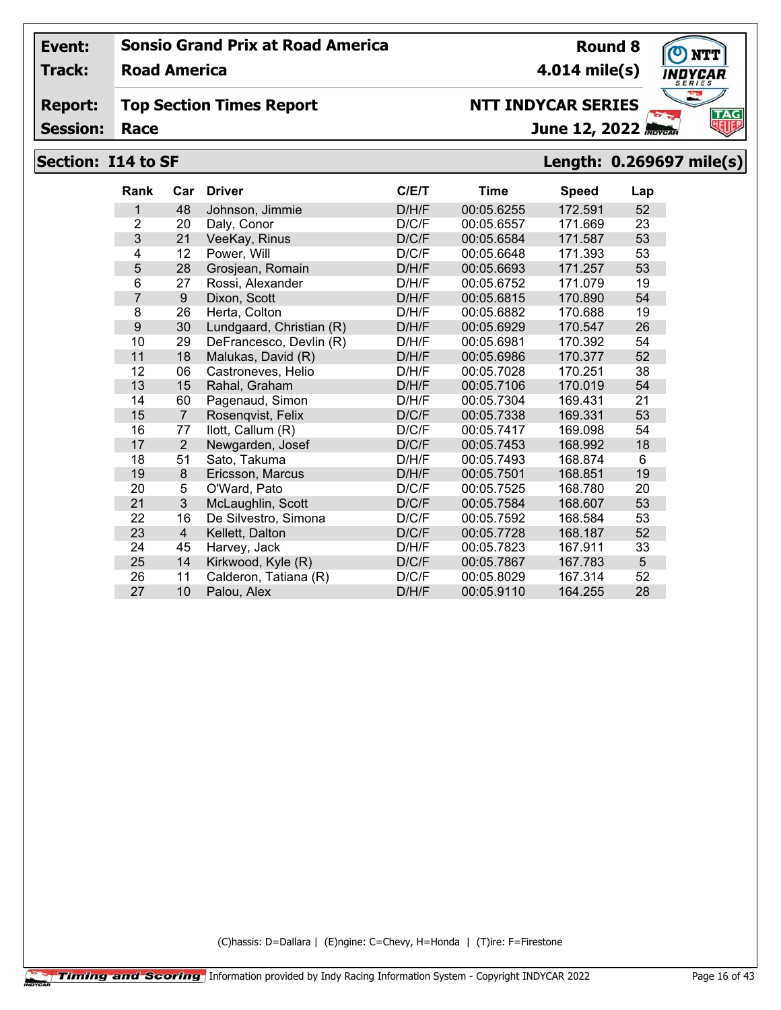**Track: Road America**

#### **Report: Top Section Times Report**

**Session:**

# **NTT INDYCAR SERIES**

June 12, 2022

**4.014 mile(s)**

# **Section: I14 to SF Length: 0.269697 mile(s)**

| <b>Rank</b>    | Car            | <b>Driver</b>            | C/E/T | Time       | <b>Speed</b> | Lap |
|----------------|----------------|--------------------------|-------|------------|--------------|-----|
| 1              | 48             | Johnson, Jimmie          | D/H/F | 00:05.6255 | 172.591      | 52  |
| $\overline{2}$ | 20             | Daly, Conor              | D/C/F | 00:05.6557 | 171.669      | 23  |
| 3              | 21             | VeeKay, Rinus            | D/C/F | 00:05.6584 | 171.587      | 53  |
| 4              | 12             | Power, Will              | D/C/F | 00:05.6648 | 171.393      | 53  |
| 5              | 28             | Grosjean, Romain         | D/H/F | 00:05.6693 | 171.257      | 53  |
| 6              | 27             | Rossi, Alexander         | D/H/F | 00:05.6752 | 171.079      | 19  |
| 7              | 9              | Dixon, Scott             | D/H/F | 00:05.6815 | 170.890      | 54  |
| 8              | 26             | Herta, Colton            | D/H/F | 00:05.6882 | 170.688      | 19  |
| 9              | 30             | Lundgaard, Christian (R) | D/H/F | 00:05.6929 | 170.547      | 26  |
| 10             | 29             | DeFrancesco, Devlin (R)  | D/H/F | 00:05.6981 | 170.392      | 54  |
| 11             | 18             | Malukas, David (R)       | D/H/F | 00:05.6986 | 170.377      | 52  |
| 12             | 06             | Castroneves, Helio       | D/H/F | 00:05.7028 | 170.251      | 38  |
| 13             | 15             | Rahal, Graham            | D/H/F | 00:05.7106 | 170.019      | 54  |
| 14             | 60             | Pagenaud, Simon          | D/H/F | 00:05.7304 | 169.431      | 21  |
| 15             | $\overline{7}$ | Rosenqvist, Felix        | D/C/F | 00:05.7338 | 169.331      | 53  |
| 16             | 77             | llott, Callum (R)        | D/C/F | 00:05.7417 | 169.098      | 54  |
| 17             | 2              | Newgarden, Josef         | D/C/F | 00:05.7453 | 168.992      | 18  |
| 18             | 51             | Sato, Takuma             | D/H/F | 00:05.7493 | 168.874      | 6   |
| 19             | 8              | Ericsson, Marcus         | D/H/F | 00:05.7501 | 168.851      | 19  |
| 20             | 5              | O'Ward, Pato             | D/C/F | 00:05.7525 | 168.780      | 20  |
| 21             | 3              | McLaughlin, Scott        | D/C/F | 00:05.7584 | 168.607      | 53  |
| 22             | 16             | De Silvestro, Simona     | D/C/F | 00:05.7592 | 168.584      | 53  |
| 23             | $\overline{4}$ | Kellett, Dalton          | D/C/F | 00:05.7728 | 168.187      | 52  |
| 24             | 45             | Harvey, Jack             | D/H/F | 00:05.7823 | 167.911      | 33  |
| 25             | 14             | Kirkwood, Kyle (R)       | D/C/F | 00:05.7867 | 167.783      | 5   |
| 26             | 11             | Calderon, Tatiana (R)    | D/C/F | 00:05.8029 | 167.314      | 52  |
| 27             | 10             | Palou, Alex              | D/H/F | 00:05.9110 | 164.255      | 28  |

(C)hassis: D=Dallara | (E)ngine: C=Chevy, H=Honda | (T)ire: F=Firestone



**Round 8**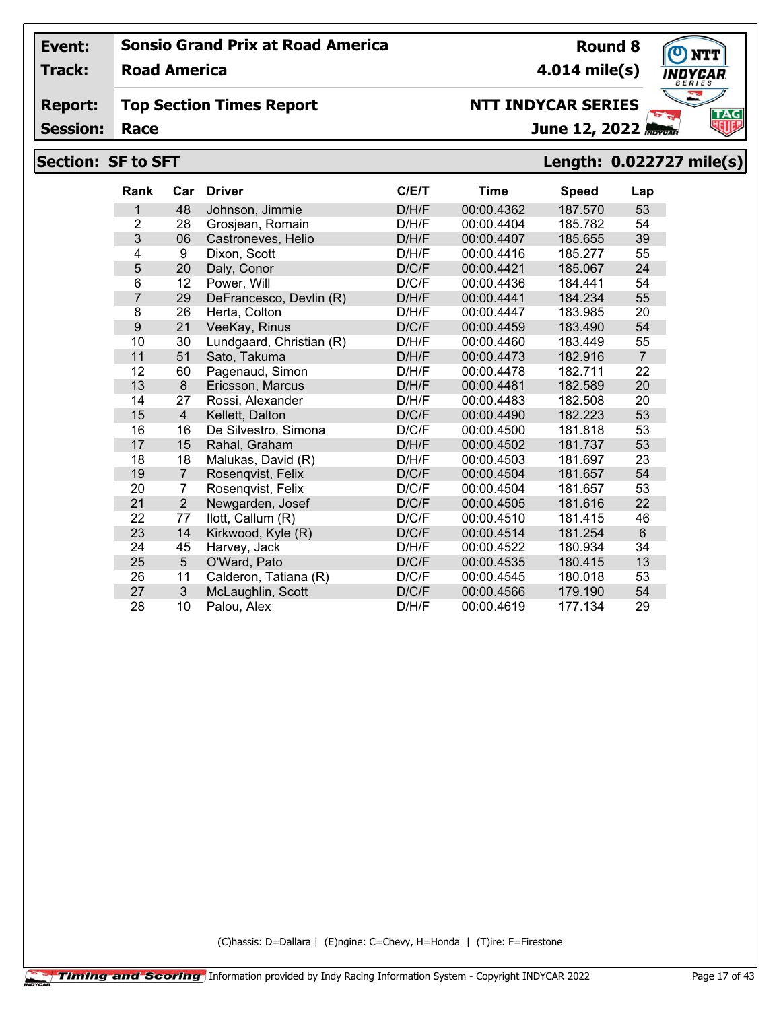**Track: Road America**

#### **Report: Top Section Times Report**

**Session:**

# **NTT INDYCAR SERIES**

June 12, 2022

# **Section: SF to SFT Length: 0.022727 mile(s)**

| Rank | Car             | <b>Driver</b>            | C/E/T | <b>Time</b> | <b>Speed</b> | Lap            |
|------|-----------------|--------------------------|-------|-------------|--------------|----------------|
| 1    | 48              | Johnson, Jimmie          | D/H/F | 00:00.4362  | 187.570      | 53             |
| 2    | 28              | Grosjean, Romain         | D/H/F | 00:00.4404  | 185.782      | 54             |
| 3    | 06              | Castroneves, Helio       | D/H/F | 00:00.4407  | 185.655      | 39             |
| 4    | 9               | Dixon, Scott             | D/H/F | 00:00.4416  | 185.277      | 55             |
| 5    | 20              | Daly, Conor              | D/C/F | 00:00.4421  | 185.067      | 24             |
| 6    | 12              | Power, Will              | D/C/F | 00:00.4436  | 184.441      | 54             |
| 7    | 29              | DeFrancesco, Devlin (R)  | D/H/F | 00:00.4441  | 184.234      | 55             |
| 8    | 26              | Herta, Colton            | D/H/F | 00:00.4447  | 183.985      | 20             |
| 9    | 21              | VeeKay, Rinus            | D/C/F | 00:00.4459  | 183.490      | 54             |
| 10   | 30              | Lundgaard, Christian (R) | D/H/F | 00:00.4460  | 183.449      | 55             |
| 11   | 51              | Sato, Takuma             | D/H/F | 00:00.4473  | 182.916      | $\overline{7}$ |
| 12   | 60              | Pagenaud, Simon          | D/H/F | 00:00.4478  | 182.711      | 22             |
| 13   | 8               | Ericsson, Marcus         | D/H/F | 00:00.4481  | 182.589      | 20             |
| 14   | 27              | Rossi, Alexander         | D/H/F | 00:00.4483  | 182.508      | 20             |
| 15   | $\overline{4}$  | Kellett, Dalton          | D/C/F | 00:00.4490  | 182.223      | 53             |
| 16   | 16              | De Silvestro, Simona     | D/C/F | 00:00.4500  | 181.818      | 53             |
| 17   | 15              | Rahal, Graham            | D/H/F | 00:00.4502  | 181.737      | 53             |
| 18   | 18              | Malukas, David (R)       | D/H/F | 00:00.4503  | 181.697      | 23             |
| 19   | $\overline{7}$  | Rosenqvist, Felix        | D/C/F | 00:00.4504  | 181.657      | 54             |
| 20   | 7               | Rosengvist, Felix        | D/C/F | 00:00.4504  | 181.657      | 53             |
| 21   | $\overline{2}$  | Newgarden, Josef         | D/C/F | 00:00.4505  | 181.616      | 22             |
| 22   | 77              | llott, Callum (R)        | D/C/F | 00:00.4510  | 181.415      | 46             |
| 23   | 14              | Kirkwood, Kyle (R)       | D/C/F | 00:00.4514  | 181.254      | 6              |
| 24   | 45              | Harvey, Jack             | D/H/F | 00:00.4522  | 180.934      | 34             |
| 25   | $5\phantom{.0}$ | O'Ward, Pato             | D/C/F | 00:00.4535  | 180.415      | 13             |
| 26   | 11              | Calderon, Tatiana (R)    | D/C/F | 00:00.4545  | 180.018      | 53             |
| 27   | $\mathbf{3}$    | McLaughlin, Scott        | D/C/F | 00:00.4566  | 179.190      | 54             |
| 28   | 10              | Palou, Alex              | D/H/F | 00:00.4619  | 177.134      | 29             |

(C)hassis: D=Dallara | (E)ngine: C=Chevy, H=Honda | (T)ire: F=Firestone

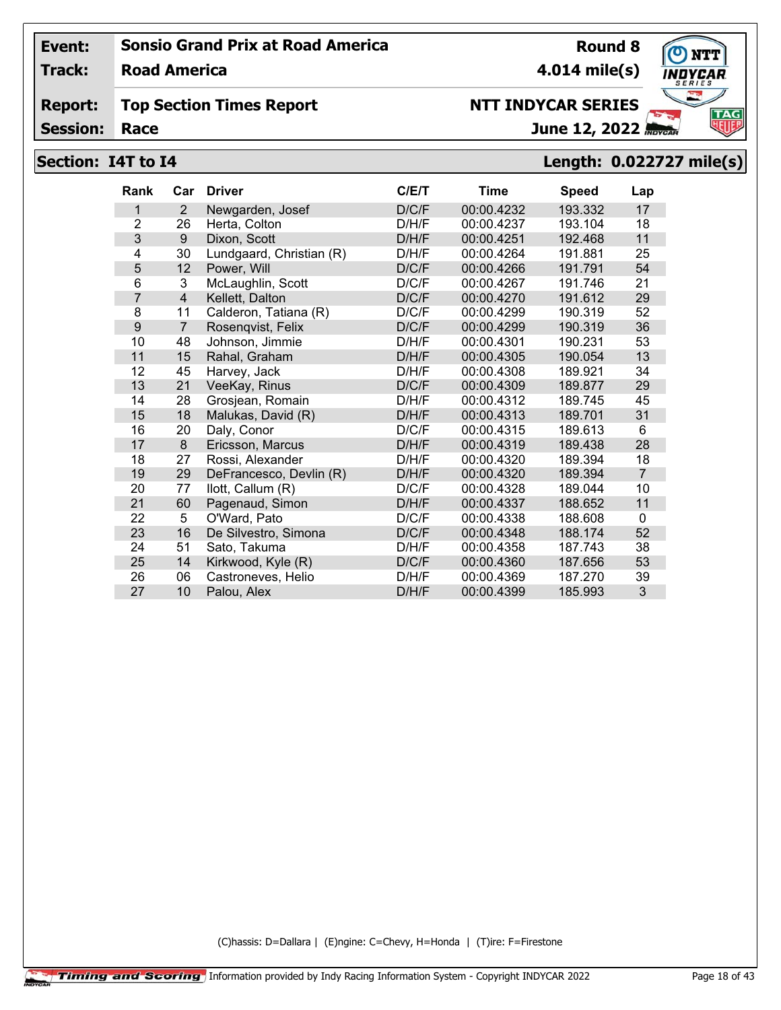**Track: Road America**

#### **Report: Top Section Times Report**

**Session:**

# June 12, 2022

**4.014 mile(s)**

## **Section: I4T to I4 Length: 0.022727 mile(s)**

| <b>Rank</b>    | Car            | <b>Driver</b>            | C/ET  | Time       | <b>Speed</b> | Lap            |
|----------------|----------------|--------------------------|-------|------------|--------------|----------------|
| 1              | $\overline{2}$ | Newgarden, Josef         | D/C/F | 00:00.4232 | 193.332      | 17             |
| $\overline{2}$ | 26             | Herta, Colton            | D/H/F | 00:00.4237 | 193.104      | 18             |
| 3              | 9              | Dixon, Scott             | D/H/F | 00:00.4251 | 192.468      | 11             |
| 4              | 30             | Lundgaard, Christian (R) | D/H/F | 00:00.4264 | 191.881      | 25             |
| 5              | 12             | Power, Will              | D/C/F | 00:00.4266 | 191.791      | 54             |
| 6              | 3              | McLaughlin, Scott        | D/C/F | 00:00.4267 | 191.746      | 21             |
| $\overline{7}$ | $\overline{4}$ | Kellett, Dalton          | D/C/F | 00:00.4270 | 191.612      | 29             |
| 8              | 11             | Calderon, Tatiana (R)    | D/C/F | 00:00.4299 | 190.319      | 52             |
| 9              | $\overline{7}$ | Rosengvist, Felix        | D/C/F | 00:00.4299 | 190.319      | 36             |
| 10             | 48             | Johnson, Jimmie          | D/H/F | 00:00.4301 | 190.231      | 53             |
| 11             | 15             | Rahal, Graham            | D/H/F | 00:00.4305 | 190.054      | 13             |
| 12             | 45             | Harvey, Jack             | D/H/F | 00:00.4308 | 189.921      | 34             |
| 13             | 21             | VeeKay, Rinus            | D/C/F | 00:00.4309 | 189.877      | 29             |
| 14             | 28             | Grosjean, Romain         | D/H/F | 00:00.4312 | 189.745      | 45             |
| 15             | 18             | Malukas, David (R)       | D/H/F | 00:00.4313 | 189.701      | 31             |
| 16             | 20             | Daly, Conor              | D/C/F | 00:00.4315 | 189.613      | 6              |
| 17             | 8              | Ericsson, Marcus         | D/H/F | 00:00.4319 | 189.438      | 28             |
| 18             | 27             | Rossi, Alexander         | D/H/F | 00:00.4320 | 189.394      | 18             |
| 19             | 29             | DeFrancesco, Devlin (R)  | D/H/F | 00:00.4320 | 189.394      | $\overline{7}$ |
| 20             | 77             | llott, Callum (R)        | D/C/F | 00:00.4328 | 189.044      | 10             |
| 21             | 60             | Pagenaud, Simon          | D/H/F | 00:00.4337 | 188.652      | 11             |
| 22             | 5              | O'Ward, Pato             | D/C/F | 00:00.4338 | 188.608      | 0              |
| 23             | 16             | De Silvestro, Simona     | D/C/F | 00:00.4348 | 188.174      | 52             |
| 24             | 51             | Sato, Takuma             | D/H/F | 00:00.4358 | 187.743      | 38             |
| 25             | 14             | Kirkwood, Kyle (R)       | D/C/F | 00:00.4360 | 187.656      | 53             |
| 26             | 06             | Castroneves, Helio       | D/H/F | 00:00.4369 | 187.270      | 39             |
| 27             | 10             | Palou, Alex              | D/H/F | 00:00.4399 | 185.993      | 3              |

(C)hassis: D=Dallara | (E)ngine: C=Chevy, H=Honda | (T)ire: F=Firestone



**Round 8**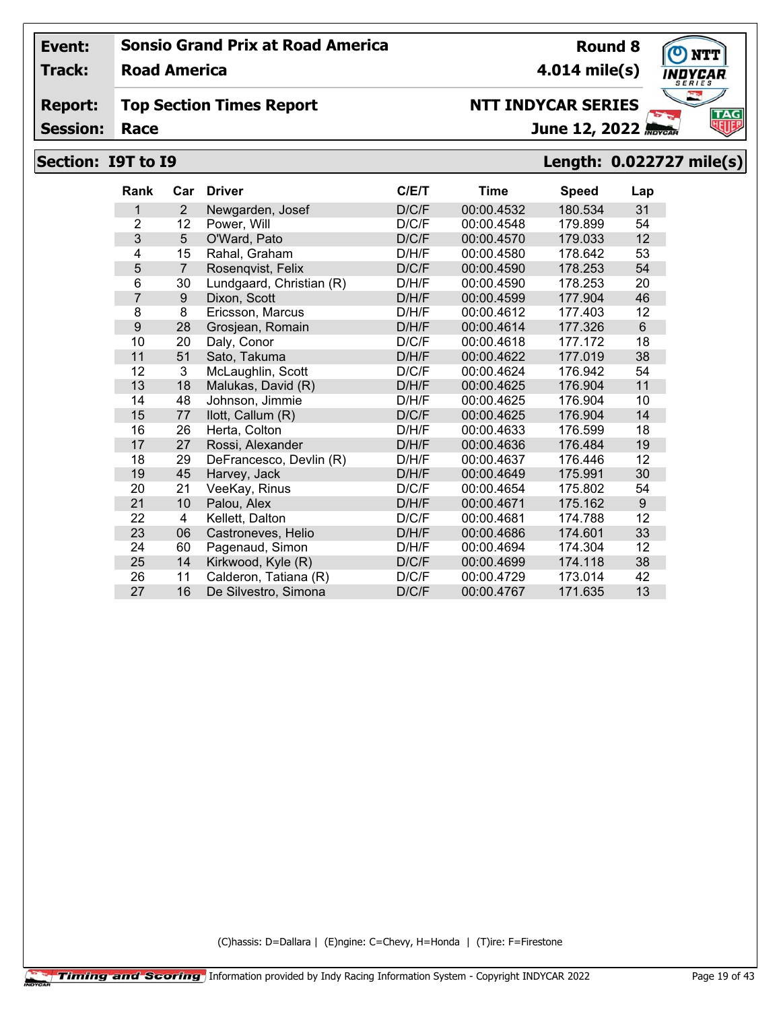**Track: Road America**

#### **Report: Top Section Times Report**

**Session:**

# **NTT INDYCAR SERIES**

June 12, 2022

# **Section: I9T to I9 Length: 0.022727 mile(s)**

| <b>Rank</b>    | Car            | <b>Driver</b>            | C/E/T | <b>Time</b> | <b>Speed</b> | Lap |
|----------------|----------------|--------------------------|-------|-------------|--------------|-----|
| 1              | 2              | Newgarden, Josef         | D/C/F | 00:00.4532  | 180.534      | 31  |
| $\overline{2}$ | 12             | Power, Will              | D/C/F | 00:00.4548  | 179.899      | 54  |
| 3              | 5              | O'Ward, Pato             | D/C/F | 00:00.4570  | 179.033      | 12  |
| 4              | 15             | Rahal, Graham            | D/H/F | 00:00.4580  | 178.642      | 53  |
| 5              | $\overline{7}$ | Rosenqvist, Felix        | D/C/F | 00:00.4590  | 178.253      | 54  |
| 6              | 30             | Lundgaard, Christian (R) | D/H/F | 00:00.4590  | 178.253      | 20  |
| 7              | 9              | Dixon, Scott             | D/H/F | 00:00.4599  | 177.904      | 46  |
| 8              | 8              | Ericsson, Marcus         | D/H/F | 00:00.4612  | 177.403      | 12  |
| 9              | 28             | Grosjean, Romain         | D/H/F | 00:00.4614  | 177.326      | 6   |
| 10             | 20             | Daly, Conor              | D/C/F | 00:00.4618  | 177.172      | 18  |
| 11             | 51             | Sato, Takuma             | D/H/F | 00:00.4622  | 177.019      | 38  |
| 12             | 3              | McLaughlin, Scott        | D/C/F | 00:00.4624  | 176.942      | 54  |
| 13             | 18             | Malukas, David (R)       | D/H/F | 00:00.4625  | 176.904      | 11  |
| 14             | 48             | Johnson, Jimmie          | D/H/F | 00:00.4625  | 176.904      | 10  |
| 15             | 77             | llott, Callum (R)        | D/C/F | 00:00.4625  | 176.904      | 14  |
| 16             | 26             | Herta, Colton            | D/H/F | 00:00.4633  | 176.599      | 18  |
| 17             | 27             | Rossi, Alexander         | D/H/F | 00:00.4636  | 176.484      | 19  |
| 18             | 29             | DeFrancesco, Devlin (R)  | D/H/F | 00:00.4637  | 176.446      | 12  |
| 19             | 45             | Harvey, Jack             | D/H/F | 00:00.4649  | 175.991      | 30  |
| 20             | 21             | VeeKay, Rinus            | D/C/F | 00:00.4654  | 175.802      | 54  |
| 21             | 10             | Palou, Alex              | D/H/F | 00:00.4671  | 175.162      | 9   |
| 22             | 4              | Kellett, Dalton          | D/C/F | 00:00.4681  | 174.788      | 12  |
| 23             | 06             | Castroneves, Helio       | D/H/F | 00:00.4686  | 174.601      | 33  |
| 24             | 60             | Pagenaud, Simon          | D/H/F | 00:00.4694  | 174.304      | 12  |
| 25             | 14             | Kirkwood, Kyle (R)       | D/C/F | 00:00.4699  | 174.118      | 38  |
| 26             | 11             | Calderon, Tatiana (R)    | D/C/F | 00:00.4729  | 173.014      | 42  |
| 27             | 16             | De Silvestro, Simona     | D/C/F | 00:00.4767  | 171.635      | 13  |

(C)hassis: D=Dallara | (E)ngine: C=Chevy, H=Honda | (T)ire: F=Firestone



**Round 8**

**4.014 mile(s)**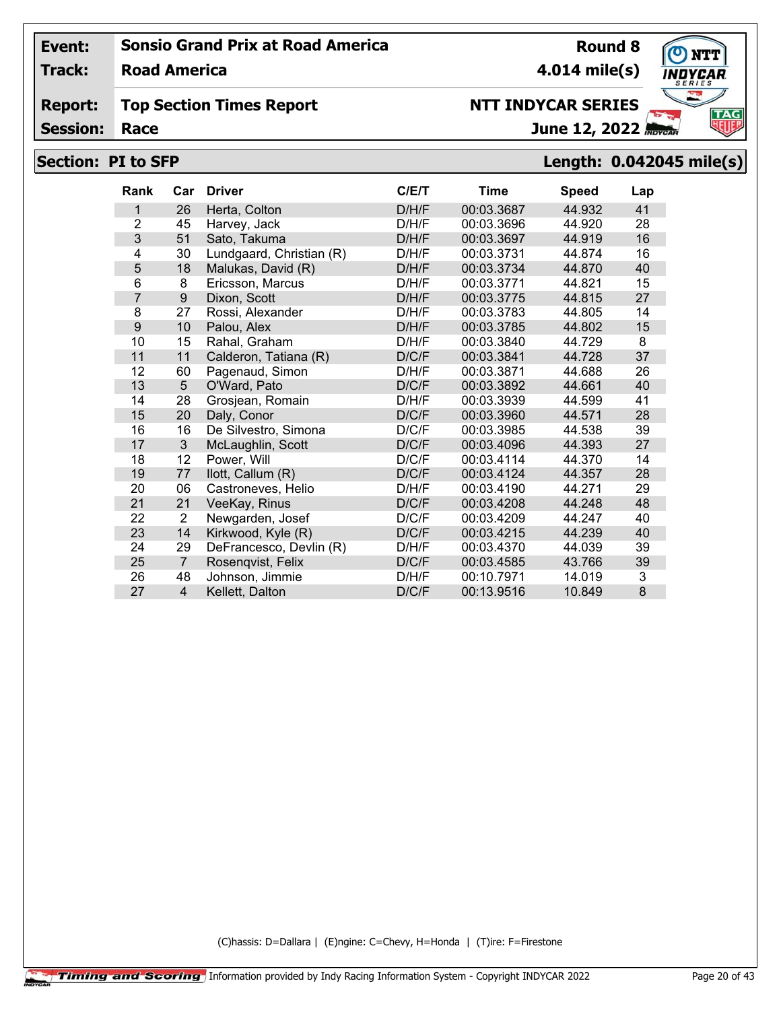**Track: Road America**

#### **Report: Top Section Times Report**

**Session:**

# **Section: PI to SFP Length: 0.042045 mile(s)**

| Rank           | Car              | <b>Driver</b>            | C/E/T | Time       | <b>Speed</b> | Lap |
|----------------|------------------|--------------------------|-------|------------|--------------|-----|
| 1              | 26               | Herta, Colton            | D/H/F | 00:03.3687 | 44.932       | 41  |
| $\overline{2}$ | 45               | Harvey, Jack             | D/H/F | 00:03.3696 | 44.920       | 28  |
| 3              | 51               | Sato, Takuma             | D/H/F | 00:03.3697 | 44.919       | 16  |
| 4              | 30               | Lundgaard, Christian (R) | D/H/F | 00:03.3731 | 44.874       | 16  |
| 5              | 18               | Malukas, David (R)       | D/H/F | 00:03.3734 | 44.870       | 40  |
| 6              | 8                | Ericsson, Marcus         | D/H/F | 00:03.3771 | 44.821       | 15  |
| $\overline{7}$ | $\boldsymbol{9}$ | Dixon, Scott             | D/H/F | 00:03.3775 | 44.815       | 27  |
| 8              | 27               | Rossi, Alexander         | D/H/F | 00:03.3783 | 44.805       | 14  |
| 9              | 10               | Palou, Alex              | D/H/F | 00:03.3785 | 44.802       | 15  |
| 10             | 15               | Rahal, Graham            | D/H/F | 00:03.3840 | 44.729       | 8   |
| 11             | 11               | Calderon, Tatiana (R)    | D/C/F | 00:03.3841 | 44.728       | 37  |
| 12             | 60               | Pagenaud, Simon          | D/H/F | 00:03.3871 | 44.688       | 26  |
| 13             | 5                | O'Ward, Pato             | D/C/F | 00:03.3892 | 44.661       | 40  |
| 14             | 28               | Grosjean, Romain         | D/H/F | 00:03.3939 | 44.599       | 41  |
| 15             | 20               | Daly, Conor              | D/C/F | 00:03.3960 | 44.571       | 28  |
| 16             | 16               | De Silvestro, Simona     | D/C/F | 00:03.3985 | 44.538       | 39  |
| 17             | 3                | McLaughlin, Scott        | D/C/F | 00:03.4096 | 44.393       | 27  |
| 18             | 12               | Power, Will              | D/C/F | 00:03.4114 | 44.370       | 14  |
| 19             | 77               | llott, Callum (R)        | D/C/F | 00:03.4124 | 44.357       | 28  |
| 20             | 06               | Castroneves, Helio       | D/H/F | 00:03.4190 | 44.271       | 29  |
| 21             | 21               | VeeKay, Rinus            | D/C/F | 00:03.4208 | 44.248       | 48  |
| 22             | 2                | Newgarden, Josef         | D/C/F | 00:03.4209 | 44.247       | 40  |
| 23             | 14               | Kirkwood, Kyle (R)       | D/C/F | 00:03.4215 | 44.239       | 40  |
| 24             | 29               | DeFrancesco, Devlin (R)  | D/H/F | 00:03.4370 | 44.039       | 39  |
| 25             | $\overline{7}$   | Rosenqvist, Felix        | D/C/F | 00:03.4585 | 43.766       | 39  |
| 26             | 48               | Johnson, Jimmie          | D/H/F | 00:10.7971 | 14.019       | 3   |
| 27             | $\overline{4}$   | Kellett, Dalton          | D/C/F | 00:13.9516 | 10.849       | 8   |

(C)hassis: D=Dallara | (E)ngine: C=Chevy, H=Honda | (T)ire: F=Firestone





**Round 8 4.014 mile(s)**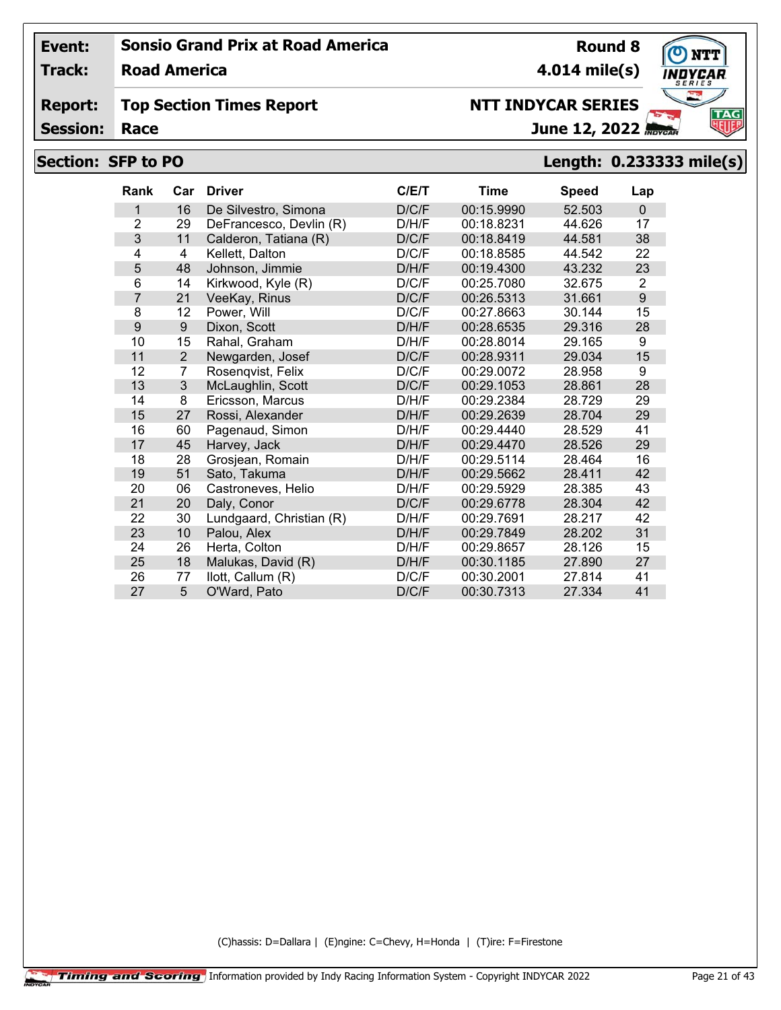**Track: Road America**

#### **Report: Top Section Times Report**

**Session:**

# June 12, 2022

## **Section: SFP to PO Length: 0.233333 mile(s)**

| Rank           | Car            | <b>Driver</b>            | C/E/T | Time       | <b>Speed</b> | Lap          |
|----------------|----------------|--------------------------|-------|------------|--------------|--------------|
| 1              | 16             | De Silvestro, Simona     | D/C/F | 00:15.9990 | 52.503       | $\mathbf{0}$ |
| $\overline{2}$ | 29             | DeFrancesco, Devlin (R)  | D/H/F | 00:18.8231 | 44.626       | 17           |
| 3              | 11             | Calderon, Tatiana (R)    | D/C/F | 00:18.8419 | 44.581       | 38           |
| 4              | 4              | Kellett, Dalton          | D/C/F | 00:18.8585 | 44.542       | 22           |
| 5              | 48             | Johnson, Jimmie          | D/H/F | 00:19.4300 | 43.232       | 23           |
| 6              | 14             | Kirkwood, Kyle (R)       | D/C/F | 00:25.7080 | 32.675       | 2            |
| 7              | 21             | VeeKay, Rinus            | D/C/F | 00:26.5313 | 31.661       | 9            |
| 8              | 12             | Power, Will              | D/C/F | 00:27.8663 | 30.144       | 15           |
| 9              | 9              | Dixon, Scott             | D/H/F | 00:28.6535 | 29.316       | 28           |
| 10             | 15             | Rahal. Graham            | D/H/F | 00:28.8014 | 29.165       | 9            |
| 11             | $\overline{2}$ | Newgarden, Josef         | D/C/F | 00:28.9311 | 29.034       | 15           |
| 12             | 7              | Rosenqvist, Felix        | D/C/F | 00:29.0072 | 28.958       | 9            |
| 13             | 3              | McLaughlin, Scott        | D/C/F | 00:29.1053 | 28.861       | 28           |
| 14             | 8              | Ericsson, Marcus         | D/H/F | 00:29.2384 | 28.729       | 29           |
| 15             | 27             | Rossi, Alexander         | D/H/F | 00:29.2639 | 28.704       | 29           |
| 16             | 60             | Pagenaud, Simon          | D/H/F | 00:29.4440 | 28.529       | 41           |
| 17             | 45             | Harvey, Jack             | D/H/F | 00:29.4470 | 28.526       | 29           |
| 18             | 28             | Grosjean, Romain         | D/H/F | 00:29.5114 | 28.464       | 16           |
| 19             | 51             | Sato, Takuma             | D/H/F | 00:29.5662 | 28.411       | 42           |
| 20             | 06             | Castroneves, Helio       | D/H/F | 00:29.5929 | 28.385       | 43           |
| 21             | 20             | Daly, Conor              | D/C/F | 00:29.6778 | 28.304       | 42           |
| 22             | 30             | Lundgaard, Christian (R) | D/H/F | 00:29.7691 | 28.217       | 42           |
| 23             | 10             | Palou, Alex              | D/H/F | 00:29.7849 | 28.202       | 31           |
| 24             | 26             | Herta, Colton            | D/H/F | 00:29.8657 | 28.126       | 15           |
| 25             | 18             | Malukas, David (R)       | D/H/F | 00:30.1185 | 27.890       | 27           |
| 26             | 77             | llott, Callum (R)        | D/C/F | 00:30.2001 | 27.814       | 41           |
| 27             | 5              | O'Ward, Pato             | D/C/F | 00:30.7313 | 27.334       | 41           |

(C)hassis: D=Dallara | (E)ngine: C=Chevy, H=Honda | (T)ire: F=Firestone



**Round 8 4.014 mile(s)**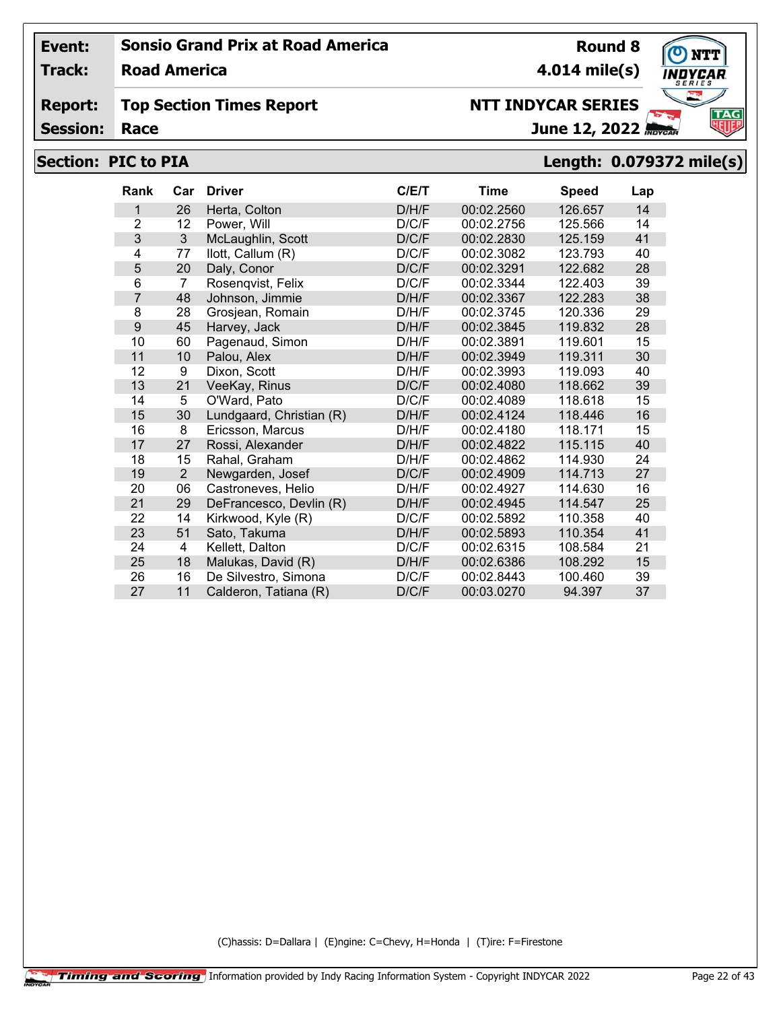**Track: Road America**

#### **Report: Top Section Times Report**

**Session:**

## **NTT INDYCAR SERIES**

June 12, 2022

# **Section: PIC to PIA Length: 0.079372 mile(s)**

| Rank           | Car            | <b>Driver</b>            | C/E/T | <b>Time</b> | <b>Speed</b> | Lap |
|----------------|----------------|--------------------------|-------|-------------|--------------|-----|
| 1              | 26             | Herta, Colton            | D/H/F | 00:02.2560  | 126.657      | 14  |
| $\overline{2}$ | 12             | Power, Will              | D/C/F | 00:02.2756  | 125.566      | 14  |
| 3              | 3              | McLaughlin, Scott        | D/C/F | 00:02.2830  | 125.159      | 41  |
| 4              | 77             | llott, Callum (R)        | D/C/F | 00:02.3082  | 123.793      | 40  |
| 5              | 20             | Daly, Conor              | D/C/F | 00:02.3291  | 122.682      | 28  |
| 6              | 7              | Rosenqvist, Felix        | D/C/F | 00:02.3344  | 122.403      | 39  |
| $\overline{7}$ | 48             | Johnson, Jimmie          | D/H/F | 00:02.3367  | 122.283      | 38  |
| 8              | 28             | Grosjean, Romain         | D/H/F | 00:02.3745  | 120.336      | 29  |
| 9              | 45             | Harvey, Jack             | D/H/F | 00:02.3845  | 119.832      | 28  |
| 10             | 60             | Pagenaud, Simon          | D/H/F | 00:02.3891  | 119.601      | 15  |
| 11             | 10             | Palou, Alex              | D/H/F | 00:02.3949  | 119.311      | 30  |
| 12             | 9              | Dixon, Scott             | D/H/F | 00:02.3993  | 119.093      | 40  |
| 13             | 21             | VeeKay, Rinus            | D/C/F | 00:02.4080  | 118.662      | 39  |
| 14             | 5              | O'Ward, Pato             | D/C/F | 00:02.4089  | 118.618      | 15  |
| 15             | 30             | Lundgaard, Christian (R) | D/H/F | 00:02.4124  | 118.446      | 16  |
| 16             | 8              | Ericsson, Marcus         | D/H/F | 00:02.4180  | 118.171      | 15  |
| 17             | 27             | Rossi, Alexander         | D/H/F | 00:02.4822  | 115.115      | 40  |
| 18             | 15             | Rahal, Graham            | D/H/F | 00:02.4862  | 114.930      | 24  |
| 19             | $\overline{2}$ | Newgarden, Josef         | D/C/F | 00:02.4909  | 114.713      | 27  |
| 20             | 06             | Castroneves, Helio       | D/H/F | 00:02.4927  | 114.630      | 16  |
| 21             | 29             | DeFrancesco, Devlin (R)  | D/H/F | 00:02.4945  | 114.547      | 25  |
| 22             | 14             | Kirkwood, Kyle (R)       | D/C/F | 00:02.5892  | 110.358      | 40  |
| 23             | 51             | Sato, Takuma             | D/H/F | 00:02.5893  | 110.354      | 41  |
| 24             | 4              | Kellett, Dalton          | D/C/F | 00:02.6315  | 108.584      | 21  |
| 25             | 18             | Malukas, David (R)       | D/H/F | 00:02.6386  | 108.292      | 15  |
| 26             | 16             | De Silvestro, Simona     | D/C/F | 00:02.8443  | 100.460      | 39  |
| 27             | 11             | Calderon, Tatiana (R)    | D/C/F | 00:03.0270  | 94.397       | 37  |

(C)hassis: D=Dallara | (E)ngine: C=Chevy, H=Honda | (T)ire: F=Firestone



**Round 8**

**4.014 mile(s)**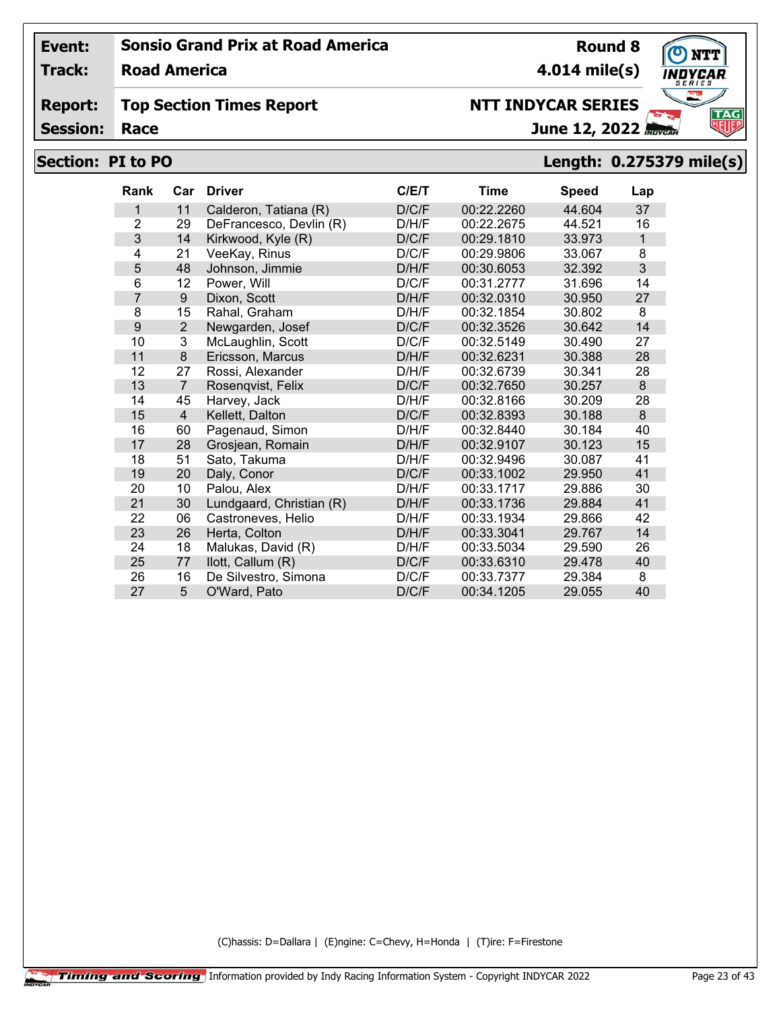**Track: Road America**

#### **Report: Top Section Times Report**

**Session:**

# **NTT INDYCAR SERIES**

June 12, 2022

**4.014 mile(s)**

**Round 8**

# **Section: PI to PO Length: 0.275379 mile(s)**

| Rank           | Car            | <b>Driver</b>            | C/ET  | Time       | <b>Speed</b> | Lap          |
|----------------|----------------|--------------------------|-------|------------|--------------|--------------|
| 1              | 11             | Calderon, Tatiana (R)    | D/C/F | 00:22.2260 | 44.604       | 37           |
| $\overline{2}$ | 29             | DeFrancesco, Devlin (R)  | D/H/F | 00:22.2675 | 44.521       | 16           |
| 3              | 14             | Kirkwood, Kyle (R)       | D/C/F | 00:29.1810 | 33.973       | $\mathbf{1}$ |
| 4              | 21             | VeeKay, Rinus            | D/C/F | 00:29.9806 | 33.067       | 8            |
| 5              | 48             | Johnson, Jimmie          | D/H/F | 00:30.6053 | 32.392       | 3            |
| 6              | 12             | Power, Will              | D/C/F | 00:31.2777 | 31.696       | 14           |
| $\overline{7}$ | 9              | Dixon, Scott             | D/H/F | 00:32.0310 | 30.950       | 27           |
| 8              | 15             | Rahal, Graham            | D/H/F | 00:32.1854 | 30.802       | 8            |
| 9              | 2              | Newgarden, Josef         | D/C/F | 00:32.3526 | 30.642       | 14           |
| 10             | 3              | McLaughlin, Scott        | D/C/F | 00:32.5149 | 30.490       | 27           |
| 11             | 8              | Ericsson, Marcus         | D/H/F | 00:32.6231 | 30.388       | 28           |
| 12             | 27             | Rossi, Alexander         | D/H/F | 00:32.6739 | 30.341       | 28           |
| 13             | $\overline{7}$ | Rosenqvist, Felix        | D/C/F | 00:32.7650 | 30.257       | 8            |
| 14             | 45             | Harvey, Jack             | D/H/F | 00:32.8166 | 30.209       | 28           |
| 15             | $\overline{4}$ | Kellett, Dalton          | D/C/F | 00:32.8393 | 30.188       | 8            |
| 16             | 60             | Pagenaud, Simon          | D/H/F | 00:32.8440 | 30.184       | 40           |
| 17             | 28             | Grosjean, Romain         | D/H/F | 00:32.9107 | 30.123       | 15           |
| 18             | 51             | Sato, Takuma             | D/H/F | 00:32.9496 | 30.087       | 41           |
| 19             | 20             | Daly, Conor              | D/C/F | 00:33.1002 | 29.950       | 41           |
| 20             | 10             | Palou, Alex              | D/H/F | 00:33.1717 | 29.886       | 30           |
| 21             | 30             | Lundgaard, Christian (R) | D/H/F | 00:33.1736 | 29.884       | 41           |
| 22             | 06             | Castroneves, Helio       | D/H/F | 00:33.1934 | 29.866       | 42           |
| 23             | 26             | Herta, Colton            | D/H/F | 00:33.3041 | 29.767       | 14           |
| 24             | 18             | Malukas, David (R)       | D/H/F | 00:33.5034 | 29.590       | 26           |
| 25             | 77             | llott, Callum (R)        | D/C/F | 00:33.6310 | 29.478       | 40           |
| 26             | 16             | De Silvestro, Simona     | D/C/F | 00:33.7377 | 29.384       | 8            |
| 27             | 5              | O'Ward, Pato             | D/C/F | 00:34.1205 | 29.055       | 40           |

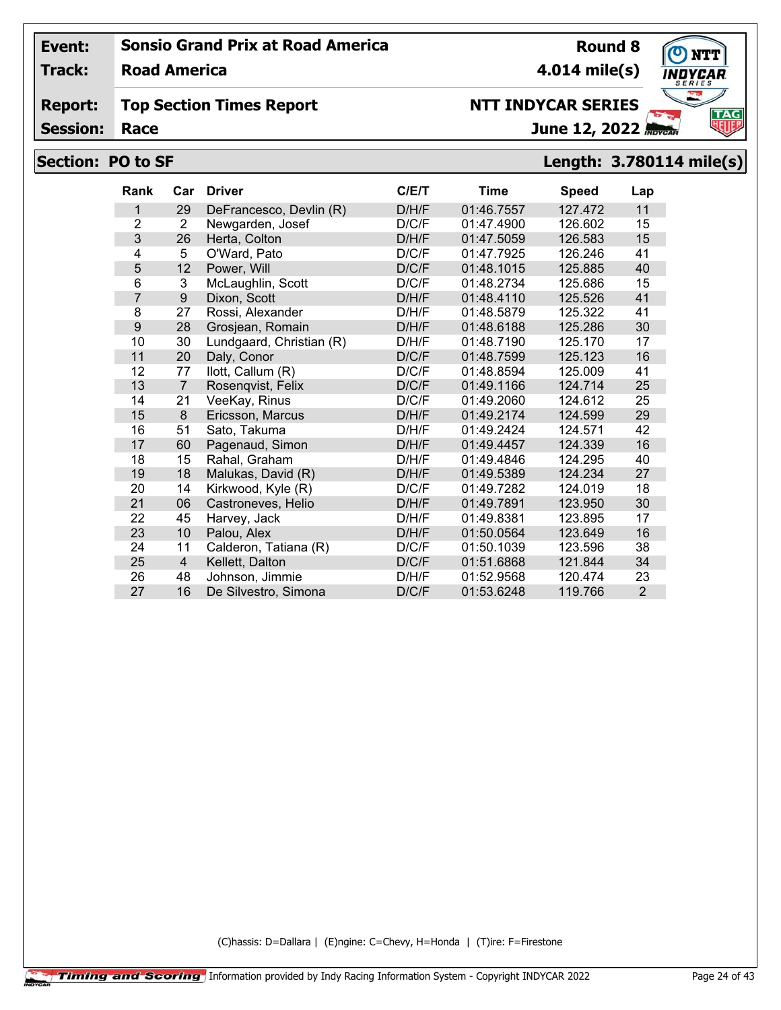**Track: Road America**

#### **Report: Top Section Times Report**

**Session:**

# **NTT INDYCAR SERIES**

June 12, 2022

# **Section: PO to SF Length: 3.780114 mile(s)**

| <b>Rank</b>    | Car            | <b>Driver</b>            | C/E/T | <b>Time</b> | <b>Speed</b> | Lap            |
|----------------|----------------|--------------------------|-------|-------------|--------------|----------------|
| 1              | 29             | DeFrancesco, Devlin (R)  | D/H/F | 01:46.7557  | 127.472      | 11             |
| $\overline{2}$ | 2              | Newgarden, Josef         | D/C/F | 01:47.4900  | 126.602      | 15             |
| 3              | 26             | Herta, Colton            | D/H/F | 01:47.5059  | 126.583      | 15             |
| 4              | 5              | O'Ward, Pato             | D/C/F | 01:47.7925  | 126.246      | 41             |
| 5              | 12             | Power, Will              | D/C/F | 01:48.1015  | 125.885      | 40             |
| 6              | 3              | McLaughlin, Scott        | D/C/F | 01:48.2734  | 125.686      | 15             |
| $\overline{7}$ | 9              | Dixon, Scott             | D/H/F | 01:48.4110  | 125.526      | 41             |
| 8              | 27             | Rossi, Alexander         | D/H/F | 01:48.5879  | 125.322      | 41             |
| 9              | 28             | Grosjean, Romain         | D/H/F | 01:48.6188  | 125.286      | 30             |
| 10             | 30             | Lundgaard, Christian (R) | D/H/F | 01:48.7190  | 125.170      | 17             |
| 11             | 20             | Daly, Conor              | D/C/F | 01:48.7599  | 125.123      | 16             |
| 12             | 77             | llott, Callum (R)        | D/C/F | 01:48.8594  | 125.009      | 41             |
| 13             | $\overline{7}$ | Rosenqvist, Felix        | D/C/F | 01:49.1166  | 124.714      | 25             |
| 14             | 21             | VeeKay, Rinus            | D/C/F | 01:49.2060  | 124.612      | 25             |
| 15             | 8              | Ericsson, Marcus         | D/H/F | 01:49.2174  | 124.599      | 29             |
| 16             | 51             | Sato, Takuma             | D/H/F | 01:49.2424  | 124.571      | 42             |
| 17             | 60             | Pagenaud, Simon          | D/H/F | 01:49.4457  | 124.339      | 16             |
| 18             | 15             | Rahal, Graham            | D/H/F | 01:49.4846  | 124.295      | 40             |
| 19             | 18             | Malukas, David (R)       | D/H/F | 01:49.5389  | 124.234      | 27             |
| 20             | 14             | Kirkwood, Kyle (R)       | D/C/F | 01:49.7282  | 124.019      | 18             |
| 21             | 06             | Castroneves, Helio       | D/H/F | 01:49.7891  | 123.950      | 30             |
| 22             | 45             | Harvey, Jack             | D/H/F | 01:49.8381  | 123.895      | 17             |
| 23             | 10             | Palou, Alex              | D/H/F | 01:50.0564  | 123.649      | 16             |
| 24             | 11             | Calderon, Tatiana (R)    | D/C/F | 01:50.1039  | 123.596      | 38             |
| 25             | $\overline{4}$ | Kellett, Dalton          | D/C/F | 01:51.6868  | 121.844      | 34             |
| 26             | 48             | Johnson, Jimmie          | D/H/F | 01:52.9568  | 120.474      | 23             |
| 27             | 16             | De Silvestro, Simona     | D/C/F | 01:53.6248  | 119.766      | $\overline{2}$ |

(C)hassis: D=Dallara | (E)ngine: C=Chevy, H=Honda | (T)ire: F=Firestone

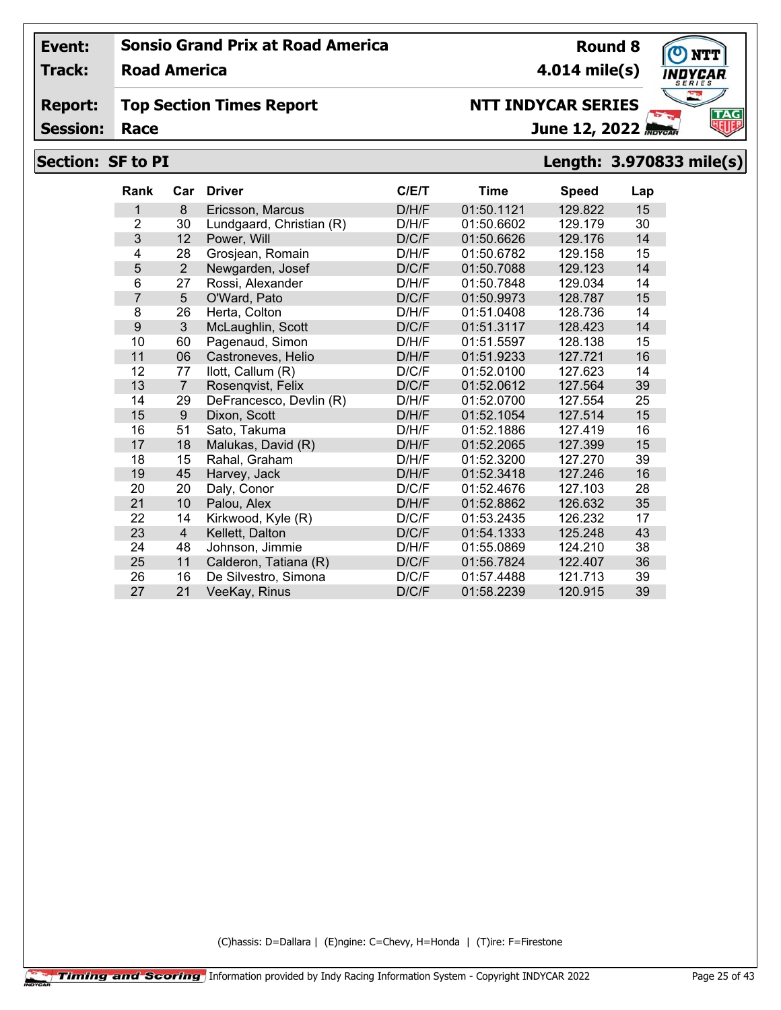**Track: Road America**

#### **Report: Top Section Times Report**

**Session:**

# **NTT INDYCAR SERIES**

June 12, 2022

# **Section: SF to PI Length: 3.970833 mile(s)**

| <b>Rank</b>    | Car            | <b>Driver</b>            | C/E/T | <b>Time</b> | <b>Speed</b> | Lap |
|----------------|----------------|--------------------------|-------|-------------|--------------|-----|
| 1              | 8              | Ericsson, Marcus         | D/H/F | 01:50.1121  | 129.822      | 15  |
| $\overline{2}$ | 30             | Lundgaard, Christian (R) | D/H/F | 01:50.6602  | 129.179      | 30  |
| 3              | 12             | Power, Will              | D/C/F | 01:50.6626  | 129.176      | 14  |
| 4              | 28             | Grosjean, Romain         | D/H/F | 01:50.6782  | 129.158      | 15  |
| 5              | $\overline{2}$ | Newgarden, Josef         | D/C/F | 01:50.7088  | 129.123      | 14  |
| 6              | 27             | Rossi, Alexander         | D/H/F | 01:50.7848  | 129.034      | 14  |
| $\overline{7}$ | 5              | O'Ward, Pato             | D/C/F | 01:50.9973  | 128.787      | 15  |
| 8              | 26             | Herta, Colton            | D/H/F | 01:51.0408  | 128.736      | 14  |
| 9              | 3              | McLaughlin, Scott        | D/C/F | 01:51.3117  | 128.423      | 14  |
| 10             | 60             | Pagenaud, Simon          | D/H/F | 01:51.5597  | 128.138      | 15  |
| 11             | 06             | Castroneves, Helio       | D/H/F | 01:51.9233  | 127.721      | 16  |
| 12             | 77             | llott, Callum (R)        | D/C/F | 01:52.0100  | 127.623      | 14  |
| 13             | $\overline{7}$ | Rosenqvist, Felix        | D/C/F | 01:52.0612  | 127.564      | 39  |
| 14             | 29             | DeFrancesco, Devlin (R)  | D/H/F | 01:52.0700  | 127.554      | 25  |
| 15             | 9              | Dixon, Scott             | D/H/F | 01:52.1054  | 127.514      | 15  |
| 16             | 51             | Sato, Takuma             | D/H/F | 01:52.1886  | 127.419      | 16  |
| 17             | 18             | Malukas, David (R)       | D/H/F | 01:52.2065  | 127.399      | 15  |
| 18             | 15             | Rahal, Graham            | D/H/F | 01:52.3200  | 127.270      | 39  |
| 19             | 45             | Harvey, Jack             | D/H/F | 01:52.3418  | 127.246      | 16  |
| 20             | 20             | Daly, Conor              | D/C/F | 01:52.4676  | 127.103      | 28  |
| 21             | 10             | Palou, Alex              | D/H/F | 01:52.8862  | 126.632      | 35  |
| 22             | 14             | Kirkwood, Kyle (R)       | D/C/F | 01:53.2435  | 126.232      | 17  |
| 23             | $\overline{4}$ | Kellett, Dalton          | D/C/F | 01:54.1333  | 125.248      | 43  |
| 24             | 48             | Johnson, Jimmie          | D/H/F | 01:55.0869  | 124.210      | 38  |
| 25             | 11             | Calderon, Tatiana (R)    | D/C/F | 01:56.7824  | 122.407      | 36  |
| 26             | 16             | De Silvestro, Simona     | D/C/F | 01:57.4488  | 121.713      | 39  |
| 27             | 21             | VeeKay, Rinus            | D/C/F | 01:58.2239  | 120.915      | 39  |

(C)hassis: D=Dallara | (E)ngine: C=Chevy, H=Honda | (T)ire: F=Firestone



**Round 8**

**4.014 mile(s)**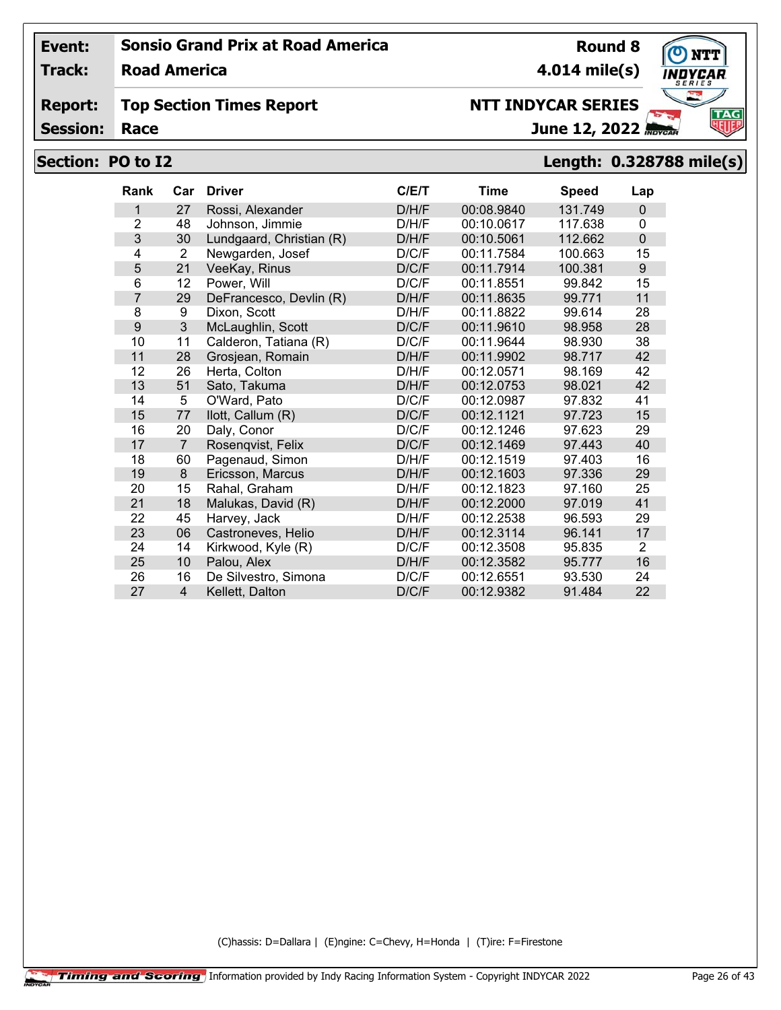**Track: Road America**

#### **Report: Top Section Times Report**

**Session:**

# **NTT INDYCAR SERIES**

June 12, 2022

# **Section: PO to I2 Length: 0.328788 mile(s)**

| <b>Rank</b>    | Car            | <b>Driver</b>            | C/E/T | <b>Time</b> | <b>Speed</b> | Lap            |
|----------------|----------------|--------------------------|-------|-------------|--------------|----------------|
| 1              | 27             | Rossi, Alexander         | D/H/F | 00:08.9840  | 131.749      | $\Omega$       |
| $\overline{2}$ | 48             | Johnson, Jimmie          | D/H/F | 00:10.0617  | 117.638      | 0              |
| 3              | 30             | Lundgaard, Christian (R) | D/H/F | 00:10.5061  | 112.662      | $\mathbf 0$    |
| 4              | 2              | Newgarden, Josef         | D/C/F | 00:11.7584  | 100.663      | 15             |
| 5              | 21             | VeeKay, Rinus            | D/C/F | 00:11.7914  | 100.381      | 9              |
| 6              | 12             | Power, Will              | D/C/F | 00:11.8551  | 99.842       | 15             |
| 7              | 29             | DeFrancesco, Devlin (R)  | D/H/F | 00:11.8635  | 99.771       | 11             |
| 8              | 9              | Dixon, Scott             | D/H/F | 00:11.8822  | 99.614       | 28             |
| 9              | $\mathfrak{Z}$ | McLaughlin, Scott        | D/C/F | 00:11.9610  | 98.958       | 28             |
| 10             | 11             | Calderon, Tatiana (R)    | D/C/F | 00:11.9644  | 98.930       | 38             |
| 11             | 28             | Grosjean, Romain         | D/H/F | 00:11.9902  | 98.717       | 42             |
| 12             | 26             | Herta, Colton            | D/H/F | 00:12.0571  | 98.169       | 42             |
| 13             | 51             | Sato, Takuma             | D/H/F | 00:12.0753  | 98.021       | 42             |
| 14             | 5              | O'Ward, Pato             | D/C/F | 00:12.0987  | 97.832       | 41             |
| 15             | 77             | llott, Callum (R)        | D/C/F | 00:12.1121  | 97.723       | 15             |
| 16             | 20             | Daly, Conor              | D/C/F | 00:12.1246  | 97.623       | 29             |
| 17             | $\overline{7}$ | Rosenqvist, Felix        | D/C/F | 00:12.1469  | 97.443       | 40             |
| 18             | 60             | Pagenaud, Simon          | D/H/F | 00:12.1519  | 97.403       | 16             |
| 19             | 8              | Ericsson, Marcus         | D/H/F | 00:12.1603  | 97.336       | 29             |
| 20             | 15             | Rahal, Graham            | D/H/F | 00:12.1823  | 97.160       | 25             |
| 21             | 18             | Malukas, David (R)       | D/H/F | 00:12.2000  | 97.019       | 41             |
| 22             | 45             | Harvey, Jack             | D/H/F | 00:12.2538  | 96.593       | 29             |
| 23             | 06             | Castroneves, Helio       | D/H/F | 00:12.3114  | 96.141       | 17             |
| 24             | 14             | Kirkwood, Kyle (R)       | D/C/F | 00:12.3508  | 95.835       | $\overline{2}$ |
| 25             | 10             | Palou, Alex              | D/H/F | 00:12.3582  | 95.777       | 16             |
| 26             | 16             | De Silvestro, Simona     | D/C/F | 00:12.6551  | 93.530       | 24             |
| 27             | $\overline{4}$ | Kellett, Dalton          | D/C/F | 00:12.9382  | 91.484       | 22             |

(C)hassis: D=Dallara | (E)ngine: C=Chevy, H=Honda | (T)ire: F=Firestone

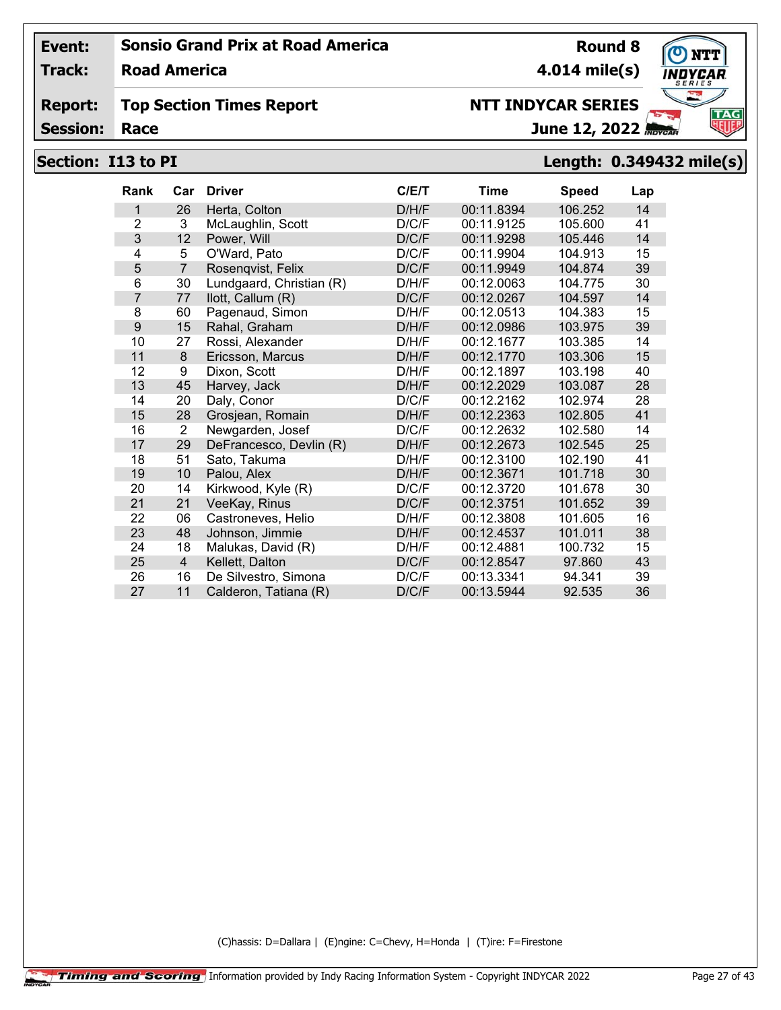**Track: Road America**

#### **Report: Top Section Times Report**

**Session:**

# **NTT INDYCAR SERIES**

June 12, 2022

# **Section: I13 to PI Length: 0.349432 mile(s)**

| Rank           | Car            | <b>Driver</b>            | C/ET  | Time       | <b>Speed</b> | Lap |
|----------------|----------------|--------------------------|-------|------------|--------------|-----|
| 1              | 26             | Herta, Colton            | D/H/F | 00:11.8394 | 106.252      | 14  |
| $\overline{2}$ | 3              | McLaughlin, Scott        | D/C/F | 00:11.9125 | 105.600      | 41  |
| 3              | 12             | Power, Will              | D/C/F | 00:11.9298 | 105.446      | 14  |
| 4              | 5              | O'Ward, Pato             | D/C/F | 00:11.9904 | 104.913      | 15  |
| 5              | $\overline{7}$ | Rosenqvist, Felix        | D/C/F | 00:11.9949 | 104.874      | 39  |
| 6              | 30             | Lundgaard, Christian (R) | D/H/F | 00:12.0063 | 104.775      | 30  |
| $\overline{7}$ | 77             | llott, Callum (R)        | D/C/F | 00:12.0267 | 104.597      | 14  |
| 8              | 60             | Pagenaud, Simon          | D/H/F | 00:12.0513 | 104.383      | 15  |
| 9              | 15             | Rahal, Graham            | D/H/F | 00:12.0986 | 103.975      | 39  |
| 10             | 27             | Rossi, Alexander         | D/H/F | 00:12.1677 | 103.385      | 14  |
| 11             | 8              | Ericsson, Marcus         | D/H/F | 00:12.1770 | 103.306      | 15  |
| 12             | 9              | Dixon, Scott             | D/H/F | 00:12.1897 | 103.198      | 40  |
| 13             | 45             | Harvey, Jack             | D/H/F | 00:12.2029 | 103.087      | 28  |
| 14             | 20             | Daly, Conor              | D/C/F | 00:12.2162 | 102.974      | 28  |
| 15             | 28             | Grosjean, Romain         | D/H/F | 00:12.2363 | 102.805      | 41  |
| 16             | $\overline{2}$ | Newgarden, Josef         | D/C/F | 00:12.2632 | 102.580      | 14  |
| 17             | 29             | DeFrancesco, Devlin (R)  | D/H/F | 00:12.2673 | 102.545      | 25  |
| 18             | 51             | Sato, Takuma             | D/H/F | 00:12.3100 | 102.190      | 41  |
| 19             | 10             | Palou, Alex              | D/H/F | 00:12.3671 | 101.718      | 30  |
| 20             | 14             | Kirkwood, Kyle (R)       | D/C/F | 00:12.3720 | 101.678      | 30  |
| 21             | 21             | VeeKay, Rinus            | D/C/F | 00:12.3751 | 101.652      | 39  |
| 22             | 06             | Castroneves, Helio       | D/H/F | 00:12.3808 | 101.605      | 16  |
| 23             | 48             | Johnson, Jimmie          | D/H/F | 00:12.4537 | 101.011      | 38  |
| 24             | 18             | Malukas, David (R)       | D/H/F | 00:12.4881 | 100.732      | 15  |
| 25             | $\overline{4}$ | Kellett, Dalton          | D/C/F | 00:12.8547 | 97.860       | 43  |
| 26             | 16             | De Silvestro, Simona     | D/C/F | 00:13.3341 | 94.341       | 39  |
| 27             | 11             | Calderon, Tatiana (R)    | D/C/F | 00:13.5944 | 92.535       | 36  |

(C)hassis: D=Dallara | (E)ngine: C=Chevy, H=Honda | (T)ire: F=Firestone

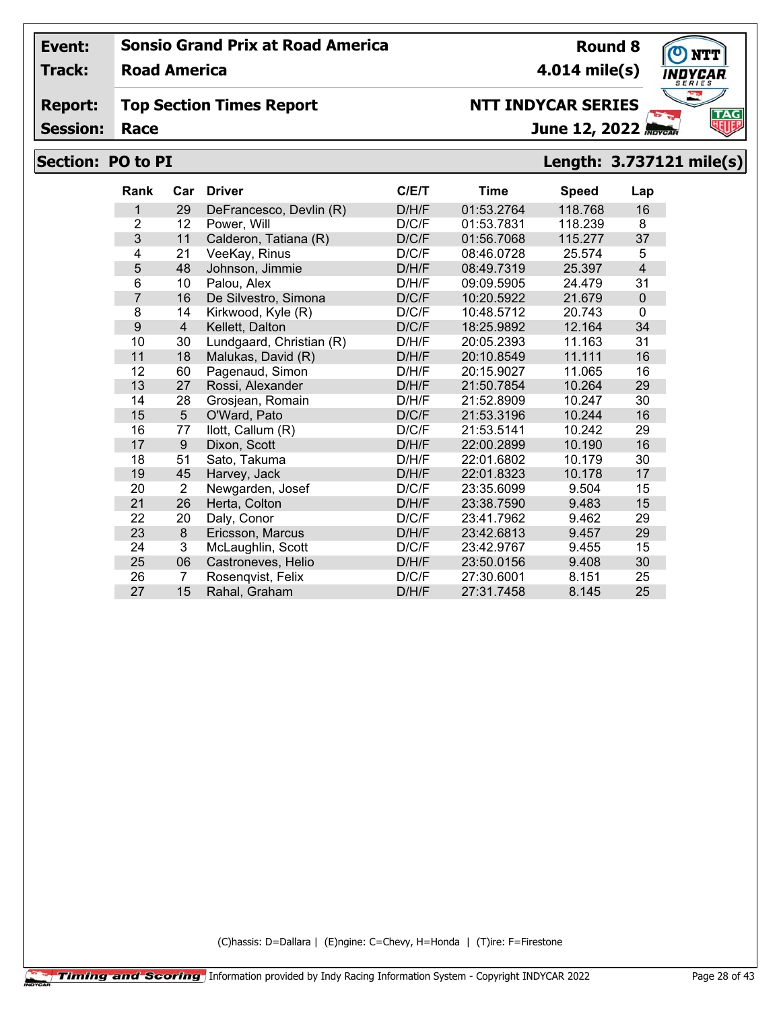**Track: Road America**

#### **Report: Top Section Times Report**

**Session:**

# **NTT INDYCAR SERIES**

June 12, 2022

# **Section: PO to PI Length: 3.737121 mile(s)**

| <b>Rank</b>    | Car            | <b>Driver</b>            | C/E/T | Time       | <b>Speed</b> | Lap            |
|----------------|----------------|--------------------------|-------|------------|--------------|----------------|
| 1              | 29             | DeFrancesco, Devlin (R)  | D/H/F | 01:53.2764 | 118.768      | 16             |
| $\overline{2}$ | 12             | Power, Will              | D/C/F | 01:53.7831 | 118.239      | 8              |
| 3              | 11             | Calderon, Tatiana (R)    | D/C/F | 01:56.7068 | 115.277      | 37             |
| 4              | 21             | VeeKay, Rinus            | D/C/F | 08:46.0728 | 25.574       | 5              |
| 5              | 48             | Johnson, Jimmie          | D/H/F | 08:49.7319 | 25.397       | $\overline{4}$ |
| 6              | 10             | Palou, Alex              | D/H/F | 09:09.5905 | 24.479       | 31             |
| $\overline{7}$ | 16             | De Silvestro, Simona     | D/C/F | 10:20.5922 | 21.679       | $\Omega$       |
| 8              | 14             | Kirkwood, Kyle (R)       | D/C/F | 10:48.5712 | 20.743       | $\Omega$       |
| 9              | $\overline{4}$ | Kellett, Dalton          | D/C/F | 18:25.9892 | 12.164       | 34             |
| 10             | 30             | Lundgaard, Christian (R) | D/H/F | 20:05.2393 | 11.163       | 31             |
| 11             | 18             | Malukas, David (R)       | D/H/F | 20:10.8549 | 11.111       | 16             |
| 12             | 60             | Pagenaud, Simon          | D/H/F | 20:15.9027 | 11.065       | 16             |
| 13             | 27             | Rossi, Alexander         | D/H/F | 21:50.7854 | 10.264       | 29             |
| 14             | 28             | Grosjean, Romain         | D/H/F | 21:52.8909 | 10.247       | 30             |
| 15             | 5              | O'Ward, Pato             | D/C/F | 21:53.3196 | 10.244       | 16             |
| 16             | 77             | llott, Callum (R)        | D/C/F | 21:53.5141 | 10.242       | 29             |
| 17             | 9              | Dixon, Scott             | D/H/F | 22:00.2899 | 10.190       | 16             |
| 18             | 51             | Sato, Takuma             | D/H/F | 22:01.6802 | 10.179       | 30             |
| 19             | 45             | Harvey, Jack             | D/H/F | 22:01.8323 | 10.178       | 17             |
| 20             | $\overline{2}$ | Newgarden, Josef         | D/C/F | 23:35.6099 | 9.504        | 15             |
| 21             | 26             | Herta, Colton            | D/H/F | 23:38.7590 | 9.483        | 15             |
| 22             | 20             | Daly, Conor              | D/C/F | 23:41.7962 | 9.462        | 29             |
| 23             | 8              | Ericsson, Marcus         | D/H/F | 23:42.6813 | 9.457        | 29             |
| 24             | 3              | McLaughlin, Scott        | D/C/F | 23:42.9767 | 9.455        | 15             |
| 25             | 06             | Castroneves, Helio       | D/H/F | 23:50.0156 | 9.408        | 30             |
| 26             | 7              | Rosenqvist, Felix        | D/C/F | 27:30.6001 | 8.151        | 25             |
| 27             | 15             | Rahal, Graham            | D/H/F | 27:31.7458 | 8.145        | 25             |

(C)hassis: D=Dallara | (E)ngine: C=Chevy, H=Honda | (T)ire: F=Firestone

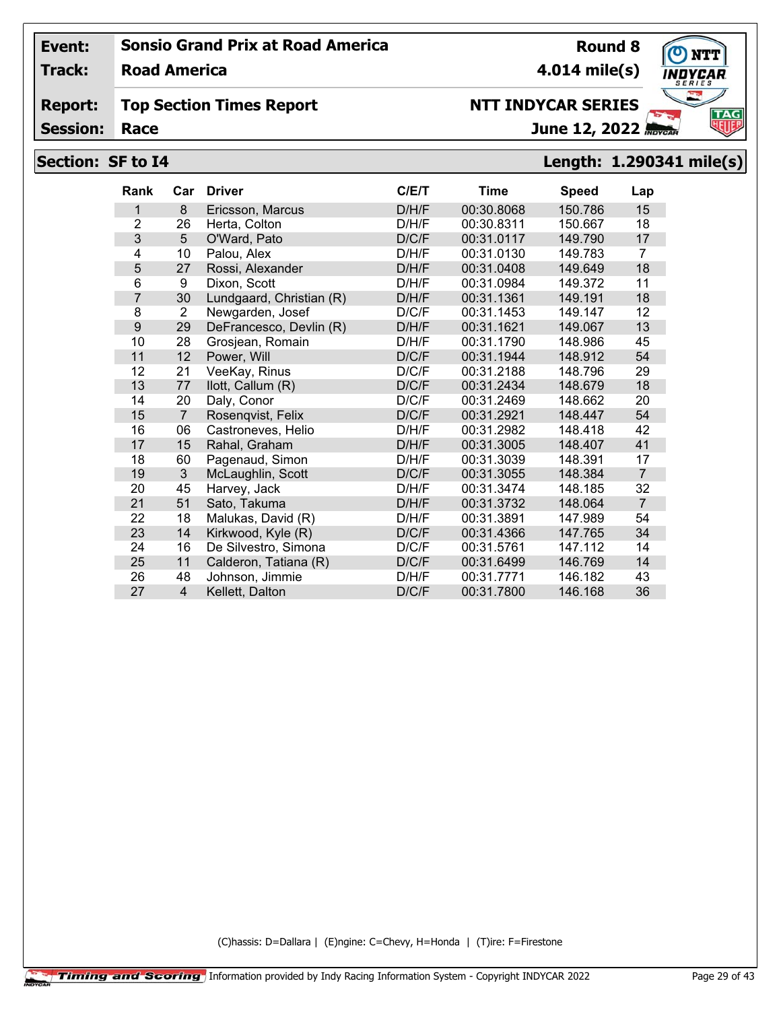**Track: Road America**

#### **Report: Top Section Times Report**

**Session:**

# **NTT INDYCAR SERIES**

June 12, 2022

**Round 8**

# **Section: SF to I4 Length: 1.290341 mile(s)**

| Rank           | Car            | <b>Driver</b>            | C/ET  | Time       | <b>Speed</b> | Lap            |
|----------------|----------------|--------------------------|-------|------------|--------------|----------------|
| 1              | 8              | Ericsson, Marcus         | D/H/F | 00:30.8068 | 150.786      | 15             |
| $\overline{2}$ | 26             | Herta, Colton            | D/H/F | 00:30.8311 | 150.667      | 18             |
| 3              | 5              | O'Ward, Pato             | D/C/F | 00:31.0117 | 149.790      | 17             |
| 4              | 10             | Palou, Alex              | D/H/F | 00:31.0130 | 149.783      | 7              |
| 5              | 27             | Rossi, Alexander         | D/H/F | 00:31.0408 | 149.649      | 18             |
| 6              | 9              | Dixon, Scott             | D/H/F | 00:31.0984 | 149.372      | 11             |
| 7              | 30             | Lundgaard, Christian (R) | D/H/F | 00:31.1361 | 149.191      | 18             |
| 8              | $\overline{2}$ | Newgarden, Josef         | D/C/F | 00:31.1453 | 149.147      | 12             |
| 9              | 29             | DeFrancesco, Devlin (R)  | D/H/F | 00:31.1621 | 149.067      | 13             |
| 10             | 28             | Grosjean, Romain         | D/H/F | 00:31.1790 | 148.986      | 45             |
| 11             | 12             | Power, Will              | D/C/F | 00:31.1944 | 148.912      | 54             |
| 12             | 21             | VeeKay, Rinus            | D/C/F | 00:31.2188 | 148.796      | 29             |
| 13             | 77             | llott, Callum (R)        | D/C/F | 00:31.2434 | 148.679      | 18             |
| 14             | 20             | Daly, Conor              | D/C/F | 00:31.2469 | 148.662      | 20             |
| 15             | $\overline{7}$ | Rosengvist, Felix        | D/C/F | 00:31.2921 | 148.447      | 54             |
| 16             | 06             | Castroneves, Helio       | D/H/F | 00:31.2982 | 148.418      | 42             |
| 17             | 15             | Rahal, Graham            | D/H/F | 00:31.3005 | 148.407      | 41             |
| 18             | 60             | Pagenaud, Simon          | D/H/F | 00:31.3039 | 148.391      | 17             |
| 19             | 3              | McLaughlin, Scott        | D/C/F | 00:31.3055 | 148.384      | $\overline{7}$ |
| 20             | 45             | Harvey, Jack             | D/H/F | 00:31.3474 | 148.185      | 32             |
| 21             | 51             | Sato, Takuma             | D/H/F | 00:31.3732 | 148.064      | $\overline{7}$ |
| 22             | 18             | Malukas, David (R)       | D/H/F | 00:31.3891 | 147.989      | 54             |
| 23             | 14             | Kirkwood, Kyle (R)       | D/C/F | 00:31.4366 | 147.765      | 34             |
| 24             | 16             | De Silvestro, Simona     | D/C/F | 00:31.5761 | 147.112      | 14             |
| 25             | 11             | Calderon, Tatiana (R)    | D/C/F | 00:31.6499 | 146.769      | 14             |
| 26             | 48             | Johnson, Jimmie          | D/H/F | 00:31.7771 | 146.182      | 43             |
| 27             | $\overline{4}$ | Kellett, Dalton          | D/C/F | 00:31.7800 | 146.168      | 36             |

(C)hassis: D=Dallara | (E)ngine: C=Chevy, H=Honda | (T)ire: F=Firestone



**4.014 mile(s)**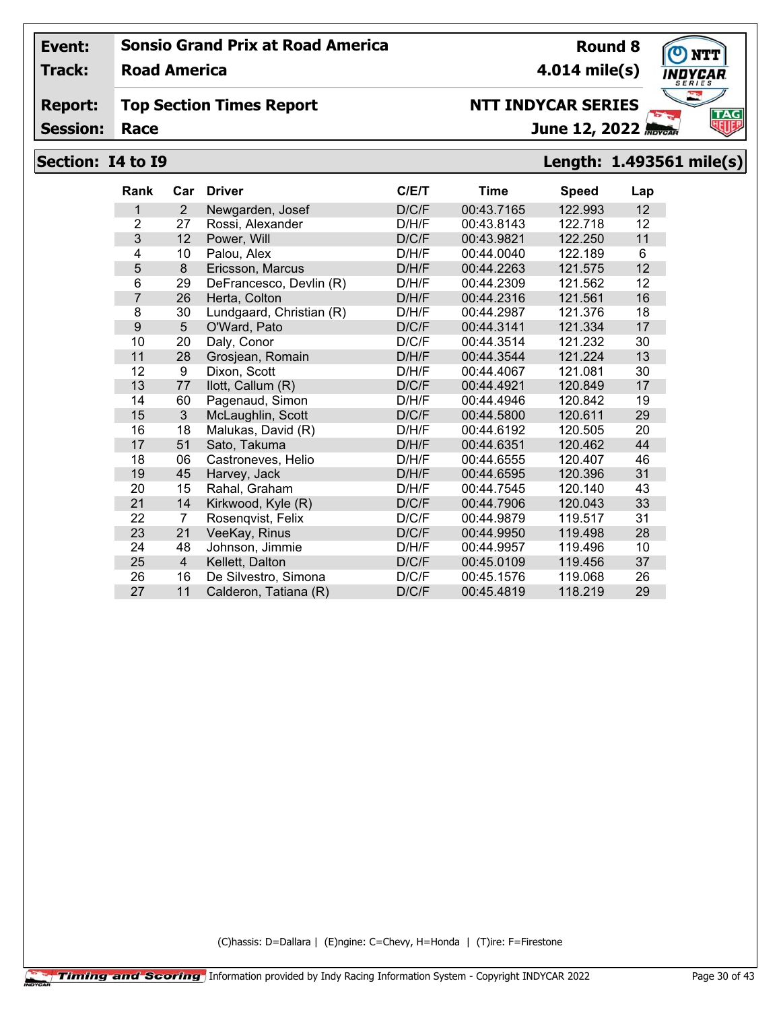**Track: Road America**

#### **Report: Top Section Times Report**

**Session:**

# **NTT INDYCAR SERIES**

June 12, 2022

# **Section: I4 to I9 Length: 1.493561 mile(s)**

| Rank           | Car            | <b>Driver</b>            | C/ET  | Time       | <b>Speed</b> | Lap |
|----------------|----------------|--------------------------|-------|------------|--------------|-----|
| 1              | 2              | Newgarden, Josef         | D/C/F | 00:43.7165 | 122.993      | 12  |
| 2              | 27             | Rossi, Alexander         | D/H/F | 00:43.8143 | 122.718      | 12  |
| 3              | 12             | Power, Will              | D/C/F | 00:43.9821 | 122.250      | 11  |
| 4              | 10             | Palou, Alex              | D/H/F | 00:44.0040 | 122.189      | 6   |
| 5              | 8              | Ericsson, Marcus         | D/H/F | 00:44.2263 | 121.575      | 12  |
| 6              | 29             | DeFrancesco, Devlin (R)  | D/H/F | 00:44.2309 | 121.562      | 12  |
| $\overline{7}$ | 26             | Herta, Colton            | D/H/F | 00:44.2316 | 121.561      | 16  |
| 8              | 30             | Lundgaard, Christian (R) | D/H/F | 00:44.2987 | 121.376      | 18  |
| 9              | 5              | O'Ward, Pato             | D/C/F | 00:44.3141 | 121.334      | 17  |
| 10             | 20             | Daly, Conor              | D/C/F | 00:44.3514 | 121.232      | 30  |
| 11             | 28             | Grosjean, Romain         | D/H/F | 00:44.3544 | 121.224      | 13  |
| 12             | 9              | Dixon, Scott             | D/H/F | 00:44.4067 | 121.081      | 30  |
| 13             | 77             | llott, Callum (R)        | D/C/F | 00:44.4921 | 120.849      | 17  |
| 14             | 60             | Pagenaud, Simon          | D/H/F | 00:44.4946 | 120.842      | 19  |
| 15             | 3              | McLaughlin, Scott        | D/C/F | 00:44.5800 | 120.611      | 29  |
| 16             | 18             | Malukas, David (R)       | D/H/F | 00:44.6192 | 120.505      | 20  |
| 17             | 51             | Sato, Takuma             | D/H/F | 00:44.6351 | 120.462      | 44  |
| 18             | 06             | Castroneves, Helio       | D/H/F | 00:44.6555 | 120.407      | 46  |
| 19             | 45             | Harvey, Jack             | D/H/F | 00:44.6595 | 120.396      | 31  |
| 20             | 15             | Rahal, Graham            | D/H/F | 00:44.7545 | 120.140      | 43  |
| 21             | 14             | Kirkwood, Kyle (R)       | D/C/F | 00:44.7906 | 120.043      | 33  |
| 22             | 7              | Rosenqvist, Felix        | D/C/F | 00:44.9879 | 119.517      | 31  |
| 23             | 21             | VeeKay, Rinus            | D/C/F | 00:44.9950 | 119.498      | 28  |
| 24             | 48             | Johnson, Jimmie          | D/H/F | 00:44.9957 | 119.496      | 10  |
| 25             | $\overline{4}$ | Kellett, Dalton          | D/C/F | 00:45.0109 | 119.456      | 37  |
| 26             | 16             | De Silvestro, Simona     | D/C/F | 00:45.1576 | 119.068      | 26  |
| 27             | 11             | Calderon, Tatiana (R)    | D/C/F | 00:45.4819 | 118.219      | 29  |

(C)hassis: D=Dallara | (E)ngine: C=Chevy, H=Honda | (T)ire: F=Firestone

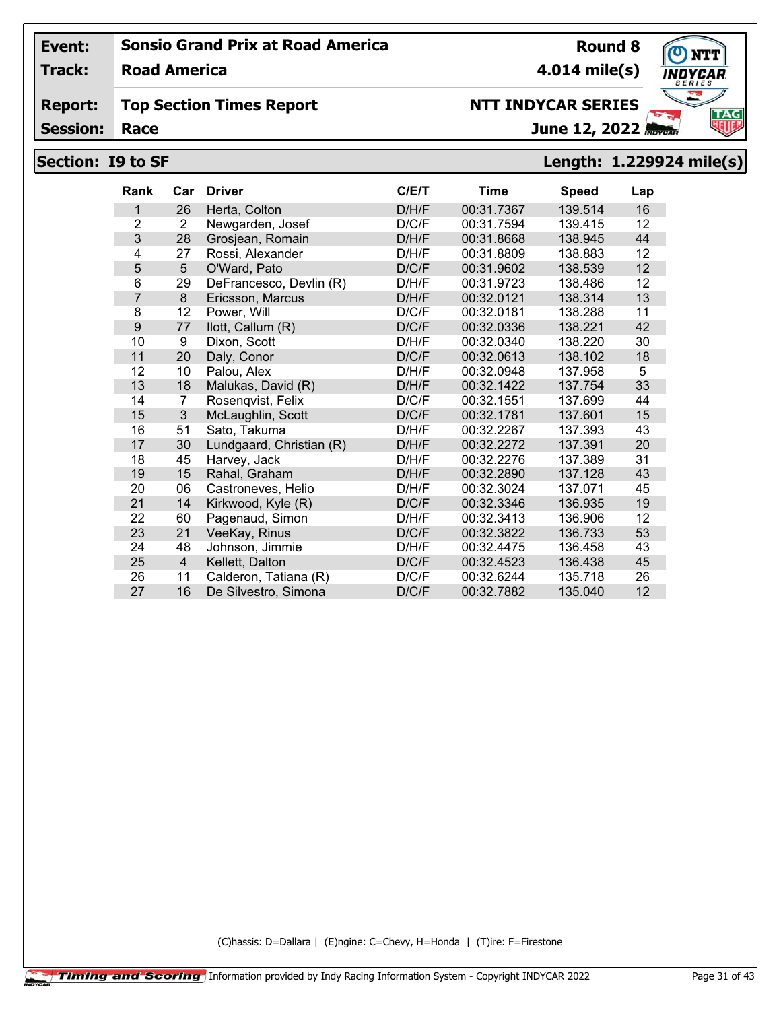**Track: Road America**

#### **Report: Top Section Times Report**

**Session:**

# **NTT INDYCAR SERIES**

June 12, 2022

# **Section: I9 to SF Length: 1.229924 mile(s)**

| <b>Rank</b>    | Car                     | <b>Driver</b>            | C/ET  | <b>Time</b> | <b>Speed</b> | Lap |
|----------------|-------------------------|--------------------------|-------|-------------|--------------|-----|
| 1              | 26                      | Herta, Colton            | D/H/F | 00:31.7367  | 139.514      | 16  |
| $\overline{2}$ | $\overline{2}$          | Newgarden, Josef         | D/C/F | 00:31.7594  | 139.415      | 12  |
| 3              | 28                      | Grosjean, Romain         | D/H/F | 00:31.8668  | 138.945      | 44  |
| 4              | 27                      | Rossi, Alexander         | D/H/F | 00:31.8809  | 138.883      | 12  |
| 5              | 5                       | O'Ward, Pato             | D/C/F | 00:31.9602  | 138.539      | 12  |
| 6              | 29                      | DeFrancesco, Devlin (R)  | D/H/F | 00:31.9723  | 138.486      | 12  |
| 7              | 8                       | Ericsson, Marcus         | D/H/F | 00:32.0121  | 138.314      | 13  |
| 8              | 12                      | Power, Will              | D/C/F | 00:32.0181  | 138.288      | 11  |
| 9              | 77                      | llott, Callum (R)        | D/C/F | 00:32.0336  | 138.221      | 42  |
| 10             | 9                       | Dixon, Scott             | D/H/F | 00:32.0340  | 138.220      | 30  |
| 11             | 20                      | Daly, Conor              | D/C/F | 00:32.0613  | 138.102      | 18  |
| 12             | 10                      | Palou, Alex              | D/H/F | 00:32.0948  | 137.958      | 5   |
| 13             | 18                      | Malukas, David (R)       | D/H/F | 00:32.1422  | 137.754      | 33  |
| 14             | 7                       | Rosenqvist, Felix        | D/C/F | 00:32.1551  | 137.699      | 44  |
| 15             | 3                       | McLaughlin, Scott        | D/C/F | 00:32.1781  | 137.601      | 15  |
| 16             | 51                      | Sato, Takuma             | D/H/F | 00:32.2267  | 137.393      | 43  |
| 17             | 30                      | Lundgaard, Christian (R) | D/H/F | 00:32.2272  | 137.391      | 20  |
| 18             | 45                      | Harvey, Jack             | D/H/F | 00:32.2276  | 137.389      | 31  |
| 19             | 15                      | Rahal, Graham            | D/H/F | 00:32.2890  | 137.128      | 43  |
| 20             | 06                      | Castroneves, Helio       | D/H/F | 00:32.3024  | 137.071      | 45  |
| 21             | 14                      | Kirkwood, Kyle (R)       | D/C/F | 00:32.3346  | 136.935      | 19  |
| 22             | 60                      | Pagenaud, Simon          | D/H/F | 00:32.3413  | 136.906      | 12  |
| 23             | 21                      | VeeKay, Rinus            | D/C/F | 00:32.3822  | 136.733      | 53  |
| 24             | 48                      | Johnson, Jimmie          | D/H/F | 00:32.4475  | 136.458      | 43  |
| 25             | $\overline{\mathbf{4}}$ | Kellett, Dalton          | D/C/F | 00:32.4523  | 136.438      | 45  |
| 26             | 11                      | Calderon, Tatiana (R)    | D/C/F | 00:32.6244  | 135.718      | 26  |
| 27             | 16                      | De Silvestro, Simona     | D/C/F | 00:32.7882  | 135.040      | 12  |

(C)hassis: D=Dallara | (E)ngine: C=Chevy, H=Honda | (T)ire: F=Firestone



**Round 8**

**4.014 mile(s)**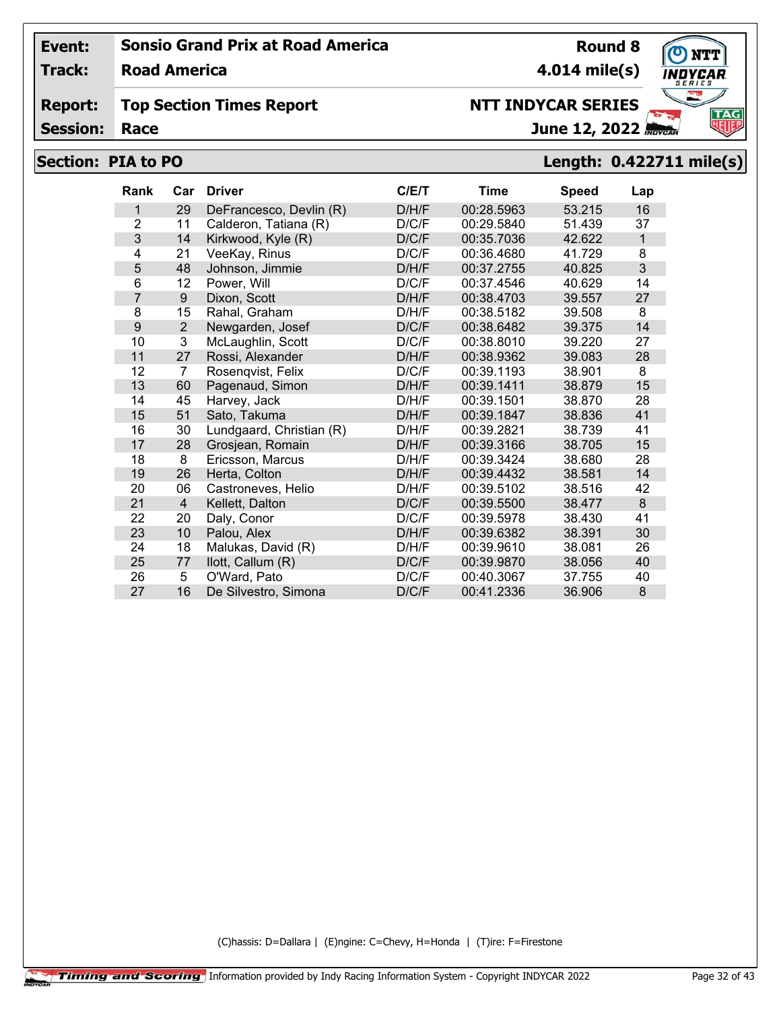**Track: Road America**

#### **Report: Top Section Times Report**

**Session:**

# **NTT INDYCAR SERIES**

June 12, 2022

## **Section: PIA to PO Length: 0.422711 mile(s)**

| <b>Rank</b>    | Car            | <b>Driver</b>            | C/ET  | <b>Time</b> | <b>Speed</b> | Lap          |
|----------------|----------------|--------------------------|-------|-------------|--------------|--------------|
| 1              | 29             | DeFrancesco, Devlin (R)  | D/H/F | 00:28.5963  | 53.215       | 16           |
| $\overline{2}$ | 11             | Calderon, Tatiana (R)    | D/C/F | 00:29.5840  | 51.439       | 37           |
| 3              | 14             | Kirkwood, Kyle (R)       | D/C/F | 00:35.7036  | 42.622       | $\mathbf{1}$ |
| 4              | 21             | VeeKay, Rinus            | D/C/F | 00:36.4680  | 41.729       | 8            |
| 5              | 48             | Johnson, Jimmie          | D/H/F | 00:37.2755  | 40.825       | 3            |
| 6              | 12             | Power, Will              | D/C/F | 00:37.4546  | 40.629       | 14           |
| 7              | 9              | Dixon, Scott             | D/H/F | 00:38.4703  | 39.557       | 27           |
| 8              | 15             | Rahal, Graham            | D/H/F | 00:38.5182  | 39.508       | 8            |
| 9              | $\overline{2}$ | Newgarden, Josef         | D/C/F | 00:38.6482  | 39.375       | 14           |
| 10             | 3              | McLaughlin, Scott        | D/C/F | 00:38.8010  | 39.220       | 27           |
| 11             | 27             | Rossi, Alexander         | D/H/F | 00:38.9362  | 39.083       | 28           |
| 12             | 7              | Rosenqvist, Felix        | D/C/F | 00:39.1193  | 38.901       | 8            |
| 13             | 60             | Pagenaud, Simon          | D/H/F | 00:39.1411  | 38.879       | 15           |
| 14             | 45             | Harvey, Jack             | D/H/F | 00:39.1501  | 38.870       | 28           |
| 15             | 51             | Sato, Takuma             | D/H/F | 00:39.1847  | 38.836       | 41           |
| 16             | 30             | Lundgaard, Christian (R) | D/H/F | 00:39.2821  | 38.739       | 41           |
| 17             | 28             | Grosjean, Romain         | D/H/F | 00:39.3166  | 38.705       | 15           |
| 18             | 8              | Ericsson, Marcus         | D/H/F | 00:39.3424  | 38,680       | 28           |
| 19             | 26             | Herta, Colton            | D/H/F | 00:39.4432  | 38.581       | 14           |
| 20             | 06             | Castroneves, Helio       | D/H/F | 00:39.5102  | 38.516       | 42           |
| 21             | 4              | Kellett, Dalton          | D/C/F | 00:39.5500  | 38.477       | 8            |
| 22             | 20             | Daly, Conor              | D/C/F | 00:39.5978  | 38.430       | 41           |
| 23             | 10             | Palou, Alex              | D/H/F | 00:39.6382  | 38.391       | 30           |
| 24             | 18             | Malukas, David (R)       | D/H/F | 00:39.9610  | 38.081       | 26           |
| 25             | 77             | llott, Callum (R)        | D/C/F | 00:39.9870  | 38.056       | 40           |
| 26             | 5              | O'Ward, Pato             | D/C/F | 00:40.3067  | 37.755       | 40           |
| 27             | 16             | De Silvestro, Simona     | D/C/F | 00:41.2336  | 36.906       | 8            |

(C)hassis: D=Dallara | (E)ngine: C=Chevy, H=Honda | (T)ire: F=Firestone



**Round 8**

**4.014 mile(s)**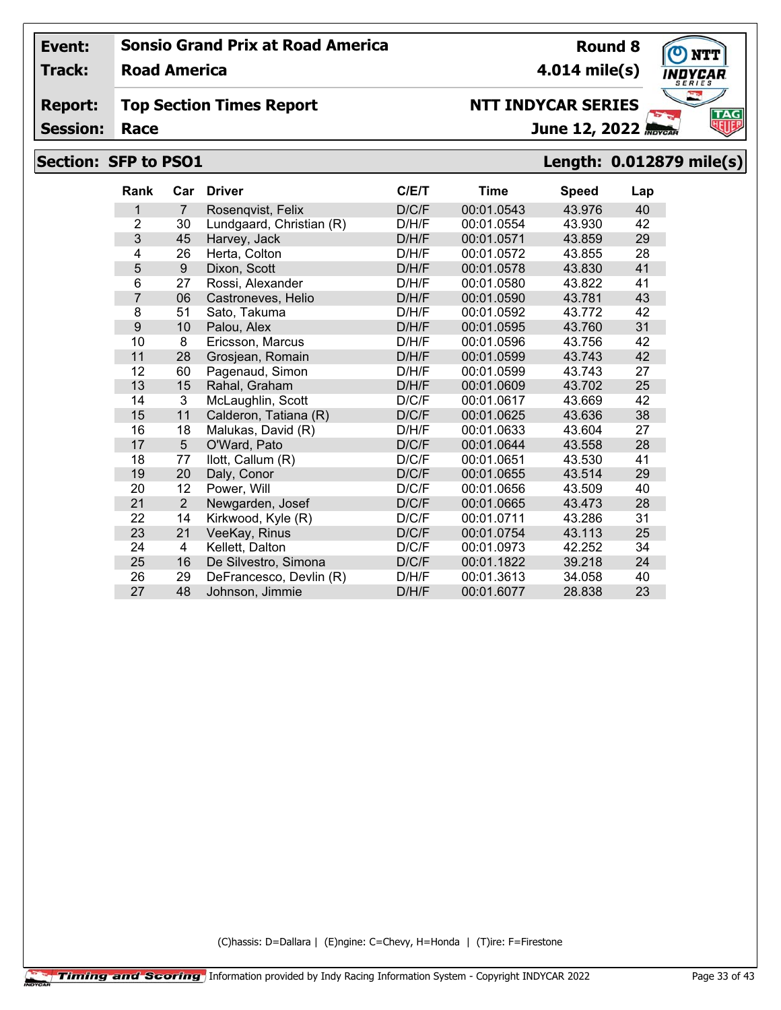**Track: Road America**

#### **Report: Top Section Times Report**

**Session:**

# **NTT INDYCAR SERIES**

June 12, 2022

# **Section: SFP to PSO1 Length: 0.012879 mile(s)**

| Rank           | Car            | <b>Driver</b>            | C/E/T | <b>Time</b> | <b>Speed</b> | Lap |
|----------------|----------------|--------------------------|-------|-------------|--------------|-----|
| 1              | $\overline{7}$ | Rosenqvist, Felix        | D/C/F | 00:01.0543  | 43.976       | 40  |
| $\overline{2}$ | 30             | Lundgaard, Christian (R) | D/H/F | 00:01.0554  | 43.930       | 42  |
| 3              | 45             | Harvey, Jack             | D/H/F | 00:01.0571  | 43.859       | 29  |
| 4              | 26             | Herta, Colton            | D/H/F | 00:01.0572  | 43.855       | 28  |
| 5              | 9              | Dixon, Scott             | D/H/F | 00:01.0578  | 43.830       | 41  |
| 6              | 27             | Rossi, Alexander         | D/H/F | 00:01.0580  | 43.822       | 41  |
| 7              | 06             | Castroneves, Helio       | D/H/F | 00:01.0590  | 43.781       | 43  |
| 8              | 51             | Sato, Takuma             | D/H/F | 00:01.0592  | 43.772       | 42  |
| 9              | 10             | Palou, Alex              | D/H/F | 00:01.0595  | 43.760       | 31  |
| 10             | 8              | Ericsson, Marcus         | D/H/F | 00:01.0596  | 43.756       | 42  |
| 11             | 28             | Grosjean, Romain         | D/H/F | 00:01.0599  | 43.743       | 42  |
| 12             | 60             | Pagenaud, Simon          | D/H/F | 00:01.0599  | 43.743       | 27  |
| 13             | 15             | Rahal, Graham            | D/H/F | 00:01.0609  | 43.702       | 25  |
| 14             | 3              | McLaughlin, Scott        | D/C/F | 00:01.0617  | 43.669       | 42  |
| 15             | 11             | Calderon, Tatiana (R)    | D/C/F | 00:01.0625  | 43.636       | 38  |
| 16             | 18             | Malukas, David (R)       | D/H/F | 00:01.0633  | 43.604       | 27  |
| 17             | 5              | O'Ward, Pato             | D/C/F | 00:01.0644  | 43.558       | 28  |
| 18             | 77             | llott, Callum (R)        | D/C/F | 00:01.0651  | 43.530       | 41  |
| 19             | 20             | Daly, Conor              | D/C/F | 00:01.0655  | 43.514       | 29  |
| 20             | 12             | Power, Will              | D/C/F | 00:01.0656  | 43.509       | 40  |
| 21             | $\overline{2}$ | Newgarden, Josef         | D/C/F | 00:01.0665  | 43.473       | 28  |
| 22             | 14             | Kirkwood, Kyle (R)       | D/C/F | 00:01.0711  | 43.286       | 31  |
| 23             | 21             | VeeKay, Rinus            | D/C/F | 00:01.0754  | 43.113       | 25  |
| 24             | 4              | Kellett, Dalton          | D/C/F | 00:01.0973  | 42.252       | 34  |
| 25             | 16             | De Silvestro, Simona     | D/C/F | 00:01.1822  | 39.218       | 24  |
| 26             | 29             | DeFrancesco, Devlin (R)  | D/H/F | 00:01.3613  | 34.058       | 40  |
| 27             | 48             | Johnson, Jimmie          | D/H/F | 00:01.6077  | 28.838       | 23  |

(C)hassis: D=Dallara | (E)ngine: C=Chevy, H=Honda | (T)ire: F=Firestone

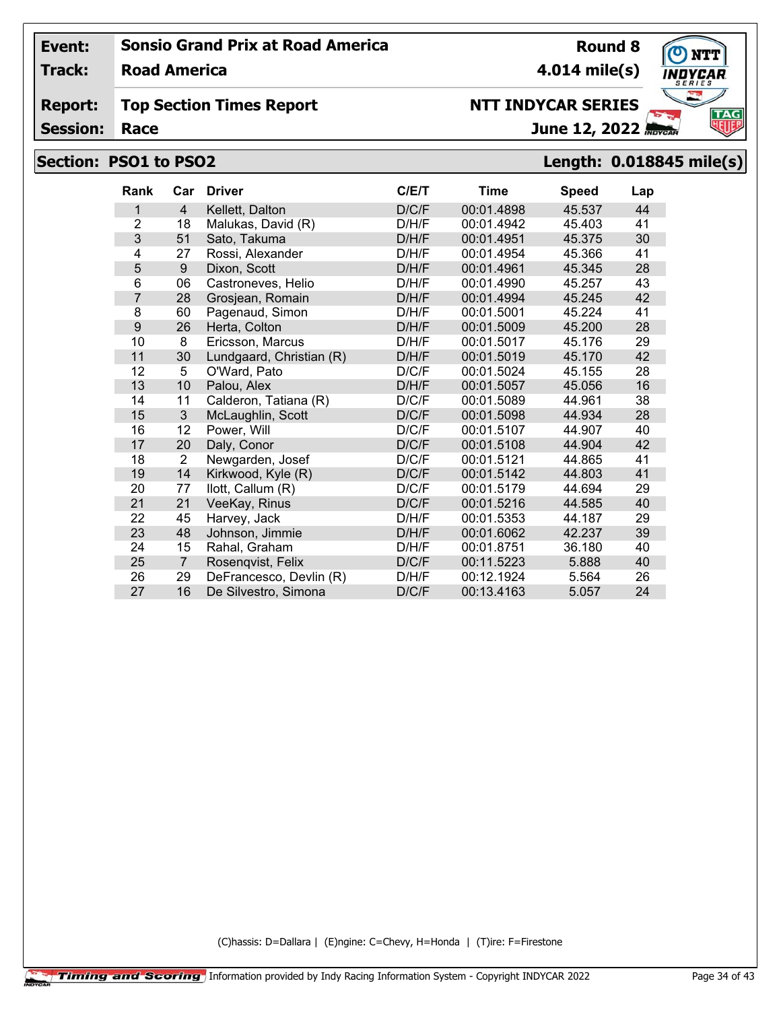**Track: Road America**

## **Top Section Times Report**

**Session:**

| (C)hassis: D=Dallara   (E)ngine: C=Chevy, H=Honda   (T)ire: F=Firestone |  |
|-------------------------------------------------------------------------|--|
|                                                                         |  |

| Section: PSO1 to PSO2 |                |                |                          |       |            |              |     | Length: 0.018845 mile(s) |
|-----------------------|----------------|----------------|--------------------------|-------|------------|--------------|-----|--------------------------|
|                       | Rank           |                | Car Driver               | C/E/T | Time       | <b>Speed</b> | Lap |                          |
|                       | 1              | $\overline{4}$ | Kellett, Dalton          | D/C/F | 00:01.4898 | 45.537       | 44  |                          |
|                       | 2              | 18             | Malukas, David (R)       | D/H/F | 00:01.4942 | 45.403       | 41  |                          |
|                       | $\mathfrak{S}$ | 51             | Sato, Takuma             | D/H/F | 00:01.4951 | 45.375       | 30  |                          |
|                       | 4              | 27             | Rossi, Alexander         | D/H/F | 00:01.4954 | 45.366       | 41  |                          |
|                       | 5              | 9              | Dixon, Scott             | D/H/F | 00:01.4961 | 45.345       | 28  |                          |
|                       | 6              | 06             | Castroneves, Helio       | D/H/F | 00:01.4990 | 45.257       | 43  |                          |
|                       | 7              | 28             | Grosjean, Romain         | D/H/F | 00:01.4994 | 45.245       | 42  |                          |
|                       | 8              | 60             | Pagenaud, Simon          | D/H/F | 00:01.5001 | 45.224       | 41  |                          |
|                       | 9              | 26             | Herta, Colton            | D/H/F | 00:01.5009 | 45.200       | 28  |                          |
|                       | 10             | 8              | Ericsson, Marcus         | D/H/F | 00:01.5017 | 45.176       | 29  |                          |
|                       | 11             | 30             | Lundgaard, Christian (R) | D/H/F | 00:01.5019 | 45.170       | 42  |                          |
|                       | 12             | 5              | O'Ward, Pato             | D/C/F | 00:01.5024 | 45.155       | 28  |                          |
|                       | 13             | 10             | Palou, Alex              | D/H/F | 00:01.5057 | 45.056       | 16  |                          |
|                       | 14             | 11             | Calderon, Tatiana (R)    | D/C/F | 00:01.5089 | 44.961       | 38  |                          |
|                       | 15             | $\mathbf{3}$   | McLaughlin, Scott        | D/C/F | 00:01.5098 | 44.934       | 28  |                          |
|                       | 16             | 12             | Power, Will              | D/C/F | 00:01.5107 | 44.907       | 40  |                          |
|                       | 17             | 20             | Daly, Conor              | D/C/F | 00:01.5108 | 44.904       | 42  |                          |
|                       | 18             | $\overline{2}$ | Newgarden, Josef         | D/C/F | 00:01.5121 | 44.865       | 41  |                          |
|                       | 19             | 14             | Kirkwood, Kyle (R)       | D/C/F | 00:01.5142 | 44.803       | 41  |                          |
|                       | 20             | 77             | llott, Callum (R)        | D/C/F | 00:01.5179 | 44.694       | 29  |                          |

 21 VeeKay, Rinus D/C/F 00:01.5216 44.585 40 45 Harvey, Jack D/H/F 00:01.5353 44.187 29 48 Johnson, Jimmie D/H/F 00:01.6062 42.237 39 15 Rahal, Graham **D/H/F** 00:01.8751 36.180 7 Rosenqvist, Felix D/C/F 00:11.5223 5.888 40 26 29 DeFrancesco, Devlin (R) D/H/F 00:12.1924 5.564 26<br>27 16 De Silvestro, Simona D/C/F 00:13.4163 5.057 24

De Silvestro, Simona



**4.014 mile(s)**

**Round 8**

June 12, 2022 *Ravea* 

**NTT INDYCAR SERIES**

**Report:**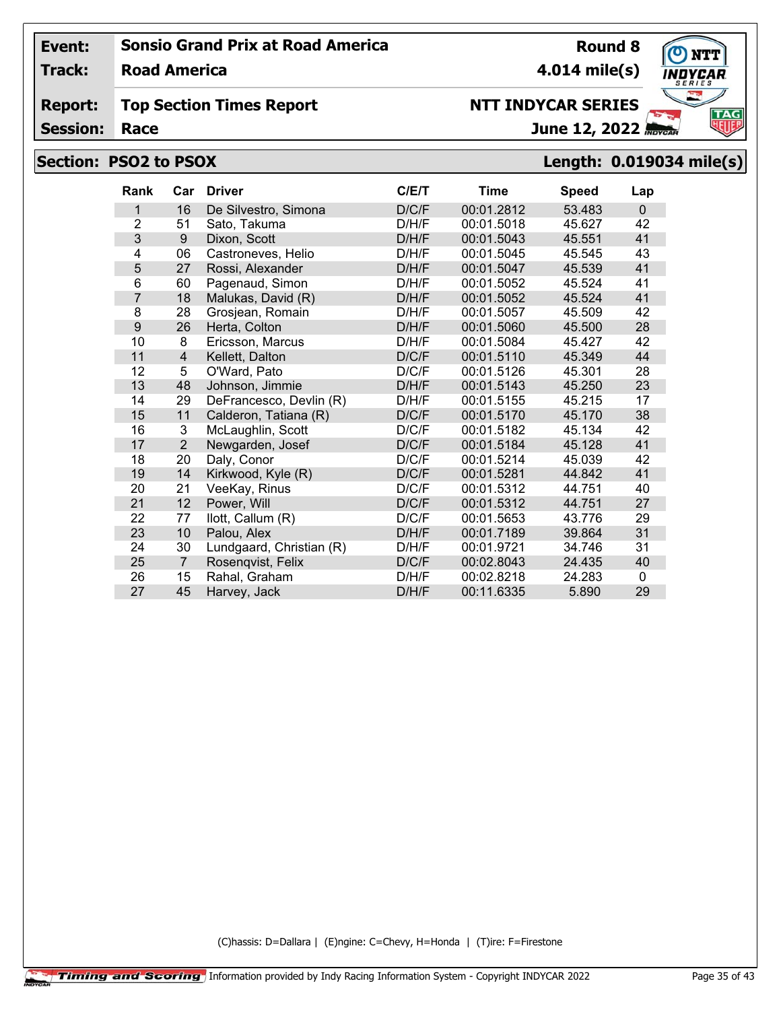**Track: Road America**

#### **Report: Top Section Times Report**

**Session:**

# **Section: PSO2 to PSOX Length: 0.019034 mile(s)**

| <b>Rank</b>    | Car            | <b>Driver</b>            | C/E/T | Time       | <b>Speed</b> | Lap      |
|----------------|----------------|--------------------------|-------|------------|--------------|----------|
| 1              | 16             | De Silvestro, Simona     | D/C/F | 00:01.2812 | 53.483       | $\Omega$ |
| $\overline{2}$ | 51             | Sato, Takuma             | D/H/F | 00:01.5018 | 45.627       | 42       |
| 3              | 9              | Dixon, Scott             | D/H/F | 00:01.5043 | 45.551       | 41       |
| 4              | 06             | Castroneves, Helio       | D/H/F | 00:01.5045 | 45.545       | 43       |
| 5              | 27             | Rossi, Alexander         | D/H/F | 00:01.5047 | 45.539       | 41       |
| 6              | 60             | Pagenaud, Simon          | D/H/F | 00:01.5052 | 45.524       | 41       |
| $\overline{7}$ | 18             | Malukas, David (R)       | D/H/F | 00:01.5052 | 45.524       | 41       |
| 8              | 28             | Grosjean, Romain         | D/H/F | 00:01.5057 | 45.509       | 42       |
| 9              | 26             | Herta, Colton            | D/H/F | 00:01.5060 | 45.500       | 28       |
| 10             | 8              | Ericsson, Marcus         | D/H/F | 00:01.5084 | 45.427       | 42       |
| 11             | $\overline{4}$ | Kellett, Dalton          | D/C/F | 00:01.5110 | 45.349       | 44       |
| 12             | 5              | O'Ward, Pato             | D/C/F | 00:01.5126 | 45.301       | 28       |
| 13             | 48             | Johnson, Jimmie          | D/H/F | 00:01.5143 | 45.250       | 23       |
| 14             | 29             | DeFrancesco, Devlin (R)  | D/H/F | 00:01.5155 | 45.215       | 17       |
| 15             | 11             | Calderon, Tatiana (R)    | D/C/F | 00:01.5170 | 45.170       | 38       |
| 16             | 3              | McLaughlin, Scott        | D/C/F | 00:01.5182 | 45.134       | 42       |
| 17             | $\overline{2}$ | Newgarden, Josef         | D/C/F | 00:01.5184 | 45.128       | 41       |
| 18             | 20             | Daly, Conor              | D/C/F | 00:01.5214 | 45.039       | 42       |
| 19             | 14             | Kirkwood, Kyle (R)       | D/C/F | 00:01.5281 | 44.842       | 41       |
| 20             | 21             | VeeKay, Rinus            | D/C/F | 00:01.5312 | 44.751       | 40       |
| 21             | 12             | Power, Will              | D/C/F | 00:01.5312 | 44.751       | 27       |
| 22             | 77             | llott, Callum (R)        | D/C/F | 00:01.5653 | 43.776       | 29       |
| 23             | 10             | Palou, Alex              | D/H/F | 00:01.7189 | 39.864       | 31       |
| 24             | 30             | Lundgaard, Christian (R) | D/H/F | 00:01.9721 | 34.746       | 31       |
| 25             | $\overline{7}$ | Rosenqvist, Felix        | D/C/F | 00:02.8043 | 24.435       | 40       |
| 26             | 15             | Rahal, Graham            | D/H/F | 00:02.8218 | 24.283       | 0        |
| 27             | 45             | Harvey, Jack             | D/H/F | 00:11.6335 | 5.890        | 29       |

(C)hassis: D=Dallara | (E)ngine: C=Chevy, H=Honda | (T)ire: F=Firestone



**Round 8 4.014 mile(s)**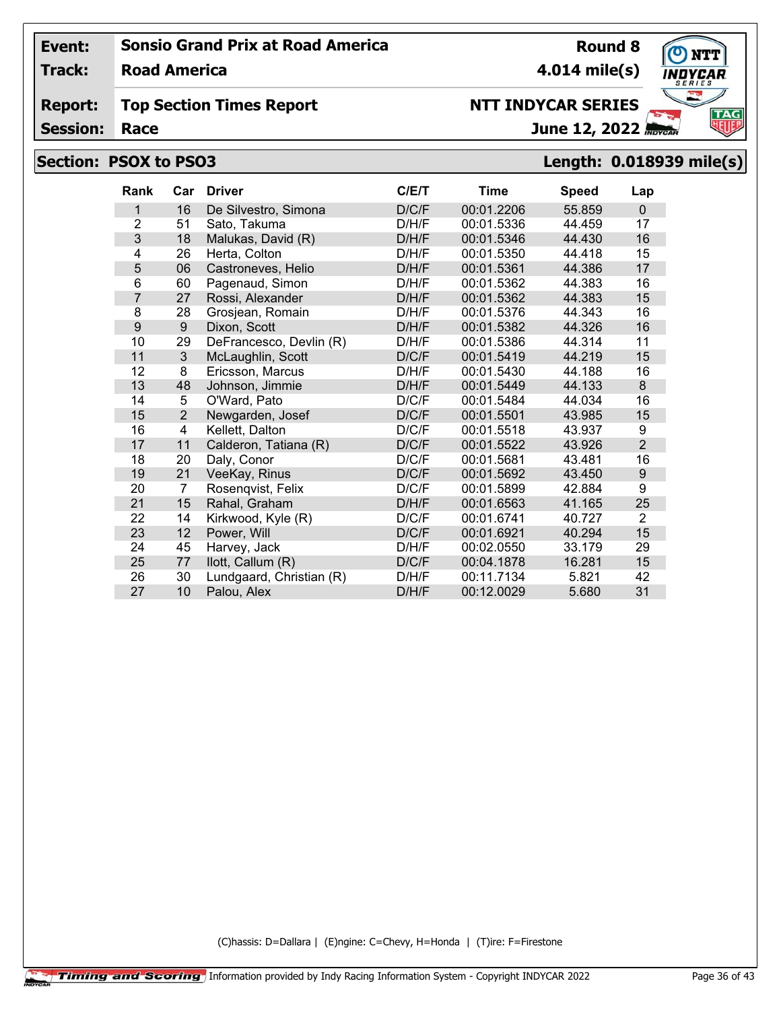**Track: Road America**

#### **Report: Top Section Times Report**

**Session:**

## **Section: PSOX to PSO3 Length: 0.018939 mile(s)**

| <b>Rank</b>    | Car            | <b>Driver</b>            | C/E/T | <b>Time</b> | <b>Speed</b> | Lap            |
|----------------|----------------|--------------------------|-------|-------------|--------------|----------------|
| 1              | 16             | De Silvestro, Simona     | D/C/F | 00:01.2206  | 55.859       | $\mathbf{0}$   |
| $\overline{2}$ | 51             | Sato, Takuma             | D/H/F | 00:01.5336  | 44.459       | 17             |
| 3              | 18             | Malukas, David (R)       | D/H/F | 00:01.5346  | 44.430       | 16             |
| 4              | 26             | Herta, Colton            | D/H/F | 00:01.5350  | 44.418       | 15             |
| 5              | 06             | Castroneves, Helio       | D/H/F | 00:01.5361  | 44.386       | 17             |
| 6              | 60             | Pagenaud, Simon          | D/H/F | 00:01.5362  | 44.383       | 16             |
| $\overline{7}$ | 27             | Rossi, Alexander         | D/H/F | 00:01.5362  | 44.383       | 15             |
| 8              | 28             | Grosjean, Romain         | D/H/F | 00:01.5376  | 44.343       | 16             |
| 9              | 9              | Dixon, Scott             | D/H/F | 00:01.5382  | 44.326       | 16             |
| 10             | 29             | DeFrancesco, Devlin (R)  | D/H/F | 00:01.5386  | 44.314       | 11             |
| 11             | 3              | McLaughlin, Scott        | D/C/F | 00:01.5419  | 44.219       | 15             |
| 12             | 8              | Ericsson, Marcus         | D/H/F | 00:01.5430  | 44.188       | 16             |
| 13             | 48             | Johnson, Jimmie          | D/H/F | 00:01.5449  | 44.133       | 8              |
| 14             | 5              | O'Ward, Pato             | D/C/F | 00:01.5484  | 44.034       | 16             |
| 15             | $\overline{2}$ | Newgarden, Josef         | D/C/F | 00:01.5501  | 43.985       | 15             |
| 16             | 4              | Kellett, Dalton          | D/C/F | 00:01.5518  | 43.937       | 9              |
| 17             | 11             | Calderon, Tatiana (R)    | D/C/F | 00:01.5522  | 43.926       | $\overline{2}$ |
| 18             | 20             | Daly, Conor              | D/C/F | 00:01.5681  | 43.481       | 16             |
| 19             | 21             | VeeKay, Rinus            | D/C/F | 00:01.5692  | 43.450       | 9              |
| 20             | 7              | Rosenqvist, Felix        | D/C/F | 00:01.5899  | 42.884       | 9              |
| 21             | 15             | Rahal, Graham            | D/H/F | 00:01.6563  | 41.165       | 25             |
| 22             | 14             | Kirkwood, Kyle (R)       | D/C/F | 00:01.6741  | 40.727       | 2              |
| 23             | 12             | Power, Will              | D/C/F | 00:01.6921  | 40.294       | 15             |
| 24             | 45             | Harvey, Jack             | D/H/F | 00:02.0550  | 33.179       | 29             |
| 25             | 77             | llott, Callum (R)        | D/C/F | 00:04.1878  | 16.281       | 15             |
| 26             | 30             | Lundgaard, Christian (R) | D/H/F | 00:11.7134  | 5.821        | 42             |
| 27             | 10             | Palou, Alex              | D/H/F | 00:12.0029  | 5.680        | 31             |

(C)hassis: D=Dallara | (E)ngine: C=Chevy, H=Honda | (T)ire: F=Firestone



**Round 8 4.014 mile(s)**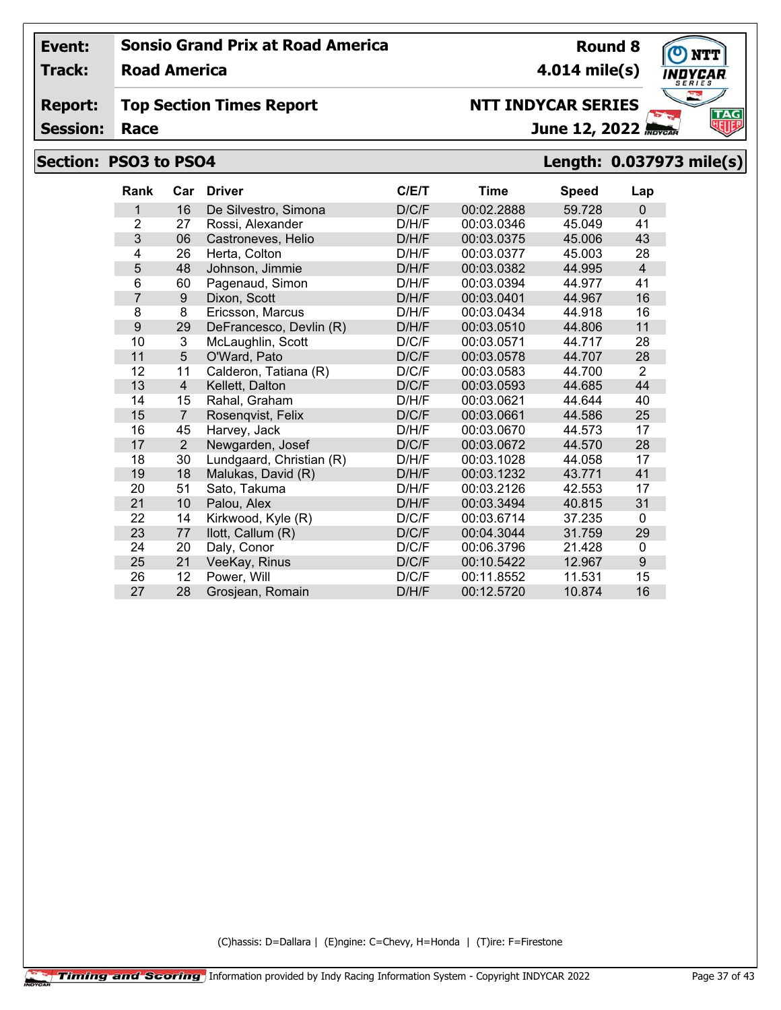**Track: Road America**

#### **Report: Top Section Times Report**

**Session:**

# **Section: PSO3 to PSO4 Length: 0.037973 mile(s)**

| <b>Rank</b>    | Car            | <b>Driver</b>            | C/E/T | <b>Time</b> | <b>Speed</b> | Lap            |
|----------------|----------------|--------------------------|-------|-------------|--------------|----------------|
| 1              | 16             | De Silvestro, Simona     | D/C/F | 00:02.2888  | 59.728       | $\Omega$       |
| $\overline{2}$ | 27             | Rossi, Alexander         | D/H/F | 00:03.0346  | 45.049       | 41             |
| 3              | 06             | Castroneves, Helio       | D/H/F | 00:03.0375  | 45.006       | 43             |
| 4              | 26             | Herta, Colton            | D/H/F | 00:03.0377  | 45.003       | 28             |
| 5              | 48             | Johnson, Jimmie          | D/H/F | 00:03.0382  | 44.995       | $\overline{4}$ |
| 6              | 60             | Pagenaud, Simon          | D/H/F | 00:03.0394  | 44.977       | 41             |
| 7              | $9\,$          | Dixon, Scott             | D/H/F | 00:03.0401  | 44.967       | 16             |
| 8              | 8              | Ericsson, Marcus         | D/H/F | 00:03.0434  | 44.918       | 16             |
| 9              | 29             | DeFrancesco, Devlin (R)  | D/H/F | 00:03.0510  | 44.806       | 11             |
| 10             | 3              | McLaughlin, Scott        | D/C/F | 00:03.0571  | 44.717       | 28             |
| 11             | 5              | O'Ward, Pato             | D/C/F | 00:03.0578  | 44.707       | 28             |
| 12             | 11             | Calderon, Tatiana (R)    | D/C/F | 00:03.0583  | 44.700       | $\overline{2}$ |
| 13             | $\overline{4}$ | Kellett, Dalton          | D/C/F | 00:03.0593  | 44.685       | 44             |
| 14             | 15             | Rahal, Graham            | D/H/F | 00:03.0621  | 44.644       | 40             |
| 15             | $\overline{7}$ | Rosenqvist, Felix        | D/C/F | 00:03.0661  | 44.586       | 25             |
| 16             | 45             | Harvey, Jack             | D/H/F | 00:03.0670  | 44.573       | 17             |
| 17             | $\overline{2}$ | Newgarden, Josef         | D/C/F | 00:03.0672  | 44.570       | 28             |
| 18             | 30             | Lundgaard, Christian (R) | D/H/F | 00:03.1028  | 44.058       | 17             |
| 19             | 18             | Malukas, David (R)       | D/H/F | 00:03.1232  | 43.771       | 41             |
| 20             | 51             | Sato, Takuma             | D/H/F | 00:03.2126  | 42.553       | 17             |
| 21             | 10             | Palou, Alex              | D/H/F | 00:03.3494  | 40.815       | 31             |
| 22             | 14             | Kirkwood, Kyle (R)       | D/C/F | 00:03.6714  | 37.235       | 0              |
| 23             | 77             | llott, Callum (R)        | D/C/F | 00:04.3044  | 31.759       | 29             |
| 24             | 20             | Daly, Conor              | D/C/F | 00:06.3796  | 21.428       | 0              |
| 25             | 21             | VeeKay, Rinus            | D/C/F | 00:10.5422  | 12.967       | 9              |
| 26             | 12             | Power, Will              | D/C/F | 00:11.8552  | 11.531       | 15             |
| 27             | 28             | Grosjean, Romain         | D/H/F | 00:12.5720  | 10.874       | 16             |

(C)hassis: D=Dallara | (E)ngine: C=Chevy, H=Honda | (T)ire: F=Firestone



**Round 8 4.014 mile(s)**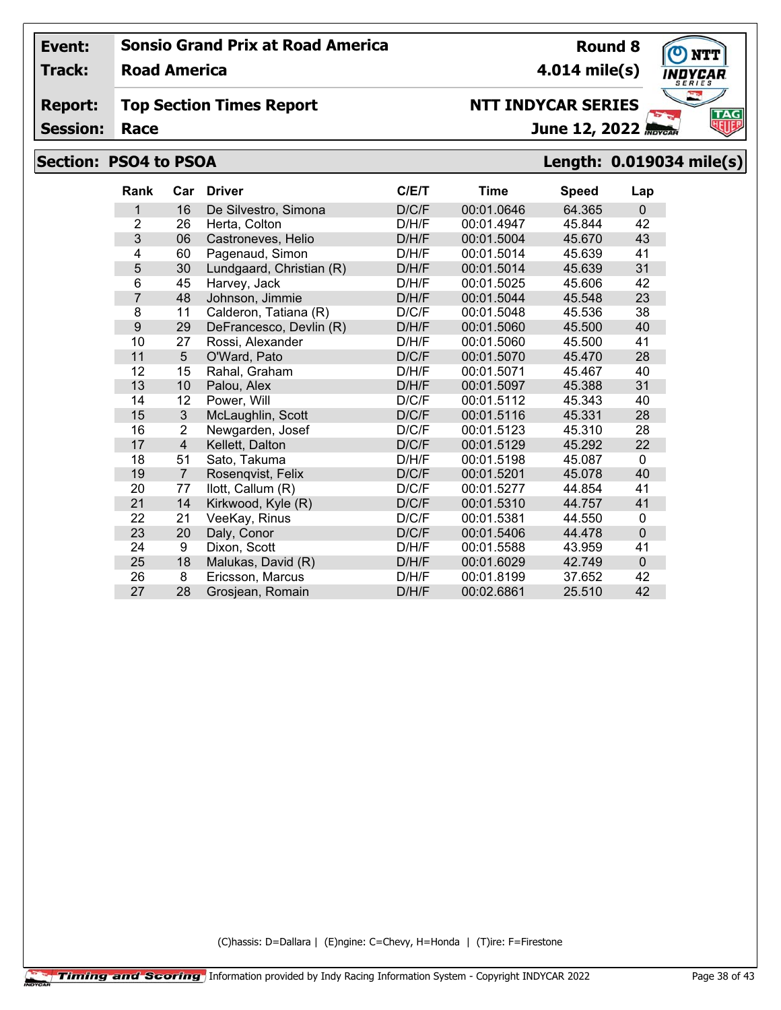**Track: Road America**

#### **Report: Top Section Times Report**

**Session:**

## **Section: PSO4 to PSOA Length: 0.019034 mile(s)**

| <b>Rank</b>    | Car            | <b>Driver</b>            | C/ET  | Time       | <b>Speed</b> | Lap            |
|----------------|----------------|--------------------------|-------|------------|--------------|----------------|
| 1              | 16             | De Silvestro, Simona     | D/C/F | 00:01.0646 | 64.365       | $\Omega$       |
| $\overline{2}$ | 26             | Herta, Colton            | D/H/F | 00:01.4947 | 45.844       | 42             |
| 3              | 06             | Castroneves, Helio       | D/H/F | 00:01.5004 | 45.670       | 43             |
| 4              | 60             | Pagenaud, Simon          | D/H/F | 00:01.5014 | 45.639       | 41             |
| 5              | 30             | Lundgaard, Christian (R) | D/H/F | 00:01.5014 | 45.639       | 31             |
| 6              | 45             | Harvey, Jack             | D/H/F | 00:01.5025 | 45.606       | 42             |
| 7              | 48             | Johnson, Jimmie          | D/H/F | 00:01.5044 | 45.548       | 23             |
| 8              | 11             | Calderon, Tatiana (R)    | D/C/F | 00:01.5048 | 45.536       | 38             |
| 9              | 29             | DeFrancesco, Devlin (R)  | D/H/F | 00:01.5060 | 45.500       | 40             |
| 10             | 27             | Rossi, Alexander         | D/H/F | 00:01.5060 | 45.500       | 41             |
| 11             | $5\phantom{.}$ | O'Ward, Pato             | D/C/F | 00:01.5070 | 45.470       | 28             |
| 12             | 15             | Rahal, Graham            | D/H/F | 00:01.5071 | 45.467       | 40             |
| 13             | 10             | Palou, Alex              | D/H/F | 00:01.5097 | 45.388       | 31             |
| 14             | 12             | Power, Will              | D/C/F | 00:01.5112 | 45.343       | 40             |
| 15             | 3              | McLaughlin, Scott        | D/C/F | 00:01.5116 | 45.331       | 28             |
| 16             | $\overline{2}$ | Newgarden, Josef         | D/C/F | 00:01.5123 | 45.310       | 28             |
| 17             | 4              | Kellett, Dalton          | D/C/F | 00:01.5129 | 45.292       | 22             |
| 18             | 51             | Sato, Takuma             | D/H/F | 00:01.5198 | 45.087       | 0              |
| 19             | $\overline{7}$ | Rosenqvist, Felix        | D/C/F | 00:01.5201 | 45.078       | 40             |
| 20             | 77             | llott, Callum (R)        | D/C/F | 00:01.5277 | 44.854       | 41             |
| 21             | 14             | Kirkwood, Kyle (R)       | D/C/F | 00:01.5310 | 44.757       | 41             |
| 22             | 21             | VeeKay, Rinus            | D/C/F | 00:01.5381 | 44.550       | $\mathbf{0}$   |
| 23             | 20             | Daly, Conor              | D/C/F | 00:01.5406 | 44.478       | $\overline{0}$ |
| 24             | 9              | Dixon, Scott             | D/H/F | 00:01.5588 | 43.959       | 41             |
| 25             | 18             | Malukas, David (R)       | D/H/F | 00:01.6029 | 42.749       | $\overline{0}$ |
| 26             | 8              | Ericsson, Marcus         | D/H/F | 00:01.8199 | 37.652       | 42             |
| 27             | 28             | Grosjean, Romain         | D/H/F | 00:02.6861 | 25.510       | 42             |

(C)hassis: D=Dallara | (E)ngine: C=Chevy, H=Honda | (T)ire: F=Firestone



**4.014 mile(s)**

**NTT INDYCAR SERIES**

**Round 8**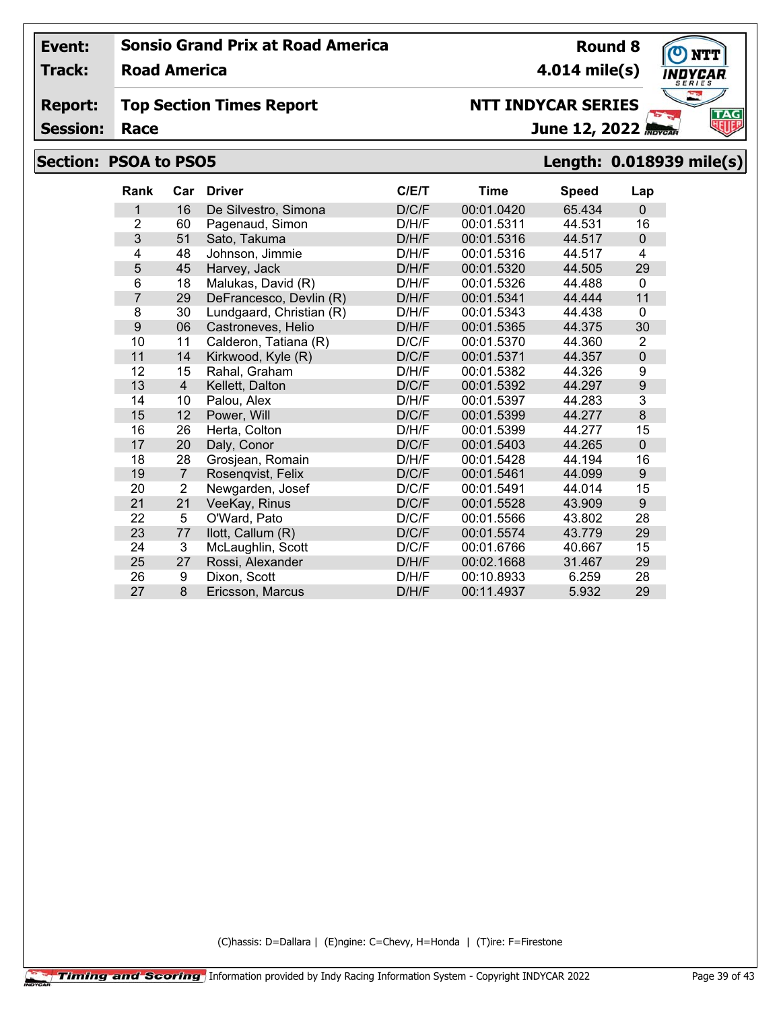**Track: Road America**

**Report: Top Section Times Report**

**Session:**

# **Section: PSOA to PSO5 Length: 0.018939 mile(s)**

## (C)hassis: D=Dallara | (E)ngine: C=Chevy, H=Honda | (T)ire: F=Firestone

| <b>Rank</b>    | Car            | <b>Driver</b>            | C/E/T | Time       | <b>Speed</b> | Lap              |
|----------------|----------------|--------------------------|-------|------------|--------------|------------------|
| 1              | 16             | De Silvestro, Simona     | D/C/F | 00:01.0420 | 65.434       | $\mathbf{0}$     |
| $\overline{2}$ | 60             | Pagenaud, Simon          | D/H/F | 00:01.5311 | 44.531       | 16               |
| 3              | 51             | Sato, Takuma             | D/H/F | 00:01.5316 | 44.517       | $\mathbf 0$      |
| 4              | 48             | Johnson, Jimmie          | D/H/F | 00:01.5316 | 44.517       | 4                |
| 5              | 45             | Harvey, Jack             | D/H/F | 00:01.5320 | 44.505       | 29               |
| 6              | 18             | Malukas, David (R)       | D/H/F | 00:01.5326 | 44.488       | $\mathbf{0}$     |
| $\overline{7}$ | 29             | DeFrancesco, Devlin (R)  | D/H/F | 00:01.5341 | 44.444       | 11               |
| 8              | 30             | Lundgaard, Christian (R) | D/H/F | 00:01.5343 | 44.438       | $\mathbf 0$      |
| 9              | 06             | Castroneves, Helio       | D/H/F | 00:01.5365 | 44.375       | 30               |
| 10             | 11             | Calderon, Tatiana (R)    | D/C/F | 00:01.5370 | 44.360       | $\overline{2}$   |
| 11             | 14             | Kirkwood, Kyle (R)       | D/C/F | 00:01.5371 | 44.357       | $\mathbf 0$      |
| 12             | 15             | Rahal, Graham            | D/H/F | 00:01.5382 | 44.326       | 9                |
| 13             | 4              | Kellett, Dalton          | D/C/F | 00:01.5392 | 44.297       | $\boldsymbol{9}$ |
| 14             | 10             | Palou, Alex              | D/H/F | 00:01.5397 | 44.283       | $\overline{3}$   |
| 15             | 12             | Power, Will              | D/C/F | 00:01.5399 | 44.277       | $\boldsymbol{8}$ |
| 16             | 26             | Herta, Colton            | D/H/F | 00:01.5399 | 44.277       | 15               |
| 17             | 20             | Daly, Conor              | D/C/F | 00:01.5403 | 44.265       | $\mathbf 0$      |
| 18             | 28             | Grosjean, Romain         | D/H/F | 00:01.5428 | 44.194       | 16               |
| 19             | $\overline{7}$ | Rosenqvist, Felix        | D/C/F | 00:01.5461 | 44.099       | 9                |
| 20             | 2              | Newgarden, Josef         | D/C/F | 00:01.5491 | 44.014       | 15               |
| 21             | 21             | VeeKay, Rinus            | D/C/F | 00:01.5528 | 43.909       | 9                |
| 22             | 5              | O'Ward, Pato             | D/C/F | 00:01.5566 | 43.802       | 28               |
| 23             | 77             | llott, Callum (R)        | D/C/F | 00:01.5574 | 43.779       | 29               |
| 24             | 3              | McLaughlin, Scott        | D/C/F | 00:01.6766 | 40.667       | 15               |
| 25             | 27             | Rossi, Alexander         | D/H/F | 00:02.1668 | 31.467       | 29               |
| 26             | 9              | Dixon, Scott             | D/H/F | 00:10.8933 | 6.259        | 28               |
| 27             | 8              | Ericsson, Marcus         | D/H/F | 00:11.4937 | 5.932        | 29               |

# **NTT INDYCAR SERIES**

June 12, 2022



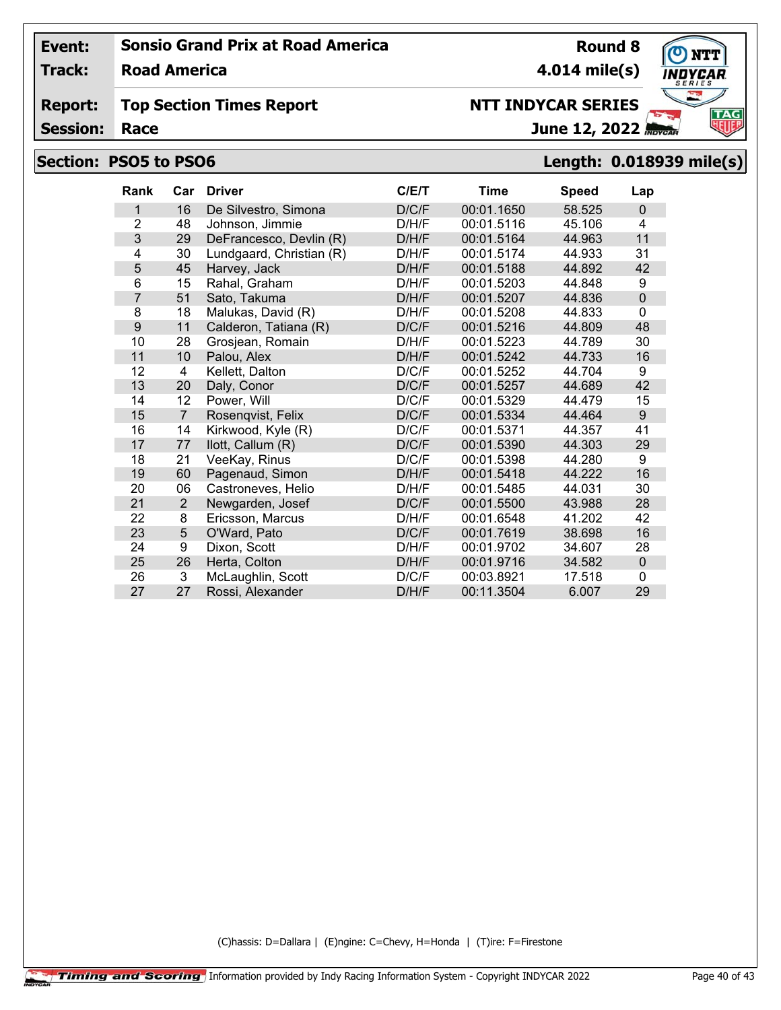**Track: Road America**

#### **Report: Top Section Times Report**

**Session:**

# **Section: PSO5 to PSO6 Length: 0.018939 mile(s)**

| <b>Rank</b>    | Car               | <b>Driver</b>            | C/E/T | <b>Time</b> | <b>Speed</b> | Lap          |
|----------------|-------------------|--------------------------|-------|-------------|--------------|--------------|
| 1              | 16                | De Silvestro, Simona     | D/C/F | 00:01.1650  | 58.525       | $\mathbf 0$  |
| $\overline{2}$ | 48                | Johnson, Jimmie          | D/H/F | 00:01.5116  | 45.106       | 4            |
| 3              | 29                | DeFrancesco, Devlin (R)  | D/H/F | 00:01.5164  | 44.963       | 11           |
| 4              | 30                | Lundgaard, Christian (R) | D/H/F | 00:01.5174  | 44.933       | 31           |
| 5              | 45                | Harvey, Jack             | D/H/F | 00:01.5188  | 44.892       | 42           |
| 6              | 15                | Rahal, Graham            | D/H/F | 00:01.5203  | 44.848       | 9            |
| 7              | 51                | Sato, Takuma             | D/H/F | 00:01.5207  | 44.836       | $\mathbf 0$  |
| 8              | 18                | Malukas, David (R)       | D/H/F | 00:01.5208  | 44.833       | 0            |
| 9              | 11                | Calderon, Tatiana (R)    | D/C/F | 00:01.5216  | 44.809       | 48           |
| 10             | 28                | Grosjean, Romain         | D/H/F | 00:01.5223  | 44.789       | 30           |
| 11             | 10                | Palou, Alex              | D/H/F | 00:01.5242  | 44.733       | 16           |
| 12             | 4                 | Kellett, Dalton          | D/C/F | 00:01.5252  | 44.704       | 9            |
| 13             | 20                | Daly, Conor              | D/C/F | 00:01.5257  | 44.689       | 42           |
| 14             | $12 \overline{ }$ | Power, Will              | D/C/F | 00:01.5329  | 44.479       | 15           |
| 15             | $\overline{7}$    | Rosenqvist, Felix        | D/C/F | 00:01.5334  | 44.464       | 9            |
| 16             | 14                | Kirkwood, Kyle (R)       | D/C/F | 00:01.5371  | 44.357       | 41           |
| 17             | 77                | llott, Callum (R)        | D/C/F | 00:01.5390  | 44.303       | 29           |
| 18             | 21                | VeeKay, Rinus            | D/C/F | 00:01.5398  | 44.280       | 9            |
| 19             | 60                | Pagenaud, Simon          | D/H/F | 00:01.5418  | 44.222       | 16           |
| 20             | 06                | Castroneves, Helio       | D/H/F | 00:01.5485  | 44.031       | 30           |
| 21             | 2                 | Newgarden, Josef         | D/C/F | 00:01.5500  | 43.988       | 28           |
| 22             | 8                 | Ericsson, Marcus         | D/H/F | 00:01.6548  | 41.202       | 42           |
| 23             | $\overline{5}$    | O'Ward, Pato             | D/C/F | 00:01.7619  | 38.698       | 16           |
| 24             | 9                 | Dixon, Scott             | D/H/F | 00:01.9702  | 34.607       | 28           |
| 25             | 26                | Herta, Colton            | D/H/F | 00:01.9716  | 34.582       | $\pmb{0}$    |
| 26             | 3                 | McLaughlin, Scott        | D/C/F | 00:03.8921  | 17.518       | $\mathbf{0}$ |
| 27             | 27                | Rossi, Alexander         | D/H/F | 00:11.3504  | 6.007        | 29           |

(C)hassis: D=Dallara | (E)ngine: C=Chevy, H=Honda | (T)ire: F=Firestone



**Round 8 4.014 mile(s)**

June 12, 2022 **NTT INDYCAR SERIES**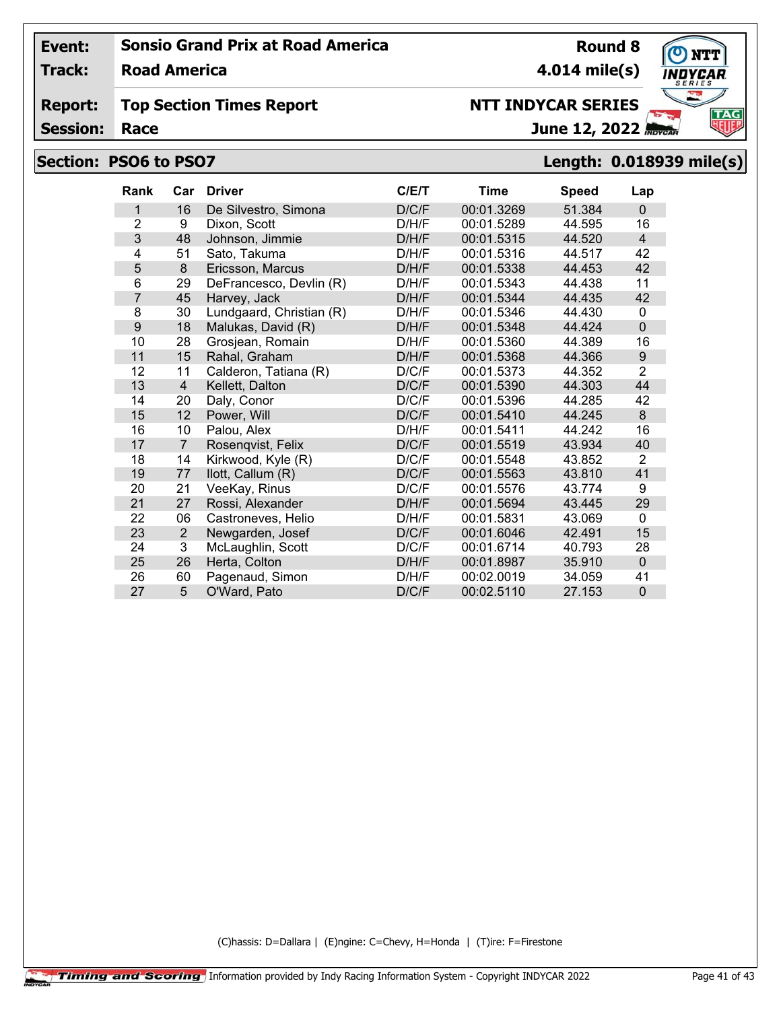**Track: Road America**

#### **Report: Top Section Times Report**

**Session:**

# **Section: PSO6 to PSO7 Length: 0.018939 mile(s)**

| <b>Rank</b>    | Car            | <b>Driver</b>            | C/E/T | <b>Time</b> | <b>Speed</b> | Lap              |
|----------------|----------------|--------------------------|-------|-------------|--------------|------------------|
| 1              | 16             | De Silvestro, Simona     | D/C/F | 00:01.3269  | 51.384       | $\Omega$         |
| $\overline{2}$ | 9              | Dixon, Scott             | D/H/F | 00:01.5289  | 44.595       | 16               |
| 3              | 48             | Johnson, Jimmie          | D/H/F | 00:01.5315  | 44.520       | 4                |
| 4              | 51             | Sato, Takuma             | D/H/F | 00:01.5316  | 44.517       | 42               |
| 5              | 8              | Ericsson, Marcus         | D/H/F | 00:01.5338  | 44.453       | 42               |
| 6              | 29             | DeFrancesco, Devlin (R)  | D/H/F | 00:01.5343  | 44.438       | 11               |
| $\overline{7}$ | 45             | Harvey, Jack             | D/H/F | 00:01.5344  | 44.435       | 42               |
| 8              | 30             | Lundgaard, Christian (R) | D/H/F | 00:01.5346  | 44.430       | $\mathbf 0$      |
| 9              | 18             | Malukas, David (R)       | D/H/F | 00:01.5348  | 44.424       | $\mathbf 0$      |
| 10             | 28             | Grosjean, Romain         | D/H/F | 00:01.5360  | 44.389       | 16               |
| 11             | 15             | Rahal, Graham            | D/H/F | 00:01.5368  | 44.366       | $\boldsymbol{9}$ |
| 12             | 11             | Calderon, Tatiana (R)    | D/C/F | 00:01.5373  | 44.352       | $\overline{2}$   |
| 13             | $\overline{4}$ | Kellett, Dalton          | D/C/F | 00:01.5390  | 44.303       | 44               |
| 14             | 20             | Daly, Conor              | D/C/F | 00:01.5396  | 44.285       | 42               |
| 15             | 12             | Power, Will              | D/C/F | 00:01.5410  | 44.245       | 8                |
| 16             | 10             | Palou, Alex              | D/H/F | 00:01.5411  | 44.242       | 16               |
| 17             | $\overline{7}$ | Rosenqvist, Felix        | D/C/F | 00:01.5519  | 43.934       | 40               |
| 18             | 14             | Kirkwood, Kyle (R)       | D/C/F | 00:01.5548  | 43.852       | $\overline{2}$   |
| 19             | 77             | llott, Callum (R)        | D/C/F | 00:01.5563  | 43.810       | 41               |
| 20             | 21             | VeeKay, Rinus            | D/C/F | 00:01.5576  | 43.774       | 9                |
| 21             | 27             | Rossi, Alexander         | D/H/F | 00:01.5694  | 43.445       | 29               |
| 22             | 06             | Castroneves, Helio       | D/H/F | 00:01.5831  | 43.069       | 0                |
| 23             | $\overline{2}$ | Newgarden, Josef         | D/C/F | 00:01.6046  | 42.491       | 15               |
| 24             | 3              | McLaughlin, Scott        | D/C/F | 00:01.6714  | 40.793       | 28               |
| 25             | 26             | Herta, Colton            | D/H/F | 00:01.8987  | 35.910       | $\mathbf 0$      |
| 26             | 60             | Pagenaud, Simon          | D/H/F | 00:02.0019  | 34.059       | 41               |
| 27             | 5              | O'Ward, Pato             | D/C/F | 00:02.5110  | 27.153       | $\mathbf{0}$     |

(C)hassis: D=Dallara | (E)ngine: C=Chevy, H=Honda | (T)ire: F=Firestone



**Round 8 4.014 mile(s)**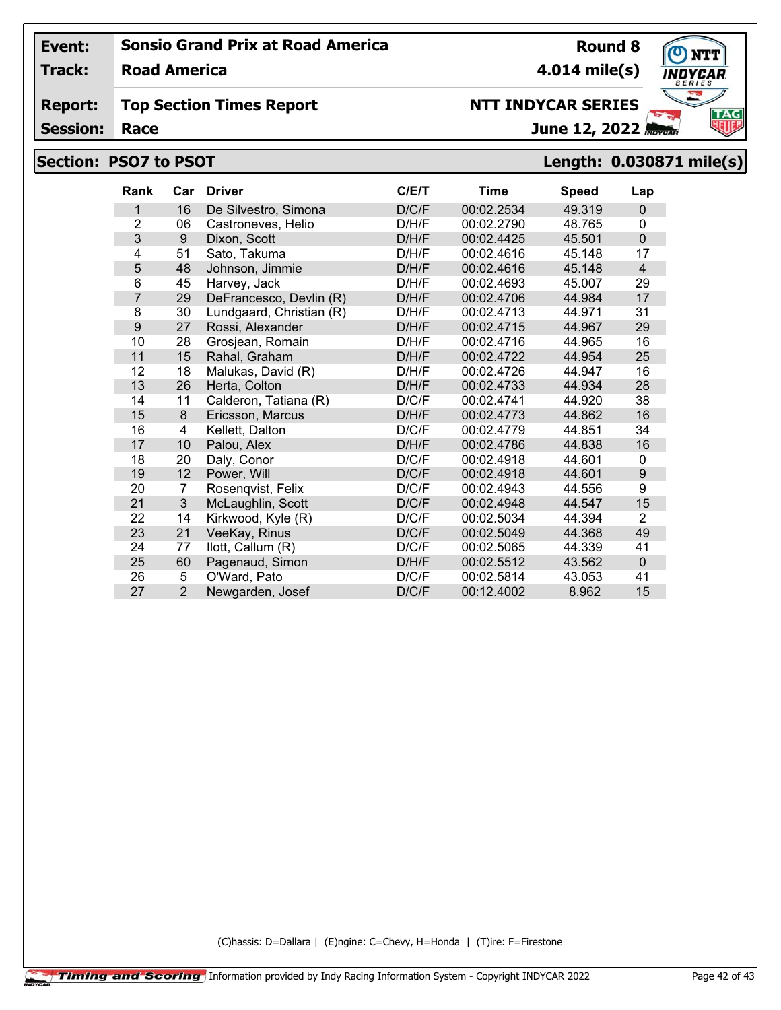**Track: Road America**

#### **Report: Top Section Times Report**

**Session:**

# **Section: PSO7 to PSOT Length: 0.030871 miles(s)**

| ength: 0.030871 mile(s). |  |
|--------------------------|--|
|                          |  |
|                          |  |

| <b>Rank</b>    | Car            | <b>Driver</b>            | C/E/T | Time       | <b>Speed</b> | Lap            |
|----------------|----------------|--------------------------|-------|------------|--------------|----------------|
| 1              | 16             | De Silvestro, Simona     | D/C/F | 00:02.2534 | 49.319       | $\mathbf 0$    |
| $\overline{2}$ | 06             | Castroneves, Helio       | D/H/F | 00:02.2790 | 48.765       | $\Omega$       |
| 3              | 9              | Dixon, Scott             | D/H/F | 00:02.4425 | 45.501       | $\mathbf 0$    |
| 4              | 51             | Sato, Takuma             | D/H/F | 00:02.4616 | 45.148       | 17             |
| 5              | 48             | Johnson, Jimmie          | D/H/F | 00:02.4616 | 45.148       | $\overline{4}$ |
| 6              | 45             | Harvey, Jack             | D/H/F | 00:02.4693 | 45.007       | 29             |
| 7              | 29             | DeFrancesco, Devlin (R)  | D/H/F | 00:02.4706 | 44.984       | 17             |
| 8              | 30             | Lundgaard, Christian (R) | D/H/F | 00:02.4713 | 44.971       | 31             |
| 9              | 27             | Rossi, Alexander         | D/H/F | 00:02.4715 | 44.967       | 29             |
| 10             | 28             | Grosjean, Romain         | D/H/F | 00:02.4716 | 44.965       | 16             |
| 11             | 15             | Rahal, Graham            | D/H/F | 00:02.4722 | 44.954       | 25             |
| 12             | 18             | Malukas, David (R)       | D/H/F | 00:02.4726 | 44.947       | 16             |
| 13             | 26             | Herta, Colton            | D/H/F | 00:02.4733 | 44.934       | 28             |
| 14             | 11             | Calderon, Tatiana (R)    | D/C/F | 00:02.4741 | 44.920       | 38             |
| 15             | 8              | Ericsson, Marcus         | D/H/F | 00:02.4773 | 44.862       | 16             |
| 16             | 4              | Kellett, Dalton          | D/C/F | 00:02.4779 | 44.851       | 34             |
| 17             | 10             | Palou, Alex              | D/H/F | 00:02.4786 | 44.838       | 16             |
| 18             | 20             | Daly, Conor              | D/C/F | 00:02.4918 | 44.601       | 0              |
| 19             | 12             | Power, Will              | D/C/F | 00:02.4918 | 44.601       | 9              |
| 20             | $\overline{7}$ | Rosenqvist, Felix        | D/C/F | 00:02.4943 | 44.556       | 9              |
| 21             | $\mathfrak{S}$ | McLaughlin, Scott        | D/C/F | 00:02.4948 | 44.547       | 15             |
| 22             | 14             | Kirkwood, Kyle (R)       | D/C/F | 00:02.5034 | 44.394       | $\overline{2}$ |
| 23             | 21             | VeeKay, Rinus            | D/C/F | 00:02.5049 | 44.368       | 49             |
| 24             | 77             | llott, Callum (R)        | D/C/F | 00:02.5065 | 44.339       | 41             |
| 25             | 60             | Pagenaud, Simon          | D/H/F | 00:02.5512 | 43.562       | $\mathbf{0}$   |
| 26             | 5              | O'Ward, Pato             | D/C/F | 00:02.5814 | 43.053       | 41             |
| 27             | $\overline{2}$ | Newgarden, Josef         | D/C/F | 00:12.4002 | 8.962        | 15             |

(C)hassis: D=Dallara | (E)ngine: C=Chevy, H=Honda | (T)ire: F=Firestone



**Round 8 4.014 mile(s)**